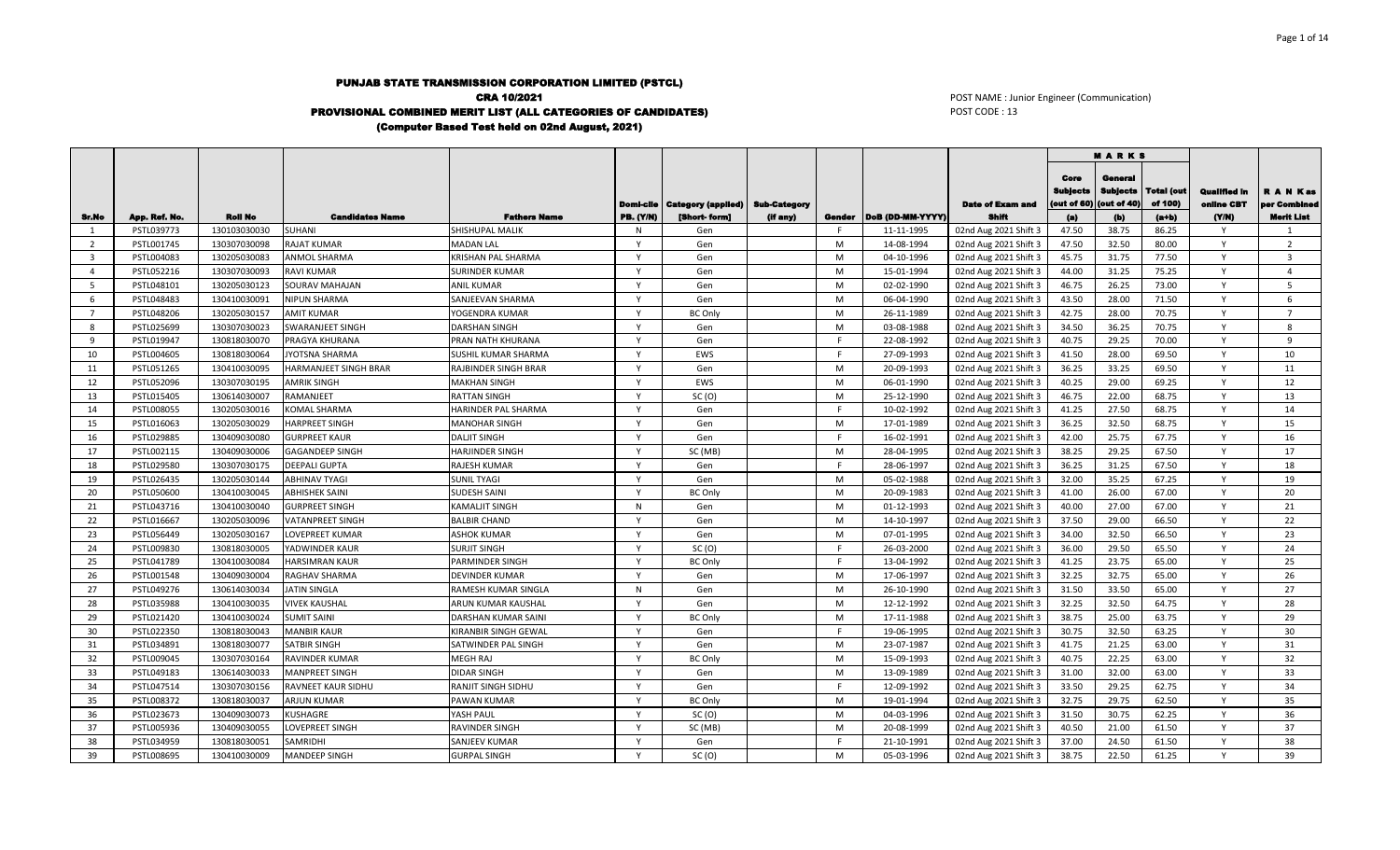## PUNJAB STATE TRANSMISSION CORPORATION LIMITED (PSTCL) CRA 10/2021 PROVISIONAL COMBINED MERIT LIST (ALL CATEGORIES OF CANDIDATES) (Computer Based Test held on 02nd August, 2021)

 $\blacksquare$ 

POST NAME : Junior Engineer (Communication) POST CODE : 13

|                |               |                |                         |                            |                  |                                       |                     |        |                  |                         |                                        | <b>MARKS</b>                                 |                       |                                   |                           |
|----------------|---------------|----------------|-------------------------|----------------------------|------------------|---------------------------------------|---------------------|--------|------------------|-------------------------|----------------------------------------|----------------------------------------------|-----------------------|-----------------------------------|---------------------------|
|                |               |                |                         |                            |                  | <b>Domi-cile   Category (applied)</b> | <b>Sub-Category</b> |        |                  | <b>Date of Exam and</b> | Core<br><b>Subjects</b><br>(out of 60) | General<br><b>Subjects</b><br>(out of $40$ ) | Total (out<br>of 100) | <b>Qualified In</b><br>online CBT | R A N Kas<br>oer Combinee |
| Sr.No          | App. Ref. No. | <b>Roll No</b> | <b>Candidates Name</b>  | <b>Fathers Name</b>        | <b>PB.</b> (Y/N) | [Short-form]                          | (if any)            | Gender | DoB (DD-MM-YYYY) | Shift                   | (a)                                    | (b)                                          | $(a+b)$               | (Y/N)                             | <b>Merit List</b>         |
| 1              | PSTL039773    | 130103030030   | <b>SUHANI</b>           | SHISHUPAL MALIK            | N                | Gen                                   |                     |        | 11-11-1995       | 02nd Aug 2021 Shift 3   | 47.50                                  | 38.75                                        | 86.25                 | <b>V</b>                          | $\mathbf{1}$              |
| 2              | PSTL001745    | 130307030098   | <b>RAJAT KUMAR</b>      | <b>MADAN LAL</b>           | $\mathsf{v}$     | Gen                                   |                     | M      | 14-08-1994       | 02nd Aug 2021 Shift 3   | 47.50                                  | 32.50                                        | 80.00                 | $\mathsf{Y}$                      | $\overline{2}$            |
| $\overline{3}$ | PSTL004083    | 130205030083   | ANMOL SHARMA            | <b>KRISHAN PAL SHARMA</b>  | v                | Gen                                   |                     | M      | 04-10-1996       | 02nd Aug 2021 Shift 3   | 45.75                                  | 31.75                                        | 77.50                 | Y                                 | $\overline{\mathbf{3}}$   |
| $\overline{4}$ | PSTL052216    | 130307030093   | <b>RAVI KUMAR</b>       | <b>SURINDER KUMAR</b>      | v                | Gen                                   |                     | M      | 15-01-1994       | 02nd Aug 2021 Shift 3   | 44.00                                  | 31.25                                        | 75.25                 | Y                                 | $\overline{a}$            |
| -5             | PSTL048101    | 130205030123   | SOURAV MAHAJAN          | <b>ANIL KUMAR</b>          |                  | Gen                                   |                     | M      | 02-02-1990       | 02nd Aug 2021 Shift 3   | 46.75                                  | 26.25                                        | 73.00                 |                                   | 5                         |
| 6              | PSTL048483    | 130410030091   | <b>NIPUN SHARMA</b>     | SANJEEVAN SHARMA           | $\mathsf{v}$     | Gen                                   |                     | M      | 06-04-1990       | 02nd Aug 2021 Shift 3   | 43.50                                  | 28.00                                        | 71.50                 | $\mathsf{Y}$                      | $\mathsf{f}$              |
| $7^{\circ}$    | PSTL048206    | 130205030157   | <b>AMIT KUMAR</b>       | YOGENDRA KUMAR             | $\mathsf{v}$     | <b>BC Only</b>                        |                     | M      | 26-11-1989       | 02nd Aug 2021 Shift 3   | 42.75                                  | 28.00                                        | 70.75                 | $\mathsf{v}$                      | $\overline{7}$            |
| 8              | PSTL025699    | 130307030023   | <b>SWARANJEET SINGH</b> | <b>DARSHAN SINGH</b>       |                  | Gen                                   |                     | M      | 03-08-1988       | 02nd Aug 2021 Shift 3   | 34.50                                  | 36.25                                        | 70.75                 |                                   | 8                         |
| 9              | PSTL019947    | 130818030070   | PRAGYA KHURANA          | PRAN NATH KHURANA          | $\mathsf{v}$     | Gen                                   |                     | F.     | 22-08-1992       | 02nd Aug 2021 Shift 3   | 40.75                                  | 29.25                                        | 70.00                 | Y                                 | 9                         |
| 10             | PSTL004605    | 130818030064   | JYOTSNA SHARMA          | SUSHIL KUMAR SHARMA        | $\mathsf{v}$     | EWS                                   |                     | F.     | 27-09-1993       | 02nd Aug 2021 Shift 3   | 41.50                                  | 28.00                                        | 69.50                 | $\mathsf{v}$                      | 10                        |
| 11             | PSTL051265    | 130410030095   | HARMANJEET SINGH BRAR   | RAJBINDER SINGH BRAR       | $\mathsf{v}$     | Gen                                   |                     | M      | 20-09-1993       | 02nd Aug 2021 Shift 3   | 36.25                                  | 33.25                                        | 69.50                 | $\mathsf{v}$                      | 11                        |
| 12             | PSTL052096    | 130307030195   | <b>AMRIK SINGH</b>      | <b>MAKHAN SINGH</b>        | $\mathsf{v}$     | EWS                                   |                     | M      | 06-01-1990       | 02nd Aug 2021 Shift 3   | 40.25                                  | 29.00                                        | 69.25                 | Y                                 | 12                        |
| 13             | PSTL015405    | 130614030007   | <b>RAMANJEET</b>        | <b>RATTAN SINGH</b>        | v                | SC(0)                                 |                     | M      | 25-12-1990       | 02nd Aug 2021 Shift 3   | 46.75                                  | 22.00                                        | 68.75                 | $\mathsf{v}$                      | 13                        |
| 14             | PSTL008055    | 130205030016   | KOMAL SHARMA            | HARINDER PAL SHARMA        | $\mathsf{v}$     | Gen                                   |                     |        | 10-02-1992       | 02nd Aug 2021 Shift 3   | 41.25                                  | 27.50                                        | 68.75                 | $\mathsf{v}$                      | 14                        |
| 15             | PSTL016063    | 130205030029   | <b>HARPREET SINGH</b>   | <b>MANOHAR SINGH</b>       | v                | Gen                                   |                     | M      | 17-01-1989       | 02nd Aug 2021 Shift 3   | 36.25                                  | 32.50                                        | 68.75                 | Y                                 | 15                        |
| 16             | PSTL029885    | 130409030080   | <b>GURPREET KAUR</b>    | <b>DALJIT SINGH</b>        | <b>V</b>         | Gen                                   |                     |        | 16-02-1991       | 02nd Aug 2021 Shift 3   | 42.00                                  | 25.75                                        | 67.75                 | <b>V</b>                          | 16                        |
| 17             | PSTL002115    | 130409030006   | <b>GAGANDEEP SINGH</b>  | <b>HARJINDER SINGH</b>     | $\mathsf{v}$     | SC (MB)                               |                     | M      | 28-04-1995       | 02nd Aug 2021 Shift 3   | 38.25                                  | 29.25                                        | 67.50                 | Y                                 | 17                        |
| 18             | PSTL029580    | 130307030175   | <b>DEEPALI GUPTA</b>    | <b>RAJESH KUMAR</b>        | $\mathsf{v}$     | Gen                                   |                     | F      | 28-06-1997       | 02nd Aug 2021 Shift 3   | 36.25                                  | 31.25                                        | 67.50                 | Y                                 | 18                        |
| 19             | PSTL026435    | 130205030144   | <b>ABHINAV TYAGI</b>    | <b>SUNIL TYAGI</b>         | $\mathsf{v}$     | Gen                                   |                     | M      | 05-02-1988       | 02nd Aug 2021 Shift 3   | 32.00                                  | 35.25                                        | 67.25                 | Y                                 | 19                        |
| 20             | PSTL050600    | 130410030045   | <b>ABHISHEK SAINI</b>   | <b>SUDESH SAINI</b>        | v                | <b>BC Only</b>                        |                     | M      | 20-09-1983       | 02nd Aug 2021 Shift 3   | 41.00                                  | 26.00                                        | 67.00                 | Y                                 | 20                        |
| 21             | PSTL043716    | 130410030040   | <b>GURPREET SINGH</b>   | <b>KAMALJIT SINGH</b>      | N                | Gen                                   |                     | M      | 01-12-1993       | 02nd Aug 2021 Shift 3   | 40.00                                  | 27.00                                        | 67.00                 | $\mathsf{v}$                      | 21                        |
| 22             | PSTL016667    | 130205030096   | <b>VATANPREET SINGH</b> | <b>BALBIR CHAND</b>        | v                | Gen                                   |                     | M      | 14-10-1997       | 02nd Aug 2021 Shift 3   | 37.50                                  | 29.00                                        | 66.50                 | Y                                 | 22                        |
| 23             | PSTL056449    | 130205030167   | LOVEPREET KUMAR         | <b>ASHOK KUMAR</b>         | v                | Gen                                   |                     | M      | 07-01-1995       | 02nd Aug 2021 Shift 3   | 34.00                                  | 32.50                                        | 66.50                 | Y                                 | 23                        |
| 24             | PSTL009830    | 130818030005   | YADWINDER KAUR          | <b>SURJIT SINGH</b>        |                  | SC(0)                                 |                     |        | 26-03-2000       | 02nd Aug 2021 Shift 3   | 36.00                                  | 29.50                                        | 65.50                 |                                   | 24                        |
| 25             | PSTL041789    | 130410030084   | HARSIMRAN KAUR          | PARMINDER SINGH            | $\mathsf{v}$     | <b>BC Only</b>                        |                     | F.     | 13-04-1992       | 02nd Aug 2021 Shift 3   | 41.25                                  | 23.75                                        | 65.00                 | Y                                 | 25                        |
| 26             | PSTL001548    | 130409030004   | RAGHAV SHARMA           | <b>DEVINDER KUMAR</b>      | $\mathsf{v}$     | Gen                                   |                     | M      | 17-06-1997       | 02nd Aug 2021 Shift 3   | 32.25                                  | 32.75                                        | 65.00                 | $\mathsf{v}$                      | 26                        |
| 27             | PSTL049276    | 130614030034   | <b>JATIN SINGLA</b>     | RAMESH KUMAR SINGLA        | N                | Gen                                   |                     | M      | 26-10-1990       | 02nd Aug 2021 Shift 3   | 31.50                                  | 33.50                                        | 65.00                 |                                   | 27                        |
| 28             | PSTL035988    | 130410030035   | <b>VIVEK KAUSHAL</b>    | ARUN KUMAR KAUSHAL         | v                | Gen                                   |                     | M      | 12-12-1992       | 02nd Aug 2021 Shift 3   | 32.25                                  | 32.50                                        | 64.75                 | Y                                 | 28                        |
| 29             | PSTL021420    | 130410030024   | <b>SUMIT SAINI</b>      | <b>DARSHAN KUMAR SAINI</b> | $\mathsf{v}$     | <b>BC Only</b>                        |                     | M      | 17-11-1988       | 02nd Aug 2021 Shift 3   | 38.75                                  | 25.00                                        | 63.75                 | <b>V</b>                          | 29                        |
| 30             | PSTL022350    | 130818030043   | <b>MANBIR KAUR</b>      | KIRANBIR SINGH GEWAL       | v                | Gen                                   |                     |        | 19-06-1995       | 02nd Aug 2021 Shift 3   | 30.75                                  | 32.50                                        | 63.25                 | Y                                 | 30                        |
| 31             | PSTL034891    | 130818030077   | <b>SATBIR SINGH</b>     | SATWINDER PAL SINGH        | Y                | Gen                                   |                     | M      | 23-07-1987       | 02nd Aug 2021 Shift 3   | 41.75                                  | 21.25                                        | 63.00                 | Y                                 | 31                        |
| 32             | PSTL009045    | 130307030164   | <b>RAVINDER KUMAR</b>   | MEGH RAJ                   | $\mathsf{v}$     | <b>BC Only</b>                        |                     | M      | 15-09-1993       | 02nd Aug 2021 Shift 3   | 40.75                                  | 22.25                                        | 63.00                 |                                   | 32                        |
| 33             | PSTL049183    | 130614030033   | <b>MANPREET SINGH</b>   | <b>DIDAR SINGH</b>         | v                | Gen                                   |                     | M      | 13-09-1989       | 02nd Aug 2021 Shift 3   | 31.00                                  | 32.00                                        | 63.00                 | Y                                 | 33                        |
| 34             | PSTL047514    | 130307030156   | RAVNEET KAUR SIDHU      | RANJIT SINGH SIDHU         | v                | Gen                                   |                     |        | 12-09-1992       | 02nd Aug 2021 Shift 3   | 33.50                                  | 29.25                                        | 62.75                 | Y                                 | 34                        |
| 35             | PSTL008372    | 130818030037   | <b>ARJUN KUMAR</b>      | <b>PAWAN KUMAR</b>         |                  | <b>BC Only</b>                        |                     | M      | 19-01-1994       | 02nd Aug 2021 Shift 3   | 32.75                                  | 29.75                                        | 62.50                 |                                   | 35                        |
| 36             | PSTL023673    | 130409030073   | KUSHAGRE                | YASH PAUL                  | <b>V</b>         | SC(0)                                 |                     | M      | 04-03-1996       | 02nd Aug 2021 Shift 3   | 31.50                                  | 30.75                                        | 62.25                 | <b>Y</b>                          | 36                        |
| 37             | PSTL005936    | 130409030055   | LOVEPREET SINGH         | <b>RAVINDER SINGH</b>      | $\mathsf{v}$     | SC (MB)                               |                     | M      | 20-08-1999       | 02nd Aug 2021 Shift 3   | 40.50                                  | 21.00                                        | 61.50                 | Y                                 | 37                        |
| 38             | PSTL034959    | 130818030051   | SAMRIDHI                | SANJEEV KUMAR              | v                | Gen                                   |                     |        | 21-10-1991       | 02nd Aug 2021 Shift 3   | 37.00                                  | 24.50                                        | 61.50                 |                                   | 38                        |
| 39             | PSTL008695    | 130410030009   | <b>MANDEEP SINGH</b>    | <b>GURPAL SINGH</b>        | Y                | SC(0)                                 |                     | M      | 05-03-1996       | 02nd Aug 2021 Shift 3   | 38.75                                  | 22.50                                        | 61.25                 | v                                 | 39                        |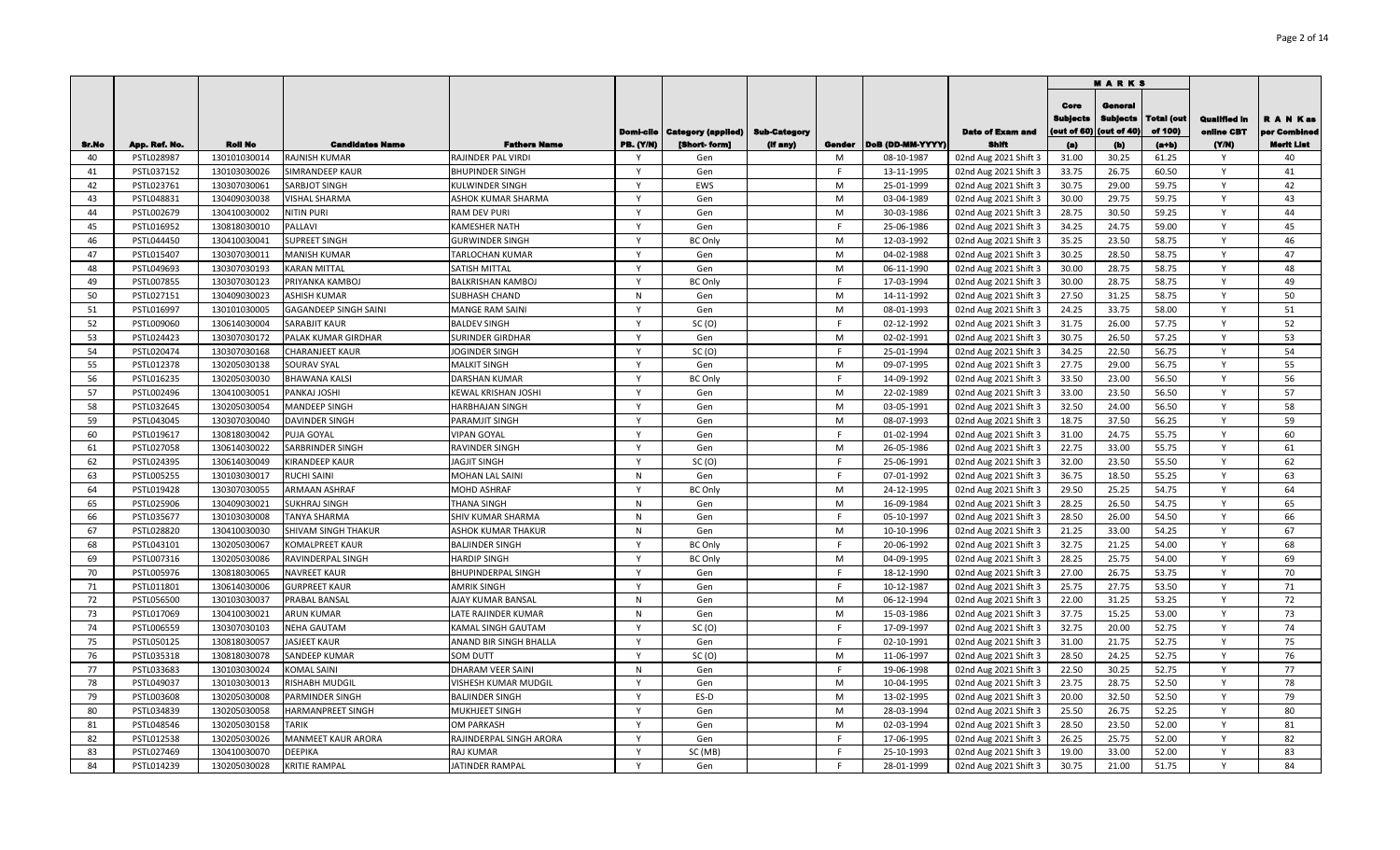|          |                          |                              |                                  |                                           |                  |                                   |          |        |                          |                                                |                                       | <b>MARKS</b>                              |                              |                                   |                           |
|----------|--------------------------|------------------------------|----------------------------------|-------------------------------------------|------------------|-----------------------------------|----------|--------|--------------------------|------------------------------------------------|---------------------------------------|-------------------------------------------|------------------------------|-----------------------------------|---------------------------|
|          |                          |                              |                                  |                                           | Domi-cile        | Category (applied)   Sub-Category |          |        |                          | <b>Date of Exam and</b>                        | Core<br><b>Bubjects</b><br>out of 60) | General<br><b>Subjects</b><br>(out of 40) | <b>Total (out</b><br>of 100) | <b>Qualified in</b><br>online CBT | R A N Kas<br>per Combined |
| Sr.No    | App. Ref. No.            | <b>Roll No</b>               | <b>Candidates Name</b>           | <b>Fathers Name</b>                       | <b>PB. (Y/N)</b> | [Short-form]                      | (If any) | Gender | DoB (DD-MM-YYYY)         | <b>Shift</b>                                   | (a)                                   | (b)                                       | $(a+b)$                      | (YM)<br>- Y                       | Merit List                |
| 40<br>41 | PSTL028987               | 130101030014                 | RAJNISH KUMAR<br>SIMRANDEEP KAUR | RAJINDER PAL VIRDI                        | $\mathsf{v}$     | Gen                               |          | M<br>F | 08-10-1987<br>13-11-1995 | 02nd Aug 2021 Shift 3                          | 31.00<br>33.75                        | 30.25<br>26.75                            | 61.25<br>60.50               | Y                                 | 40<br>41                  |
| 42       | PSTL037152<br>PSTL023761 | 130103030026<br>130307030061 | SARBJOT SINGH                    | <b>BHUPINDER SINGH</b><br>KULWINDER SINGH |                  | Gen<br>EWS                        |          | M      | 25-01-1999               | 02nd Aug 2021 Shift 3<br>02nd Aug 2021 Shift 3 | 30.75                                 | 29.00                                     | 59.75                        | Y                                 | 42                        |
| 43       | PSTL048831               | 130409030038                 | VISHAL SHARMA                    | ASHOK KUMAR SHARMA                        |                  | Gen                               |          | M      | 03-04-1989               | 02nd Aug 2021 Shift 3                          | 30.00                                 | 29.75                                     | 59.75                        | $\mathsf{v}$                      | 43                        |
| 44       | PSTL002679               | 130410030002                 | NITIN PURI                       | <b>RAM DEV PURI</b>                       | <b>V</b>         | Gen                               |          | M      | 30-03-1986               | 02nd Aug 2021 Shift 3                          | 28.75                                 | 30.50                                     | 59.25                        | Y                                 | 44                        |
| 45       | PSTL016952               | 130818030010                 | PALLAVI                          | <b>KAMESHER NATH</b>                      | Y                | Gen                               |          |        | 25-06-1986               | 02nd Aug 2021 Shift 3                          | 34.25                                 | 24.75                                     | 59.00                        | $\mathsf{Y}$                      | 45                        |
| 46       | PSTL044450               | 130410030041                 | <b>SUPREET SINGH</b>             | <b>GURWINDER SINGH</b>                    | $\mathsf{Y}$     | <b>BC Only</b>                    |          | M      | 12-03-1992               | 02nd Aug 2021 Shift 3                          | 35.25                                 | 23.50                                     | 58.75                        | $\mathsf{Y}$                      | 46                        |
| 47       | PSTL015407               | 130307030011                 | <b>MANISH KUMAR</b>              | TARLOCHAN KUMAR                           | Y                | Gen                               |          | M      | 04-02-1988               | 02nd Aug 2021 Shift 3                          | 30.25                                 | 28.50                                     | 58.75                        | Y                                 | 47                        |
| 48       | PSTL049693               | 130307030193                 | <b>KARAN MITTAL</b>              | SATISH MITTAL                             | $\mathsf{Y}$     | Gen                               |          | M      | 06-11-1990               | 02nd Aug 2021 Shift 3                          | 30.00                                 | 28.75                                     | 58.75                        | $\mathsf{Y}$                      | 48                        |
| 49       | PSTL007855               | 130307030123                 | PRIYANKA KAMBOJ                  | <b>BALKRISHAN KAMBOJ</b>                  | $\mathbf{v}$     | <b>BC Only</b>                    |          | F      | 17-03-1994               | 02nd Aug 2021 Shift 3                          | 30.00                                 | 28.75                                     | 58.75                        | $\mathsf{v}$                      | 49                        |
| 50       | PSTL027151               | 130409030023                 | <b>ASHISH KUMAR</b>              | <b>SUBHASH CHAND</b>                      | N                | Gen                               |          | M      | 14-11-1992               | 02nd Aug 2021 Shift 3                          | 27.50                                 | 31.25                                     | 58.75                        | Y                                 | 50                        |
| 51       | PSTL016997               | 130101030005                 | GAGANDEEP SINGH SAINI            | MANGE RAM SAINI                           | $\mathsf{v}$     | Gen                               |          | M      | 08-01-1993               | 02nd Aug 2021 Shift 3                          | 24.25                                 | 33.75                                     | 58.00                        | Y                                 | 51                        |
| 52       | PSTL009060               | 130614030004                 | SARABJIT KAUR                    | <b>BALDEV SINGH</b>                       | Y                | SC(0)                             |          | F      | 02-12-1992               | 02nd Aug 2021 Shift 3                          | 31.75                                 | 26.00                                     | 57.75                        | Y                                 | 52                        |
| 53       | PSTL024423               | 130307030172                 | PALAK KUMAR GIRDHAR              | SURINDER GIRDHAR                          | Y                | Gen                               |          | M      | 02-02-1991               | 02nd Aug 2021 Shift 3                          | 30.75                                 | 26.50                                     | 57.25                        | Y                                 | 53                        |
| 54       | PSTL020474               | 130307030168                 | <b>CHARANJEET KAUR</b>           | JOGINDER SINGH                            | Y                | SC(0)                             |          | F.     | 25-01-1994               | 02nd Aug 2021 Shift 3                          | 34.25                                 | 22.50                                     | 56.75                        | Y                                 | 54                        |
| 55       | PSTL012378               | 130205030138                 | SOURAV SYAL                      | <b>MALKIT SINGH</b>                       | Y                | Gen                               |          | M      | 09-07-1995               | 02nd Aug 2021 Shift 3                          | 27.75                                 | 29.00                                     | 56.75                        | Y                                 | 55                        |
| 56       | PSTL016235               | 130205030030                 | <b>BHAWANA KALSI</b>             | DARSHAN KUMAR                             | Y                | <b>BC Only</b>                    |          | F      | 14-09-1992               | 02nd Aug 2021 Shift 3                          | 33.50                                 | 23.00                                     | 56.50                        | Y                                 | 56                        |
| 57       | PSTL002496               | 130410030051                 | PANKAJ JOSHI                     | KEWAL KRISHAN JOSHI                       | $\mathsf{Y}$     | Gen                               |          | M      | 22-02-1989               | 02nd Aug 2021 Shift 3                          | 33.00                                 | 23.50                                     | 56.50                        | Y                                 | 57                        |
| 58       | PSTL032645               | 130205030054                 | <b>MANDEEP SINGH</b>             | <b>HARBHAJAN SINGH</b>                    | Y                | Gen                               |          | M      | 03-05-1991               | 02nd Aug 2021 Shift 3                          | 32.50                                 | 24.00                                     | 56.50                        | Y                                 | 58                        |
| 59       | PSTL043045               | 130307030040                 | <b>DAVINDER SINGH</b>            | PARAMJIT SINGH                            | Y                | Gen                               |          | M      | 08-07-1993               | 02nd Aug 2021 Shift 3                          | 18.75                                 | 37.50                                     | 56.25                        | Y                                 | 59                        |
| 60       | PSTL019617               | 130818030042                 | PUJA GOYAL                       | <b>VIPAN GOYAL</b>                        | Y                | Gen                               |          |        | 01-02-1994               | 02nd Aug 2021 Shift 3                          | 31.00                                 | 24.75                                     | 55.75                        | Y                                 | 60                        |
| 61       | PSTL027058               | 130614030022                 | SARBRINDER SINGH                 | RAVINDER SINGH                            |                  | Gen                               |          | M      | 26-05-1986               | 02nd Aug 2021 Shift 3                          | 22.75                                 | 33.00                                     | 55.75                        | Y                                 | 61                        |
| 62       | PSTL024395               | 130614030049                 | <b>KIRANDEEP KAUR</b>            | <b>JAGJIT SINGH</b>                       |                  | SC(0)                             |          |        | 25-06-1991               | 02nd Aug 2021 Shift 3                          | 32.00                                 | 23.50                                     | 55.50                        | Y                                 | 62                        |
| 63       | PSTL005255               | 130103030017                 | <b>RUCHI SAINI</b>               | MOHAN LAL SAINI                           | N                | Gen                               |          |        | 07-01-1992               | 02nd Aug 2021 Shift 3                          | 36.75                                 | 18.50                                     | 55.25                        | Y                                 | 63                        |
| 64       | PSTL019428               | 130307030055                 | <b>ARMAAN ASHRAF</b>             | MOHD ASHRAF                               | Y                | <b>BC Only</b>                    |          | M      | 24-12-1995               | 02nd Aug 2021 Shift 3                          | 29.50                                 | 25.25                                     | 54.75                        | Y                                 | 64                        |
| 65       | PSTL025906               | 130409030021                 | <b>SUKHRAJ SINGH</b>             | THANA SINGH                               | N                | Gen                               |          | M      | 16-09-1984               | 02nd Aug 2021 Shift 3                          | 28.25                                 | 26.50                                     | 54.75                        | Y                                 | 65                        |
| 66       | PSTL035677               | 130103030008                 | <b>TANYA SHARMA</b>              | SHIV KUMAR SHARMA                         | N                | Gen                               |          |        | 05-10-1997               | 02nd Aug 2021 Shift 3                          | 28.50                                 | 26.00                                     | 54.50                        | Y                                 | 66                        |
| 67       | PSTL028820               | 130410030030                 | SHIVAM SINGH THAKUR              | ASHOK KUMAR THAKUR                        | $\mathsf{N}$     | Gen                               |          | M      | 10-10-1996               | 02nd Aug 2021 Shift 3                          | 21.25                                 | 33.00                                     | 54.25                        | Y                                 | 67                        |
| 68       | PSTL043101               | 130205030067                 | KOMALPREET KAUR                  | <b>BALJINDER SINGH</b>                    | Y                | <b>BC Only</b>                    |          | E      | 20-06-1992               | 02nd Aug 2021 Shift 3                          | 32.75                                 | 21.25                                     | 54.00                        | Y                                 | 68                        |
| 69       | PSTL007316               | 130205030086                 | RAVINDERPAL SINGH                | <b>HARDIP SINGH</b>                       | Y                | <b>BC Only</b>                    |          | M      | 04-09-1995               | 02nd Aug 2021 Shift 3                          | 28.25                                 | 25.75                                     | 54.00                        | Y                                 | 69                        |
| 70       | PSTL005976               | 130818030065                 | <b>NAVREET KAUR</b>              | <b>BHUPINDERPAL SINGH</b>                 | $\mathsf{v}$     | Gen                               |          | E      | 18-12-1990               | 02nd Aug 2021 Shift 3                          | 27.00                                 | 26.75                                     | 53.75                        | Y                                 | 70                        |
| 71       | PSTL011801               | 130614030006                 | <b>GURPREET KAUR</b>             | <b>AMRIK SINGH</b>                        | $\mathsf{v}$     | Gen                               |          | E      | 10-12-1987               | 02nd Aug 2021 Shift 3                          | 25.75                                 | 27.75                                     | 53.50                        | Y                                 | 71                        |
| 72       | PSTL056500               | 130103030037                 | PRABAL BANSAL                    | AJAY KUMAR BANSAL                         | N                | Gen                               |          | M      | 06-12-1994               | 02nd Aug 2021 Shift 3                          | 22.00                                 | 31.25                                     | 53.25                        | Y                                 | 72                        |
| 73       | PSTL017069               | 130410030021                 | <b>ARUN KUMAR</b>                | LATE RAJINDER KUMAR                       | N                | Gen                               |          | M      | 15-03-1986               | 02nd Aug 2021 Shift 3                          | 37.75                                 | 15.25                                     | 53.00                        | Y                                 | 73                        |
| 74       | PSTL006559               | 130307030103                 | <b>NEHA GAUTAM</b>               | KAMAL SINGH GAUTAM                        | Y                | SC(0)                             |          | F      | 17-09-1997               | 02nd Aug 2021 Shift 3                          | 32.75                                 | 20.00                                     | 52.75                        | Y                                 | 74                        |
| 75       | PSTL050125               | 130818030057                 | <b>JASJEET KAUR</b>              | ANAND BIR SINGH BHALLA                    | Y                | Gen                               |          | F.     | 02-10-1991               | 02nd Aug 2021 Shift 3                          | 31.00                                 | 21.75                                     | 52.75                        | Y                                 | 75                        |
| 76       | PSTL035318               | 130818030078                 | SANDEEP KUMAR                    | SOM DUTT                                  | Y                | SC(0)                             |          | M      | 11-06-1997               | 02nd Aug 2021 Shift 3                          | 28.50                                 | 24.25                                     | 52.75                        | Y                                 | 76                        |
| 77       | PSTL033683               | 130103030024                 | <b>KOMAL SAINI</b>               | DHARAM VEER SAINI                         | N                | Gen                               |          | E      | 19-06-1998               | 02nd Aug 2021 Shift 3                          | 22.50                                 | 30.25                                     | 52.75                        | Y                                 | 77                        |
| 78       | PSTL049037               | 130103030013                 | RISHABH MUDGIL                   | VISHESH KUMAR MUDGIL                      | Y                | Gen                               |          | M      | 10-04-1995               | 02nd Aug 2021 Shift 3                          | 23.75                                 | 28.75                                     | 52.50                        | Y                                 | 78                        |
| 79       | PSTL003608               | 130205030008                 | PARMINDER SINGH                  | <b>BALJINDER SINGH</b>                    | Y                | ES-D                              |          | M      | 13-02-1995               | 02nd Aug 2021 Shift 3                          | 20.00                                 | 32.50                                     | 52.50                        | Y                                 | 79                        |
| 80       | PSTL034839               | 130205030058                 | <b>HARMANPREET SINGH</b>         | MUKHJEET SINGH                            |                  | Gen                               |          | M      | 28-03-1994               | 02nd Aug 2021 Shift 3                          | 25.50                                 | 26.75                                     | 52.25                        | <b>V</b>                          | 80                        |
| 81       | PSTL048546               | 130205030158                 | <b>TARIK</b>                     | OM PARKASH                                | Y                | Gen                               |          | M      | 02-03-1994               | 02nd Aug 2021 Shift 3                          | 28.50                                 | 23.50                                     | 52.00                        | Y                                 | 81                        |
| 82       | PSTL012538               | 130205030026                 | <b>MANMEET KAUR ARORA</b>        | RAJINDERPAL SINGH ARORA                   |                  | Gen                               |          |        | 17-06-1995               | 02nd Aug 2021 Shift 3                          | 26.25                                 | 25.75                                     | 52.00                        | Y                                 | 82                        |
| 83       | PSTL027469               | 130410030070                 | DEEPIKA                          | RAJ KUMAR                                 |                  | SC (MB)                           |          |        | 25-10-1993               | 02nd Aug 2021 Shift 3                          | 19.00                                 | 33.00                                     | 52.00                        | Y                                 | 83                        |
| 84       | PSTL014239               | 130205030028                 | <b>KRITIE RAMPAL</b>             | <b>JATINDER RAMPAL</b>                    | Y                | Gen                               |          | F      | 28-01-1999               | 02nd Aug 2021 Shift 3                          | 30.75                                 | 21.00                                     | 51.75                        | Y                                 | 84                        |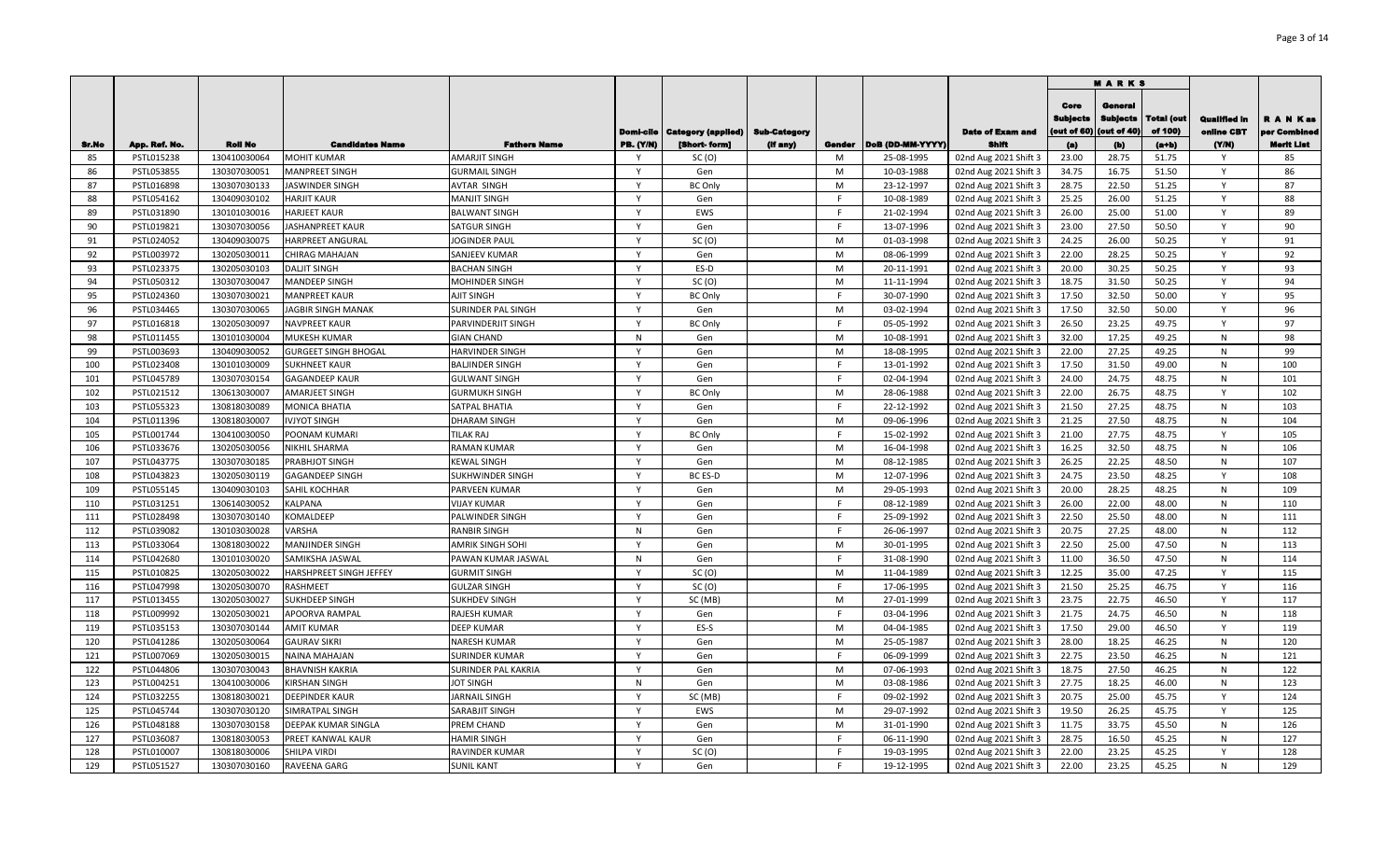|              |               |                |                             |                            |                  |                           |                     |        |                  |                         |                                        | <b>MARKS</b>                             |                       |                                   |                           |
|--------------|---------------|----------------|-----------------------------|----------------------------|------------------|---------------------------|---------------------|--------|------------------|-------------------------|----------------------------------------|------------------------------------------|-----------------------|-----------------------------------|---------------------------|
|              |               |                |                             |                            | Domi-cile        | <b>Category (applied)</b> | <b>Sub-Category</b> |        |                  | <b>Date of Exam and</b> | Core<br><b>Subjects</b><br>(out of 60) | Genera<br><b>Subjects</b><br>(out of 40) | Total (out<br>of 100) | <b>Qualified In</b><br>online CBT | R A N Kas<br>per Combined |
| <b>Sr.No</b> | App. Ref. No. | <b>Roll No</b> | <b>Candidates Name</b>      | <b>Fathers Name</b>        | <b>PB. (Y/N)</b> | [Short-form]              | (if any)            | Gender | DoB (DD-MM-YYYY) | Shift                   | (a)                                    | (b)                                      | $(a+b)$               | (YM)                              | Merit List                |
| 85           | PSTL015238    | 130410030064   | <b>MOHIT KUMAR</b>          | <b>AMARJIT SINGH</b>       | Y                | SC(0)                     |                     | M      | 25-08-1995       | 02nd Aug 2021 Shift 3   | 23.00                                  | 28.75                                    | 51.75                 | Y                                 | 85                        |
| 86           | PSTL053855    | 130307030051   | <b>MANPREET SINGH</b>       | <b>GURMAIL SINGH</b>       | Y                | Gen                       |                     | M      | 10-03-1988       | 02nd Aug 2021 Shift 3   | 34.75                                  | 16.75                                    | 51.50                 | Y                                 | 86                        |
| 87           | PSTL016898    | 130307030133   | JASWINDER SINGH             | <b>AVTAR SINGH</b>         | $\mathsf{Y}$     | <b>BC Only</b>            |                     | M      | 23-12-1997       | 02nd Aug 2021 Shift 3   | 28.75                                  | 22.50                                    | 51.25                 | Y                                 | 87                        |
| 88           | PSTL054162    | 130409030102   | HARJIT KAUR                 | <b>MANJIT SINGH</b>        | $\mathsf{Y}$     | Gen                       |                     | F.     | 10-08-1989       | 02nd Aug 2021 Shift 3   | 25.25                                  | 26.00                                    | 51.25                 | Y                                 | 88                        |
| 89           | PSTL031890    | 130101030016   | <b>HARJEET KAUR</b>         | <b>BALWANT SINGH</b>       | $\mathsf{Y}$     | EWS                       |                     | F      | 21-02-1994       | 02nd Aug 2021 Shift 3   | 26.00                                  | 25.00                                    | 51.00                 | Y                                 | 89                        |
| 90           | PSTL019821    | 130307030056   | <b>JASHANPREET KAUR</b>     | <b>SATGUR SINGH</b>        | Y                | Gen                       |                     | F      | 13-07-1996       | 02nd Aug 2021 Shift 3   | 23.00                                  | 27.50                                    | 50.50                 | Y                                 | 90                        |
| 91           | PSTL024052    | 130409030075   | <b>HARPREET ANGURAL</b>     | <b>JOGINDER PAUL</b>       | Y                | SC(0)                     |                     | M      | 01-03-1998       | 02nd Aug 2021 Shift 3   | 24.25                                  | 26.00                                    | 50.25                 | Y                                 | 91                        |
| 92           | PSTL003972    | 130205030011   | <b>CHIRAG MAHAJAN</b>       | SANJEEV KUMAR              | Y                | Gen                       |                     | M      | 08-06-1999       | 02nd Aug 2021 Shift 3   | 22.00                                  | 28.25                                    | 50.25                 | Y                                 | 92                        |
| 93           | PSTL023375    | 130205030103   | <b>DALJIT SINGH</b>         | <b>BACHAN SINGH</b>        | Y                | ES-D                      |                     | M      | 20-11-1991       | 02nd Aug 2021 Shift 3   | 20.00                                  | 30.25                                    | 50.25                 | Y                                 | 93                        |
| 94           | PSTL050312    | 130307030047   | <b>MANDEEP SINGH</b>        | <b>MOHINDER SINGH</b>      | Y                | SC(0)                     |                     | M      | 11-11-1994       | 02nd Aug 2021 Shift 3   | 18.75                                  | 31.50                                    | 50.25                 | Y                                 | 94                        |
| 95           | PSTL024360    | 130307030021   | <b>MANPREET KAUR</b>        | <b>AJIT SINGH</b>          | Y                | <b>BC Only</b>            |                     | F      | 30-07-1990       | 02nd Aug 2021 Shift 3   | 17.50                                  | 32.50                                    | 50.00                 | Y                                 | 95                        |
| 96           | PSTL034465    | 130307030065   | JAGBIR SINGH MANAK          | <b>SURINDER PAL SINGH</b>  | Y                | Gen                       |                     | M      | 03-02-1994       | 02nd Aug 2021 Shift 3   | 17.50                                  | 32.50                                    | 50.00                 | Υ                                 | 96                        |
| 97           | PSTL016818    | 130205030097   | <b>NAVPREET KAUR</b>        | PARVINDERJIT SINGH         | <b>V</b>         | <b>BC Only</b>            |                     | F      | 05-05-1992       | 02nd Aug 2021 Shift 3   | 26.50                                  | 23.25                                    | 49.75                 |                                   | 97                        |
| 98           | PSTL011455    | 130101030004   | MUKESH KUMAR                | <b>GIAN CHAND</b>          | N                | Gen                       |                     | M      | 10-08-1991       | 02nd Aug 2021 Shift 3   | 32.00                                  | 17.25                                    | 49.25                 | N                                 | 98                        |
| 99           | PSTL003693    | 130409030052   | <b>GURGEET SINGH BHOGAL</b> | <b>HARVINDER SINGH</b>     | Y                | Gen                       |                     | M      | 18-08-1995       | 02nd Aug 2021 Shift 3   | 22.00                                  | 27.25                                    | 49.25                 | N                                 | 99                        |
| 100          | PSTL023408    | 130101030009   | <b>SUKHNEET KAUR</b>        | <b>BALJINDER SINGH</b>     | <b>V</b>         | Gen                       |                     |        | 13-01-1992       | 02nd Aug 2021 Shift 3   | 17.50                                  | 31.50                                    | 49.00                 | N                                 | 100                       |
| 101          | PSTL045789    | 130307030154   | <b>GAGANDEEP KAUR</b>       | <b>GULWANT SINGH</b>       | Y                | Gen                       |                     | F      | 02-04-1994       | 02nd Aug 2021 Shift 3   | 24.00                                  | 24.75                                    | 48.75                 | N                                 | 101                       |
| 102          | PSTL021512    | 130613030007   | <b>AMARJEET SINGH</b>       | <b>GURMUKH SINGH</b>       | Y                | <b>BC Only</b>            |                     | M      | 28-06-1988       | 02nd Aug 2021 Shift 3   | 22.00                                  | 26.75                                    | 48.75                 | Y                                 | 102                       |
| 103          | PSTL055323    | 130818030089   | <b>MONICA BHATIA</b>        | SATPAL BHATIA              | $\mathsf{Y}$     | Gen                       |                     | F      | 22-12-1992       | 02nd Aug 2021 Shift 3   | 21.50                                  | 27.25                                    | 48.75                 | N                                 | 103                       |
| 104          | PSTL011396    | 130818030007   | <b>IVJYOT SINGH</b>         | <b>DHARAM SINGH</b>        | Y                | Gen                       |                     | M      | 09-06-1996       | 02nd Aug 2021 Shift 3   | 21.25                                  | 27.50                                    | 48.75                 | N                                 | 104                       |
| 105          | PSTL001744    | 130410030050   | POONAM KUMARI               | <b>TILAK RAJ</b>           | $\mathsf{Y}$     | <b>BC Only</b>            |                     | E      | 15-02-1992       | 02nd Aug 2021 Shift 3   | 21.00                                  | 27.75                                    | 48.75                 | $\mathsf{Y}$                      | 105                       |
| 106          | PSTL033676    | 130205030056   | <b>NIKHIL SHARMA</b>        | <b>RAMAN KUMAR</b>         | Y                | Gen                       |                     | M      | 16-04-1998       | 02nd Aug 2021 Shift 3   | 16.25                                  | 32.50                                    | 48.75                 | N                                 | 106                       |
| 107          | PSTL043775    | 130307030185   | PRABHJOT SINGH              | <b>KEWAL SINGH</b>         | $\mathsf{Y}$     | Gen                       |                     | M      | 08-12-1985       | 02nd Aug 2021 Shift 3   | 26.25                                  | 22.25                                    | 48.50                 | N                                 | 107                       |
| 108          | PSTL043823    | 130205030119   | <b>GAGANDEEP SINGH</b>      | <b>SUKHWINDER SINGH</b>    | Y                | <b>BC ES-D</b>            |                     | M      | 12-07-1996       | 02nd Aug 2021 Shift 3   | 24.75                                  | 23.50                                    | 48.25                 | Y                                 | 108                       |
| 109          | PSTL055145    | 130409030103   | SAHIL KOCHHAR               | PARVEEN KUMAR              | $\mathsf{Y}$     | Gen                       |                     | M      | 29-05-1993       | 02nd Aug 2021 Shift 3   | 20.00                                  | 28.25                                    | 48.25                 | N                                 | 109                       |
| 110          | PSTL031251    | 130614030052   | <b>KALPANA</b>              | <b>VIJAY KUMAR</b>         | $\mathsf{Y}$     | Gen                       |                     | F      | 08-12-1989       | 02nd Aug 2021 Shift 3   | 26.00                                  | 22.00                                    | 48.00                 | N                                 | 110                       |
| 111          | PSTL028498    | 130307030140   | <b>KOMALDEEP</b>            | <b>PALWINDER SINGH</b>     | Y                | Gen                       |                     | F      | 25-09-1992       | 02nd Aug 2021 Shift 3   | 22.50                                  | 25.50                                    | 48.00                 | N                                 | 111                       |
| 112          | PSTL039082    | 130103030028   | VARSHA                      | <b>RANBIR SINGH</b>        | N                | Gen                       |                     | F      | 26-06-1997       | 02nd Aug 2021 Shift 3   | 20.75                                  | 27.25                                    | 48.00                 | N                                 | 112                       |
| 113          | PSTL033064    | 130818030022   | <b>MANJINDER SINGH</b>      | <b>AMRIK SINGH SOHI</b>    | Y                | Gen                       |                     | M      | 30-01-1995       | 02nd Aug 2021 Shift 3   | 22.50                                  | 25.00                                    | 47.50                 | N                                 | 113                       |
| 114          | PSTL042680    | 130101030020   | SAMIKSHA JASWAL             | PAWAN KUMAR JASWAL         | N                | Gen                       |                     | F      | 31-08-1990       | 02nd Aug 2021 Shift 3   | 11.00                                  | 36.50                                    | 47.50                 | N                                 | 114                       |
| 115          | PSTL010825    | 130205030022   | HARSHPREET SINGH JEFFEY     | <b>GURMIT SINGH</b>        | $\mathsf{Y}$     | SC(0)                     |                     | M      | 11-04-1989       | 02nd Aug 2021 Shift 3   | 12.25                                  | 35.00                                    | 47.25                 | Y                                 | 115                       |
| 116          | PSTL047998    | 130205030070   | <b>RASHMEET</b>             | <b>GULZAR SINGH</b>        | $\mathsf{Y}$     | SC(0)                     |                     | F      | 17-06-1995       | 02nd Aug 2021 Shift 3   | 21.50                                  | 25.25                                    | 46.75                 | Y                                 | 116                       |
| 117          | PSTL013455    | 130205030027   | SUKHDEEP SINGH              | <b>SUKHDEV SINGH</b>       | Y                | SC (MB)                   |                     | M      | 27-01-1999       | 02nd Aug 2021 Shift 3   | 23.75                                  | 22.75                                    | 46.50                 | ٧                                 | 117                       |
| 118          | PSTL009992    | 130205030021   | <b>APOORVA RAMPAL</b>       | <b>RAJESH KUMAR</b>        | Y                | Gen                       |                     | F      | 03-04-1996       | 02nd Aug 2021 Shift 3   | 21.75                                  | 24.75                                    | 46.50                 | N                                 | 118                       |
| 119          | PSTL035153    | 130307030144   | <b>AMIT KUMAR</b>           | <b>DEEP KUMAR</b>          | v                | ES-S                      |                     | M      | 04-04-1985       | 02nd Aug 2021 Shift 3   | 17.50                                  | 29.00                                    | 46.50                 |                                   | 119                       |
| 120          | PSTL041286    | 130205030064   | <b>GAURAV SIKRI</b>         | <b>NARESH KUMAR</b>        | v                | Gen                       |                     | M      | 25-05-1987       | 02nd Aug 2021 Shift 3   | 28.00                                  | 18.25                                    | 46.25                 | N                                 | 120                       |
| 121          | PSTL007069    | 130205030015   | <b>NAINA MAHAJAN</b>        | SURINDER KUMAR             | $\mathsf{v}$     | Gen                       |                     | F      | 06-09-1999       | 02nd Aug 2021 Shift 3   | 22.75                                  | 23.50                                    | 46.25                 | N                                 | 121                       |
| 122          | PSTL044806    | 130307030043   | <b>BHAVNISH KAKRIA</b>      | <b>SURINDER PAL KAKRIA</b> | Y                | Gen                       |                     | M      | 07-06-1993       | 02nd Aug 2021 Shift 3   | 18.75                                  | 27.50                                    | 46.25                 | N                                 | 122                       |
| 123          | PSTL004251    | 130410030006   | <b>KIRSHAN SINGH</b>        | <b>JOT SINGH</b>           | N                | Gen                       |                     | M      | 03-08-1986       | 02nd Aug 2021 Shift 3   | 27.75                                  | 18.25                                    | 46.00                 | N                                 | 123                       |
| 124          | PSTL032255    | 130818030021   | <b>DEEPINDER KAUR</b>       | <b>JARNAIL SINGH</b>       | $\mathsf{Y}$     | SC (MB)                   |                     | E      | 09-02-1992       | 02nd Aug 2021 Shift 3   | 20.75                                  | 25.00                                    | 45.75                 | Y                                 | 124                       |
| 125          | PSTL045744    | 130307030120   | SIMRATPAL SINGH             | SARABJIT SINGH             | Y                | EWS                       |                     | M      | 29-07-1992       | 02nd Aug 2021 Shift 3   | 19.50                                  | 26.25                                    | 45.75                 | Y                                 | 125                       |
| 126          | PSTL048188    | 130307030158   | DEEPAK KUMAR SINGLA         | PREM CHAND                 | Y                | Gen                       |                     | M      | 31-01-1990       | 02nd Aug 2021 Shift 3   | 11.75                                  | 33.75                                    | 45.50                 | N                                 | 126                       |
| 127          | PSTL036087    | 130818030053   | PREET KANWAL KAUR           | <b>HAMIR SINGH</b>         | Y                | Gen                       |                     | F      | 06-11-1990       | 02nd Aug 2021 Shift 3   | 28.75                                  | 16.50                                    | 45.25                 | N                                 | 127                       |
| 128          | PSTL010007    | 130818030006   | <b>SHILPA VIRDI</b>         | RAVINDER KUMAR             | $\mathsf{Y}$     | SC(0)                     |                     | E      | 19-03-1995       | 02nd Aug 2021 Shift 3   | 22.00                                  | 23.25                                    | 45.25                 | Y                                 | 128                       |
| 129          | PSTL051527    | 130307030160   | <b>RAVEENA GARG</b>         | <b>SUNIL KANT</b>          | Y                | Gen                       |                     | F.     | 19-12-1995       | 02nd Aug 2021 Shift 3   | 22.00                                  | 23.25                                    | 45.25                 | N                                 | 129                       |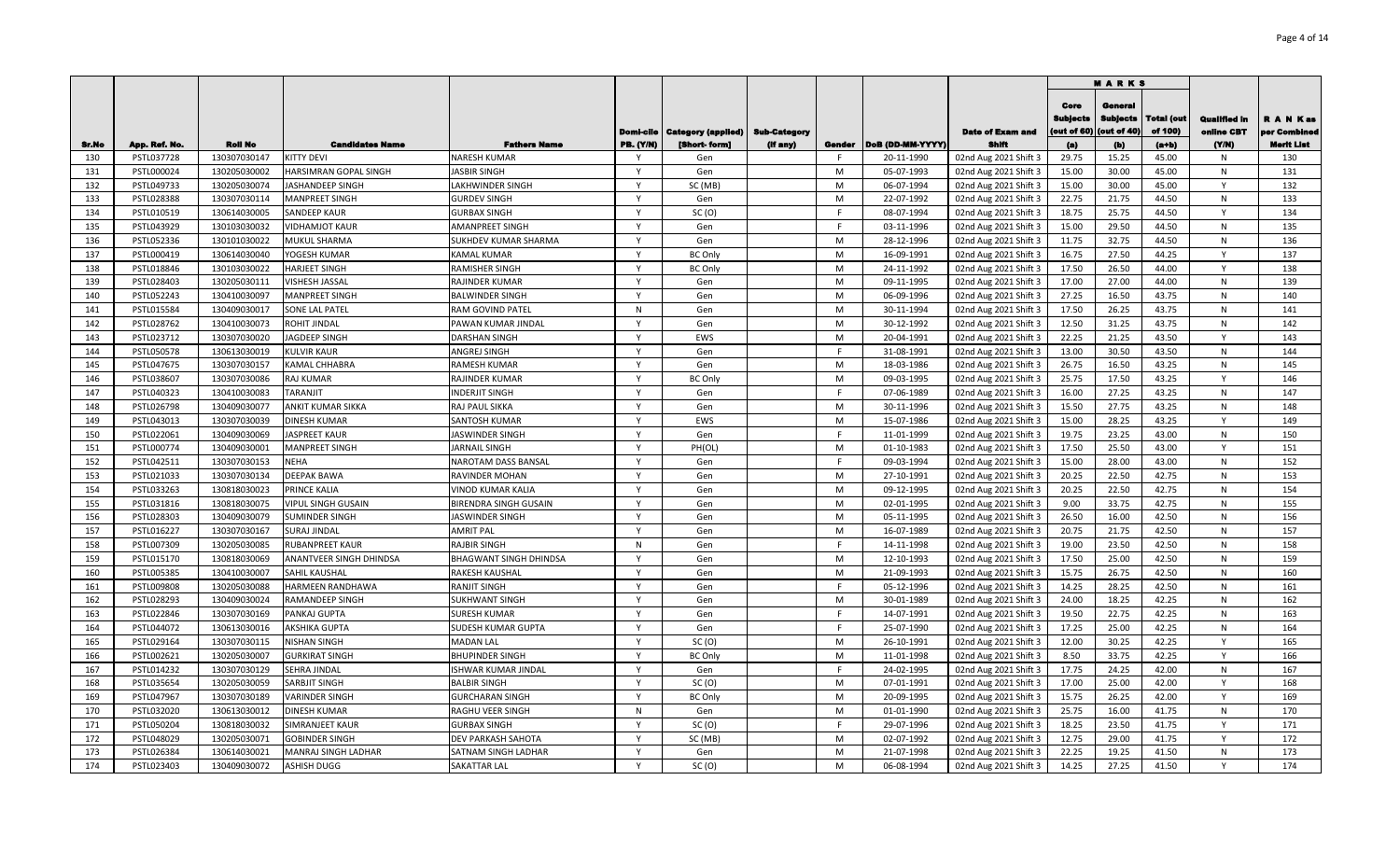|            |                          |                              |                                            |                                            |                |                           |              |        |                          |                                                |                                        | <b>MARKS</b>                              |                              |                            |                           |
|------------|--------------------------|------------------------------|--------------------------------------------|--------------------------------------------|----------------|---------------------------|--------------|--------|--------------------------|------------------------------------------------|----------------------------------------|-------------------------------------------|------------------------------|----------------------------|---------------------------|
|            |                          |                              |                                            |                                            | Domi-cile      | <b>Category (applied)</b> | Sub-Category |        |                          | <b>Date of Exam and</b>                        | Core<br><b>Subjects</b><br>(out of 60) | General<br><b>Subjects</b><br>(out of 40) | <b>Total (out</b><br>of 100) | Qualified in<br>online CBT | R A N Kas<br>per Combined |
| Sr.No      | App. Ref. No.            | <b>Roll No</b>               | <b>Candidates Name</b>                     | <b>Fathers Name</b><br><b>NARESH KUMAR</b> | PB. (Y/N)<br>v | [Short-form]              | (if any)     | Gender | DoB (DD-MM-YYYY)         | Shifi                                          | (a)                                    | (b)                                       | (a+b)                        | (Y/N)                      | <b>Merit List</b>         |
| 130<br>131 | PSTL037728<br>PSTL000024 | 130307030147<br>130205030002 | <b>KITTY DEVI</b><br>HARSIMRAN GOPAL SINGH | <b>IASBIR SINGH</b>                        | Y              | Gen<br>Gen                |              | M      | 20-11-1990<br>05-07-1993 | 02nd Aug 2021 Shift 3<br>02nd Aug 2021 Shift 3 | 29.75<br>15.00                         | 15.25<br>30.00                            | 45.00<br>45.00               | N<br>N                     | 130<br>131                |
| 132        | PSTL049733               | 130205030074                 | JASHANDEEP SINGH                           | LAKHWINDER SINGH                           | $\mathsf{v}$   | SC (MB)                   |              | M      | 06-07-1994               | 02nd Aug 2021 Shift 3                          | 15.00                                  | 30.00                                     | 45.00                        | Y                          | 132                       |
| 133        | PSTL028388               | 130307030114                 | <b>MANPREET SINGH</b>                      | <b>GURDEV SINGH</b>                        | Y              | Gen                       |              | M      | 22-07-1992               | 02nd Aug 2021 Shift 3                          | 22.75                                  | 21.75                                     | 44.50                        | N                          | 133                       |
| 134        | PSTL010519               | 130614030005                 | <b>SANDEEP KAUR</b>                        | <b>GURBAX SINGH</b>                        | Y              | SC(0)                     |              |        | 08-07-1994               | 02nd Aug 2021 Shift 3                          | 18.75                                  | 25.75                                     | 44.50                        | Y                          | 134                       |
| 135        | PSTL043929               | 130103030032                 | <b>VIDHAMJOT KAUR</b>                      | AMANPREET SINGH                            | Y              | Gen                       |              |        | 03-11-1996               | 02nd Aug 2021 Shift 3                          | 15.00                                  | 29.50                                     | 44.50                        | N                          | 135                       |
| 136        | PSTL052336               | 130101030022                 | MUKUL SHARMA                               | SUKHDEV KUMAR SHARMA                       | Y              | Gen                       |              | M      | 28-12-1996               | 02nd Aug 2021 Shift 3                          | 11.75                                  | 32.75                                     | 44.50                        | ${\sf N}$                  | 136                       |
| 137        | PSTL000419               | 130614030040                 | YOGESH KUMAR                               | KAMAL KUMAR                                | Y              | <b>BC Only</b>            |              | M      | 16-09-1991               | 02nd Aug 2021 Shift 3                          | 16.75                                  | 27.50                                     | 44.25                        | Y                          | 137                       |
| 138        | PSTL018846               | 130103030022                 | <b>HARJEET SINGH</b>                       | RAMISHER SINGH                             | Y              | <b>BC Only</b>            |              | M      | 24-11-1992               | 02nd Aug 2021 Shift 3                          | 17.50                                  | 26.50                                     | 44.00                        | Y                          | 138                       |
| 139        | PSTL028403               | 130205030111                 | VISHESH JASSAL                             | RAJINDER KUMAR                             | Y              | Gen                       |              | M      | 09-11-1995               | 02nd Aug 2021 Shift 3                          | 17.00                                  | 27.00                                     | 44.00                        | N                          | 139                       |
| 140        | PSTL052243               | 130410030097                 | <b>MANPREET SINGH</b>                      | <b>BALWINDER SINGH</b>                     | Y              | Gen                       |              | M      | 06-09-1996               | 02nd Aug 2021 Shift 3                          | 27.25                                  | 16.50                                     | 43.75                        | N                          | 140                       |
| 141        | PSTL015584               | 130409030017                 | SONE LAL PATEL                             | RAM GOVIND PATEL                           | N              | Gen                       |              | M      | 30-11-1994               | 02nd Aug 2021 Shift 3                          | 17.50                                  | 26.25                                     | 43.75                        | N                          | 141                       |
| 142        | PSTL028762               | 130410030073                 | ROHIT JINDAL                               | PAWAN KUMAR JINDAL                         | Y              | Gen                       |              | M      | 30-12-1992               | 02nd Aug 2021 Shift 3                          | 12.50                                  | 31.25                                     | 43.75                        | N                          | 142                       |
| 143        | PSTL023712               | 130307030020                 | JAGDEEP SINGH                              | DARSHAN SINGH                              | Y              | EWS                       |              | M      | 20-04-1991               | 02nd Aug 2021 Shift 3                          | 22.25                                  | 21.25                                     | 43.50                        | Y                          | 143                       |
| 144        | PSTL050578               | 130613030019                 | <b>KULVIR KAUR</b>                         | ANGREJ SINGH                               | Y              | Gen                       |              | F.     | 31-08-1991               | 02nd Aug 2021 Shift 3                          | 13.00                                  | 30.50                                     | 43.50                        | N                          | 144                       |
| 145        | PSTL047675               | 130307030157                 | KAMAL CHHABRA                              | RAMESH KUMAR                               | Y              | Gen                       |              | M      | 18-03-1986               | 02nd Aug 2021 Shift 3                          | 26.75                                  | 16.50                                     | 43.25                        | N                          | 145                       |
| 146        | PSTL038607               | 130307030086                 | <b>RAJ KUMAR</b>                           | RAJINDER KUMAR                             | Y              | <b>BC Only</b>            |              | M      | 09-03-1995               | 02nd Aug 2021 Shift 3                          | 25.75                                  | 17.50                                     | 43.25                        | Y                          | 146                       |
| 147        | PSTL040323               | 130410030083                 | TARANJIT                                   | INDERJIT SINGH                             | $\mathsf{Y}$   | Gen                       |              | F      | 07-06-1989               | 02nd Aug 2021 Shift 3                          | 16.00                                  | 27.25                                     | 43.25                        | N                          | 147                       |
| 148        | PSTL026798               | 130409030077                 | ANKIT KUMAR SIKKA                          | RAJ PAUL SIKKA                             | Y              | Gen                       |              | M      | 30-11-1996               | 02nd Aug 2021 Shift 3                          | 15.50                                  | 27.75                                     | 43.25                        | N                          | 148                       |
| 149        | PSTL043013               | 130307030039                 | <b>DINESH KUMAR</b>                        | SANTOSH KUMAR                              | Y              | EWS                       |              | M      | 15-07-1986               | 02nd Aug 2021 Shift 3                          | 15.00                                  | 28.25                                     | 43.25                        | Y                          | 149                       |
| 150        | PSTL022061               | 130409030069                 | <b>JASPREET KAUR</b>                       | JASWINDER SINGH                            | Y              | Gen                       |              |        | 11-01-1999               | 02nd Aug 2021 Shift 3                          | 19.75                                  | 23.25                                     | 43.00                        | N                          | 150                       |
| 151        | PSTL000774               | 130409030001                 | <b>MANPREET SINGH</b>                      | <b>ARNAIL SINGH</b>                        | Y              | PH(OL)                    |              | M      | 01-10-1983               | 02nd Aug 2021 Shift 3                          | 17.50                                  | 25.50                                     | 43.00                        | Y                          | 151                       |
| 152        | PSTL042511               | 130307030153                 | <b>NEHA</b>                                | NAROTAM DASS BANSAL                        | Y              | Gen                       |              |        | 09-03-1994               | 02nd Aug 2021 Shift 3                          | 15.00                                  | 28.00                                     | 43.00                        | N                          | 152                       |
| 153        | PSTL021033               | 130307030134                 | <b>DEEPAK BAWA</b>                         | RAVINDER MOHAN                             | Y              | Gen                       |              | M      | 27-10-1991               | 02nd Aug 2021 Shift 3                          | 20.25                                  | 22.50                                     | 42.75                        | N                          | 153                       |
| 154        | PSTL033263               | 130818030023                 | PRINCE KALIA                               | VINOD KUMAR KALIA                          | Y              | Gen                       |              | M      | 09-12-1995               | 02nd Aug 2021 Shift 3                          | 20.25                                  | 22.50                                     | 42.75                        | N                          | 154                       |
| 155        | PSTL031816               | 130818030075                 | <b>VIPUL SINGH GUSAIN</b>                  | <b>BIRENDRA SINGH GUSAIN</b>               | Y              | Gen                       |              | M      | 02-01-1995               | 02nd Aug 2021 Shift 3                          | 9.00                                   | 33.75                                     | 42.75                        | ${\sf N}$                  | 155                       |
| 156        | PSTL028303               | 130409030079                 | <b>SUMINDER SINGH</b>                      | <b>JASWINDER SINGH</b>                     | $\mathsf{Y}$   | Gen                       |              | M      | 05-11-1995               | 02nd Aug 2021 Shift 3                          | 26.50                                  | 16.00                                     | 42.50                        | N                          | 156                       |
| 157        | PSTL016227               | 130307030167                 | <b>SURAJ JINDAL</b>                        | AMRIT PAL                                  | Y              | Gen                       |              | M      | 16-07-1989               | 02nd Aug 2021 Shift 3                          | 20.75                                  | 21.75                                     | 42.50                        | N                          | 157                       |
| 158        | PSTL007309               | 130205030085                 | RUBANPREET KAUR                            | RAJBIR SINGH                               | N              | Gen                       |              | E      | 14-11-1998               | 02nd Aug 2021 Shift 3                          | 19.00                                  | 23.50                                     | 42.50                        | N                          | 158                       |
| 159        | PSTL015170               | 130818030069                 | ANANTVEER SINGH DHINDSA                    | BHAGWANT SINGH DHINDSA                     | Y              | Gen                       |              | M      | 12-10-1993               | 02nd Aug 2021 Shift 3                          | 17.50                                  | 25.00                                     | 42.50                        | N                          | 159                       |
| 160        | PSTL005385               | 130410030007                 | SAHIL KAUSHAL                              | RAKESH KAUSHAL                             | Y              | Gen                       |              | M      | 21-09-1993               | 02nd Aug 2021 Shift 3                          | 15.75                                  | 26.75                                     | 42.50                        | N                          | 160                       |
| 161        | PSTL009808               | 130205030088                 | HARMEEN RANDHAWA                           | RANJIT SINGH                               | Y              | Gen                       |              | F      | 05-12-1996               | 02nd Aug 2021 Shift 3                          | 14.25                                  | 28.25                                     | 42.50                        | N                          | 161                       |
| 162        | PSTL028293               | 130409030024                 | <b>RAMANDEEP SINGH</b>                     | SUKHWANT SINGH                             | Y              | Gen                       |              | M      | 30-01-1989               | 02nd Aug 2021 Shift 3                          | 24.00                                  | 18.25                                     | 42.25                        | N                          | 162                       |
| 163        | PSTL022846               | 130307030169                 | PANKAJ GUPTA                               | <b>SURESH KUMAR</b>                        | Y              | Gen                       |              | F.     | 14-07-1991               | 02nd Aug 2021 Shift 3                          | 19.50                                  | 22.75                                     | 42.25                        | N                          | 163                       |
| 164        | PSTL044072               | 130613030016                 | <b>AKSHIKA GUPTA</b>                       | SUDESH KUMAR GUPTA                         | Y              | Gen                       |              | F.     | 25-07-1990               | 02nd Aug 2021 Shift 3                          | 17.25                                  | 25.00                                     | 42.25                        | N                          | 164                       |
| 165        | PSTL029164               | 130307030115                 | <b>NISHAN SINGH</b>                        | <b>MADAN LAL</b>                           | Y              | SC(0)                     |              | M      | 26-10-1991               | 02nd Aug 2021 Shift 3                          | 12.00                                  | 30.25                                     | 42.25                        | Y                          | 165                       |
| 166        | PSTL002621               | 130205030007                 | <b>GURKIRAT SINGH</b>                      | BHUPINDER SINGH                            | $\mathsf{Y}$   | <b>BC Only</b>            |              | M      | 11-01-1998               | 02nd Aug 2021 Shift 3                          | 8.50                                   | 33.75                                     | 42.25                        | Y                          | 166                       |
| 167        | PSTL014232               | 130307030129                 | SEHRA JINDAL                               | ISHWAR KUMAR JINDAL                        | Y              | Gen                       |              |        | 24-02-1995               | 02nd Aug 2021 Shift 3                          | 17.75                                  | 24.25                                     | 42.00                        | N                          | 167                       |
| 168        | PSTL035654               | 130205030059                 | SARBJIT SINGH                              | <b>BALBIR SINGH</b>                        | Y              | SC(0)                     |              | M      | 07-01-1991               | 02nd Aug 2021 Shift 3                          | 17.00                                  | 25.00                                     | 42.00                        | Y                          | 168                       |
| 169        | PSTL047967               | 130307030189                 | <b>VARINDER SINGH</b>                      | <b>GURCHARAN SINGH</b>                     | Y              | <b>BC Only</b>            |              | M      | 20-09-1995               | 02nd Aug 2021 Shift 3                          | 15.75                                  | 26.25                                     | 42.00                        |                            | 169                       |
| 170        | PSTL032020               | 130613030012                 | <b>DINESH KUMAR</b>                        | RAGHU VEER SINGH                           | N              | Gen                       |              | M      | 01-01-1990               | 02nd Aug 2021 Shift 3                          | 25.75                                  | 16.00                                     | 41.75                        | N                          | 170                       |
| 171        | PSTL050204               | 130818030032                 | SIMRANJEET KAUR                            | <b>GURBAX SINGH</b>                        | Y              | SC(0)                     |              |        | 29-07-1996               | 02nd Aug 2021 Shift 3                          | 18.25                                  | 23.50                                     | 41.75                        | Y                          | 171                       |
| 172<br>173 | PSTL048029               | 130205030071                 | <b>GOBINDER SINGH</b>                      | DEV PARKASH SAHOTA                         | Y<br>Y         | SC (MB)                   |              | M<br>M | 02-07-1992               | 02nd Aug 2021 Shift 3                          | 12.75<br>22.25                         | 29.00                                     | 41.75<br>41.50               | Y                          | 172<br>173                |
|            | PSTL026384               | 130614030021                 | MANRAJ SINGH LADHAR                        | SATNAM SINGH LADHAR                        | Y              | Gen                       |              | M      | 21-07-1998               | 02nd Aug 2021 Shift 3                          |                                        | 19.25                                     |                              | N<br>Y                     | 174                       |
| 174        | PSTL023403               | 130409030072                 | <b>ASHISH DUGG</b>                         | <b>SAKATTAR LAL</b>                        |                | SC(0)                     |              |        | 06-08-1994               | 02nd Aug 2021 Shift 3                          | 14.25                                  | 27.25                                     | 41.50                        |                            |                           |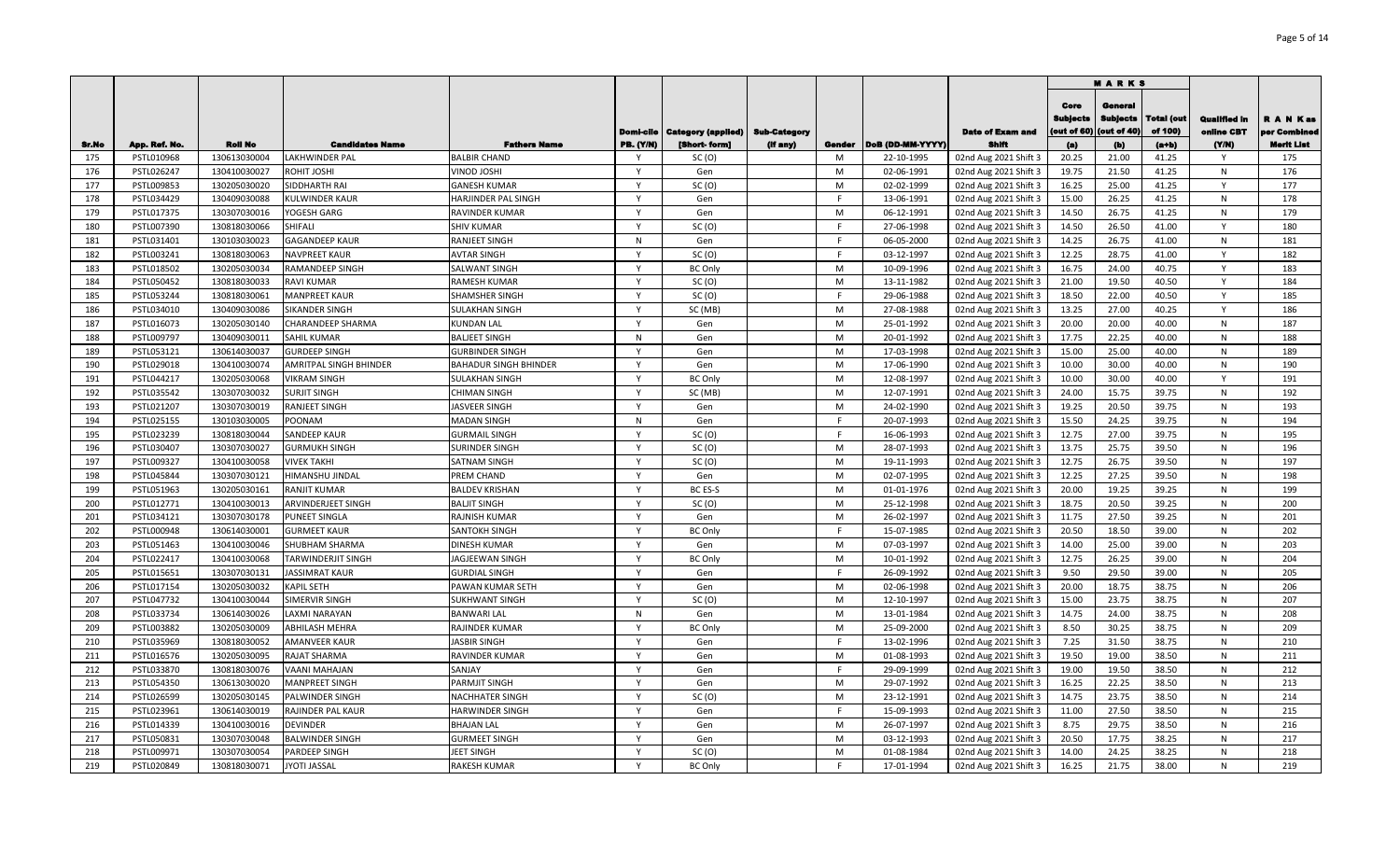|       |               |                |                               |                              |                               |                                           |                                 |        |                  |                                  |                                        | <b>MARKS</b>                                     |                                  |                                    |                                               |
|-------|---------------|----------------|-------------------------------|------------------------------|-------------------------------|-------------------------------------------|---------------------------------|--------|------------------|----------------------------------|----------------------------------------|--------------------------------------------------|----------------------------------|------------------------------------|-----------------------------------------------|
| Sr.No | App. Ref. No. | <b>Roll No</b> | <b>Candidates Name</b>        | <b>Fathers Name</b>          | Domi-cile<br><b>PB. (Y/N)</b> | <b>Category (applied)</b><br>[Short-form] | <b>Sub-Category</b><br>(if any) | Gender | DoB (DD-MM-YYYY) | <b>Date of Exam and</b><br>Shift | Core<br>Sublects<br>(out of 60)<br>(a) | General<br><b>Subjects</b><br>(out of 40)<br>(b) | Total (out<br>of 100)<br>$(a+b)$ | Qualified in<br>online CBT<br>(YM) | R A N Kas<br>er Combined<br><b>Merit List</b> |
| 175   | PSTL010968    | 130613030004   | LAKHWINDER PAL                | <b>BALBIR CHAND</b>          | Y                             | SC(0)                                     |                                 | M      | 22-10-1995       | 02nd Aug 2021 Shift 3            | 20.25                                  | 21.00                                            | 41.25                            | Y                                  | 175                                           |
| 176   | PSTL026247    | 130410030027   | ROHIT JOSHI                   | VINOD JOSHI                  | Y                             | Gen                                       |                                 | M      | 02-06-1991       | 02nd Aug 2021 Shift 3            | 19.75                                  | 21.50                                            | 41.25                            | N                                  | 176                                           |
| 177   | PSTL009853    | 130205030020   | SIDDHARTH RAI                 | <b>GANESH KUMAR</b>          | Y                             | SC(0)                                     |                                 | M      | 02-02-1999       | 02nd Aug 2021 Shift 3            | 16.25                                  | 25.00                                            | 41.25                            | Y                                  | 177                                           |
| 178   | PSTL034429    | 130409030088   | <b>KULWINDER KAUR</b>         | HARJINDER PAL SINGH          | Y                             | Gen                                       |                                 | E      | 13-06-1991       | 02nd Aug 2021 Shift 3            | 15.00                                  | 26.25                                            | 41.25                            | N                                  | 178                                           |
| 179   | PSTL017375    | 130307030016   | YOGESH GARG                   | <b>RAVINDER KUMAR</b>        | Y                             | Gen                                       |                                 | M      | 06-12-1991       | 02nd Aug 2021 Shift 3            | 14.50                                  | 26.75                                            | 41.25                            | N                                  | 179                                           |
| 180   | PSTL007390    | 130818030066   | SHIFALI                       | <b>SHIV KUMAR</b>            | Y                             | SC(0)                                     |                                 |        | 27-06-1998       | 02nd Aug 2021 Shift 3            | 14.50                                  | 26.50                                            | 41.00                            | Y                                  | 180                                           |
| 181   | PSTL031401    | 130103030023   | <b>GAGANDEEP KAUR</b>         | <b>RANJEET SINGH</b>         | N                             | Gen                                       |                                 |        | 06-05-2000       | 02nd Aug 2021 Shift 3            | 14.25                                  | 26.75                                            | 41.00                            | N                                  | 181                                           |
| 182   | PSTL003241    | 130818030063   | <b>NAVPREET KAUR</b>          | <b>AVTAR SINGH</b>           | Y                             | SC(0)                                     |                                 |        | 03-12-1997       | 02nd Aug 2021 Shift 3            | 12.25                                  | 28.75                                            | 41.00                            | Y                                  | 182                                           |
| 183   | PSTL018502    | 130205030034   | RAMANDEEP SINGH               | <b>SALWANT SINGH</b>         | Y                             | <b>BC Only</b>                            |                                 | M      | 10-09-1996       | 02nd Aug 2021 Shift 3            | 16.75                                  | 24.00                                            | 40.75                            | Y                                  | 183                                           |
| 184   | PSTL050452    | 130818030033   | <b>RAVI KUMAR</b>             | <b>RAMESH KUMAR</b>          | $\mathsf{v}$                  | SC(0)                                     |                                 | M      | 13-11-1982       | 02nd Aug 2021 Shift 3            | 21.00                                  | 19.50                                            | 40.50                            | Y                                  | 184                                           |
| 185   | PSTL053244    | 130818030061   | <b>MANPREET KAUR</b>          | <b>SHAMSHER SINGH</b>        | $\mathsf{Y}$                  | SC(0)                                     |                                 |        | 29-06-1988       | 02nd Aug 2021 Shift 3            | 18.50                                  | 22.00                                            | 40.50                            | Y                                  | 185                                           |
| 186   | PSTL034010    | 130409030086   | <b>SIKANDER SINGH</b>         | <b>SULAKHAN SINGH</b>        | Y                             | SC (MB)                                   |                                 | M      | 27-08-1988       | 02nd Aug 2021 Shift 3            | 13.25                                  | 27.00                                            | 40.25                            | Y                                  | 186                                           |
| 187   | PSTL016073    | 130205030140   | <b>CHARANDEEP SHARMA</b>      | <b>KUNDAN LAL</b>            | $\mathsf{Y}$                  | Gen                                       |                                 | M      | 25-01-1992       | 02nd Aug 2021 Shift 3            | 20.00                                  | 20.00                                            | 40.00                            | N                                  | 187                                           |
| 188   | PSTL009797    | 130409030011   | <b>SAHIL KUMAR</b>            | <b>BALJEET SINGH</b>         | N                             | Gen                                       |                                 | M      | 20-01-1992       | 02nd Aug 2021 Shift 3            | 17.75                                  | 22.25                                            | 40.00                            | N                                  | 188                                           |
| 189   | PSTL053121    | 130614030037   | <b>GURDEEP SINGH</b>          | <b>GURBINDER SINGH</b>       | $\mathsf{v}$                  | Gen                                       |                                 | M      | 17-03-1998       | 02nd Aug 2021 Shift 3            | 15.00                                  | 25.00                                            | 40.00                            | N                                  | 189                                           |
| 190   | PSTL029018    | 130410030074   | <b>AMRITPAL SINGH BHINDER</b> | <b>BAHADUR SINGH BHINDER</b> | $\mathsf{v}$                  | Gen                                       |                                 | M      | 17-06-1990       | 02nd Aug 2021 Shift 3            | 10.00                                  | 30.00                                            | 40.00                            | N                                  | 190                                           |
| 191   | PSTL044217    | 130205030068   | <b>VIKRAM SINGH</b>           | <b>SULAKHAN SINGH</b>        | $\mathsf{v}$                  | <b>BC Only</b>                            |                                 | M      | 12-08-1997       | 02nd Aug 2021 Shift 3            | 10.00                                  | 30.00                                            | 40.00                            | Y                                  | 191                                           |
| 192   | PSTL035542    | 130307030032   | <b>SURJIT SINGH</b>           | <b>CHIMAN SINGH</b>          | $\mathsf{v}$                  | SC (MB)                                   |                                 | M      | 12-07-1991       | 02nd Aug 2021 Shift 3            | 24.00                                  | 15.75                                            | 39.75                            | N                                  | 192                                           |
| 193   | PSTL021207    | 130307030019   | <b>RANJEET SINGH</b>          | <b>JASVEER SINGH</b>         | $\mathsf{Y}$                  | Gen                                       |                                 | M      | 24-02-1990       | 02nd Aug 2021 Shift 3            | 19.25                                  | 20.50                                            | 39.75                            | N                                  | 193                                           |
| 194   | PSTL025155    | 130103030005   | POONAM                        | <b>MADAN SINGH</b>           | N                             | Gen                                       |                                 | F      | 20-07-1993       | 02nd Aug 2021 Shift 3            | 15.50                                  | 24.25                                            | 39.75                            | N                                  | 194                                           |
| 195   | PSTL023239    | 130818030044   | <b>SANDEEP KAUR</b>           | <b>GURMAIL SINGH</b>         | $\mathsf{Y}$                  | SC(0)                                     |                                 | E      | 16-06-1993       | 02nd Aug 2021 Shift 3            | 12.75                                  | 27.00                                            | 39.75                            | N                                  | 195                                           |
| 196   | PSTL030407    | 130307030027   | <b>GURMUKH SINGH</b>          | <b>SURINDER SINGH</b>        | Y                             | SC(0)                                     |                                 | M      | 28-07-1993       | 02nd Aug 2021 Shift 3            | 13.75                                  | 25.75                                            | 39.50                            | N                                  | 196                                           |
| 197   | PSTL009327    | 130410030058   | <b>VIVEK TAKHI</b>            | <b>SATNAM SINGH</b>          | $\mathsf{Y}$                  | SC(0)                                     |                                 | M      | 19-11-1993       | 02nd Aug 2021 Shift 3            | 12.75                                  | 26.75                                            | 39.50                            | N                                  | 197                                           |
| 198   | PSTL045844    | 130307030121   | HIMANSHU JINDAL               | PREM CHAND                   | <b>V</b>                      | Gen                                       |                                 | M      | 02-07-1995       | 02nd Aug 2021 Shift 3            | 12.25                                  | 27.25                                            | 39.50                            | N                                  | 198                                           |
| 199   | PSTL051963    | 130205030161   | <b>RANJIT KUMAR</b>           | <b>BALDEV KRISHAN</b>        |                               | BC ES-S                                   |                                 | M      | 01-01-1976       | 02nd Aug 2021 Shift 3            | 20.00                                  | 19.25                                            | 39.25                            | N                                  | 199                                           |
| 200   | PSTL012771    | 130410030013   | ARVINDERJEET SINGH            | <b>BALJIT SINGH</b>          | <b>V</b>                      | SC(0)                                     |                                 | M      | 25-12-1998       | 02nd Aug 2021 Shift 3            | 18.75                                  | 20.50                                            | 39.25                            | N                                  | 200                                           |
| 201   | PSTL034121    | 130307030178   | <b>PUNEET SINGLA</b>          | RAJNISH KUMAR                | V                             | Gen                                       |                                 | M      | 26-02-1997       | 02nd Aug 2021 Shift 3            | 11.75                                  | 27.50                                            | 39.25                            | N                                  | 201                                           |
| 202   | PSTL000948    | 130614030001   | <b>GURMEET KAUR</b>           | <b>SANTOKH SINGH</b>         | $\mathbf{v}$                  | <b>BC Only</b>                            |                                 |        | 15-07-1985       | 02nd Aug 2021 Shift 3            | 20.50                                  | 18.50                                            | 39.00                            | N                                  | 202                                           |
| 203   | PSTL051463    | 130410030046   | SHUBHAM SHARMA                | <b>DINESH KUMAR</b>          | $\mathsf{Y}$                  | Gen                                       |                                 | M      | 07-03-1997       | 02nd Aug 2021 Shift 3            | 14.00                                  | 25.00                                            | 39.00                            | N                                  | 203                                           |
| 204   | PSTL022417    | 130410030068   | <b>TARWINDERJIT SINGH</b>     | <b>JAGJEEWAN SINGH</b>       | $\mathsf{v}$                  | <b>BC Only</b>                            |                                 | M      | 10-01-1992       | 02nd Aug 2021 Shift 3            | 12.75                                  | 26.25                                            | 39.00                            | N                                  | 204                                           |
| 205   | PSTL015651    | 130307030131   | <b>JASSIMRAT KAUR</b>         | <b>GURDIAL SINGH</b>         | $\mathsf{Y}$                  | Gen                                       |                                 |        | 26-09-1992       | 02nd Aug 2021 Shift 3            | 9.50                                   | 29.50                                            | 39.00                            | N                                  | 205                                           |
| 206   | PSTL017154    | 130205030032   | <b>KAPIL SETH</b>             | PAWAN KUMAR SETH             | $\mathsf{Y}$                  | Gen                                       |                                 | M      | 02-06-1998       | 02nd Aug 2021 Shift 3            | 20.00                                  | 18.75                                            | 38.75                            | N                                  | 206                                           |
| 207   | PSTL047732    | 130410030044   | SIMERVIR SINGH                | <b>SUKHWANT SINGH</b>        | $\mathsf{v}$                  | SC(0)                                     |                                 | M      | 12-10-1997       | 02nd Aug 2021 Shift 3            | 15.00                                  | 23.75                                            | 38.75                            | N                                  | 207                                           |
| 208   | PSTL033734    | 130614030026   | LAXMI NARAYAN                 | <b>BANWARI LAL</b>           | $\mathsf{N}$                  | Gen                                       |                                 | M      | 13-01-1984       | 02nd Aug 2021 Shift 3            | 14.75                                  | 24.00                                            | 38.75                            | N                                  | 208                                           |
| 209   | PSTL003882    | 130205030009   | <b>ABHILASH MEHRA</b>         | <b>RAJINDER KUMAR</b>        | $\mathsf{Y}$                  | <b>BC Only</b>                            |                                 | M      | 25-09-2000       | 02nd Aug 2021 Shift 3            | 8.50                                   | 30.25                                            | 38.75                            | N                                  | 209                                           |
| 210   | PSTL035969    | 130818030052   | <b>AMANVEER KAUR</b>          | <b>JASBIR SINGH</b>          | $\mathsf{Y}$                  | Gen                                       |                                 | E      | 13-02-1996       | 02nd Aug 2021 Shift 3            | 7.25                                   | 31.50                                            | 38.75                            | N                                  | 210                                           |
| 211   | PSTL016576    | 130205030095   | RAJAT SHARMA                  | RAVINDER KUMAR               | <b>V</b>                      | Gen                                       |                                 | M      | 01-08-1993       | 02nd Aug 2021 Shift 3            | 19.50                                  | 19.00                                            | 38.50                            | N                                  | 211                                           |
| 212   | PSTL033870    | 130818030076   | VAANI MAHAJAN                 | SANJAY                       | $\mathsf{Y}$                  | Gen                                       |                                 | F.     | 29-09-1999       | 02nd Aug 2021 Shift 3            | 19.00                                  | 19.50                                            | 38.50                            | N                                  | 212                                           |
| 213   | PSTL054350    | 130613030020   | <b>MANPREET SINGH</b>         | <b>PARMJIT SINGH</b>         | Y                             | Gen                                       |                                 | M      | 29-07-1992       | 02nd Aug 2021 Shift 3            | 16.25                                  | 22.25                                            | 38.50                            | N                                  | 213                                           |
| 214   | PSTL026599    | 130205030145   | PALWINDER SINGH               | <b>NACHHATER SINGH</b>       | $\mathsf{Y}$                  | SC(0)                                     |                                 | M      | 23-12-1991       | 02nd Aug 2021 Shift 3            | 14.75                                  | 23.75                                            | 38.50                            | N                                  | 214                                           |
| 215   | PSTL023961    | 130614030019   | RAJINDER PAL KAUR             | HARWINDER SINGH              | $\mathsf{Y}$                  | Gen                                       |                                 | F.     | 15-09-1993       | 02nd Aug 2021 Shift 3            | 11.00                                  | 27.50                                            | 38.50                            | N                                  | 215                                           |
| 216   | PSTL014339    | 130410030016   | <b>DEVINDER</b>               | <b>BHAJAN LAL</b>            | Y                             | Gen                                       |                                 | M      | 26-07-1997       | 02nd Aug 2021 Shift 3            | 8.75                                   | 29.75                                            | 38.50                            | N                                  | 216                                           |
| 217   | PSTL050831    | 130307030048   | <b>BALWINDER SINGH</b>        | <b>GURMEET SINGH</b>         | Y                             | Gen                                       |                                 | M      | 03-12-1993       | 02nd Aug 2021 Shift 3            | 20.50                                  | 17.75                                            | 38.25                            | N                                  | 217                                           |
| 218   | PSTL009971    | 130307030054   | <b>PARDEEP SINGH</b>          | <b>JEET SINGH</b>            |                               | SC(0)                                     |                                 | M      | 01-08-1984       | 02nd Aug 2021 Shift 3            | 14.00                                  | 24.25                                            | 38.25                            | N                                  | 218                                           |
| 219   | PSTL020849    | 130818030071   | <b>JYOTI JASSAL</b>           | <b>RAKESH KUMAR</b>          | Y                             | <b>BC Only</b>                            |                                 |        | 17-01-1994       | 02nd Aug 2021 Shift 3            | 16.25                                  | 21.75                                            | 38.00                            | N                                  | 219                                           |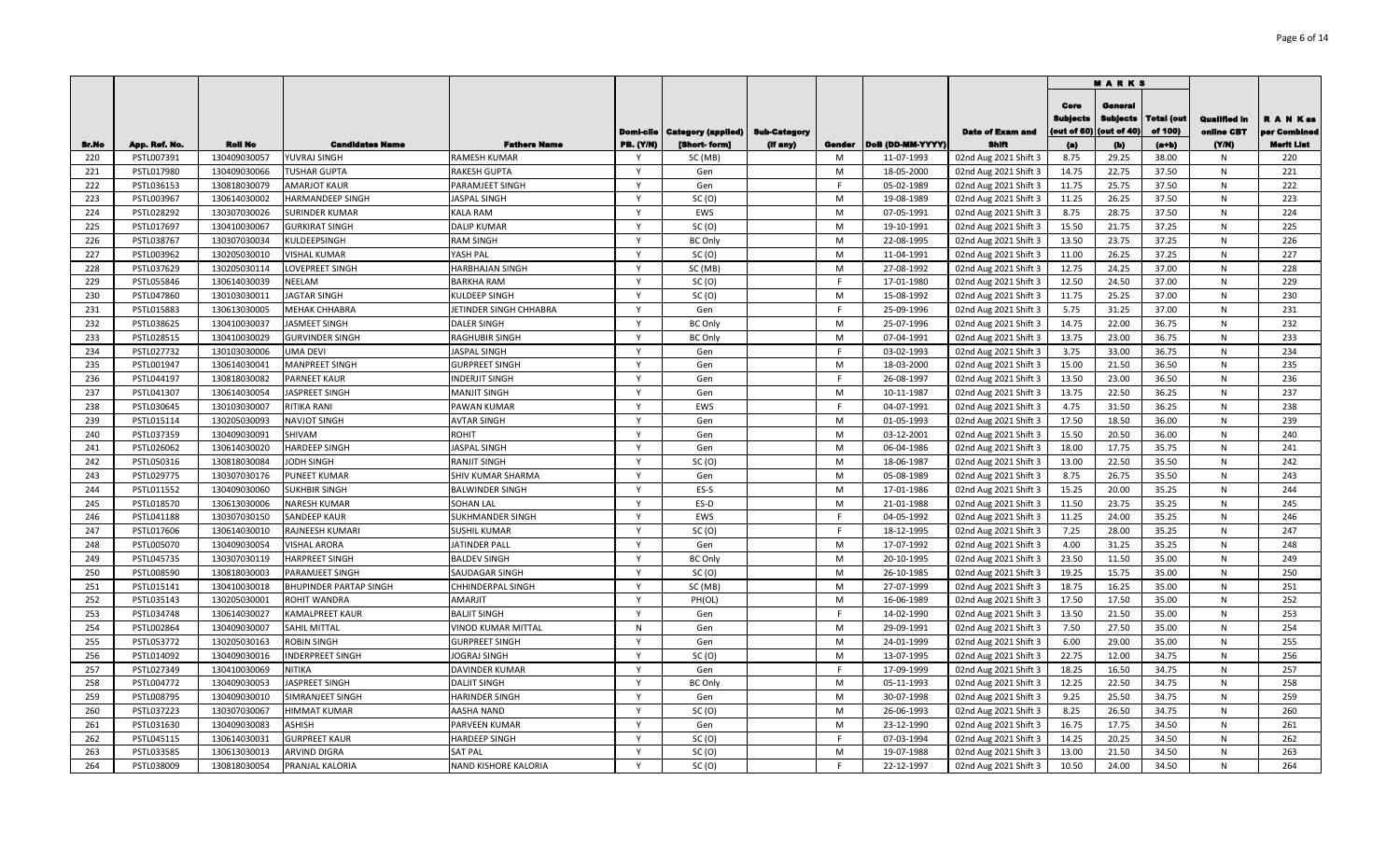|       |               |                |                         |                        |                              |                                       |                     |        |                  |                         |                                       | <b>MARKS</b>                              |                              |                                   |                               |
|-------|---------------|----------------|-------------------------|------------------------|------------------------------|---------------------------------------|---------------------|--------|------------------|-------------------------|---------------------------------------|-------------------------------------------|------------------------------|-----------------------------------|-------------------------------|
|       |               |                |                         |                        |                              | <b>Domi-cile   Category (applied)</b> | <b>Sub-Category</b> |        |                  | <b>Date of Exam and</b> | Core<br><b>Subjects</b><br>out of 60) | General<br><b>Subjects</b><br>(out of 40) | <b>Total (out</b><br>of 100) | <b>Qualified In</b><br>online CBT | <b>RANKas</b><br>per Combined |
| Sr.No | App. Ref. No. | <b>Roll No</b> | <b>Candidates Name</b>  | <b>Fathers Name</b>    | <b>PB.</b> (Y/N)             | [Short-form]                          | (if any)            | Gender | DoB (DD-MM-YYYY) | Shifi                   | (a)                                   | (b)                                       | $(a+b)$                      | (YM)                              | <b>Merit List</b>             |
| 220   | PSTL007391    | 130409030057   | YUVRAJ SINGH            | RAMESH KUMAR           | - Y                          | SC (MB)                               |                     | M      | 11-07-1993       | 02nd Aug 2021 Shift 3   | 8.75                                  | 29.25                                     | 38.00                        | N                                 | 220                           |
| 221   | PSTL017980    | 130409030066   | <b>TUSHAR GUPTA</b>     | RAKESH GUPTA           | $\mathsf{v}$                 | Gen                                   |                     | M      | 18-05-2000       | 02nd Aug 2021 Shift 3   | 14.75                                 | 22.75                                     | 37.50                        | N                                 | 221                           |
| 222   | PSTL036153    | 130818030079   | <b>AMARJOT KAUR</b>     | PARAMJEET SINGH        |                              | Gen                                   |                     | E      | 05-02-1989       | 02nd Aug 2021 Shift 3   | 11.75                                 | 25.75                                     | 37.50                        | N                                 | 222                           |
| 223   | PSTL003967    | 130614030002   | HARMANDEEP SINGH        | <b>ASPAL SINGH</b>     | $\mathsf{v}$                 | SC(0)                                 |                     | M      | 19-08-1989       | 02nd Aug 2021 Shift 3   | 11.25                                 | 26.25                                     | 37.50                        | N                                 | 223                           |
| 224   | PSTL028292    | 130307030026   | SURINDER KUMAR          | <b>KALA RAM</b>        | $\mathsf{v}$<br>$\mathsf{Y}$ | EWS                                   |                     | M      | 07-05-1991       | 02nd Aug 2021 Shift 3   | 8.75                                  | 28.75                                     | 37.50                        | N                                 | 224                           |
| 225   | PSTL017697    | 130410030067   | <b>GURKIRAT SINGH</b>   | <b>DALIP KUMAR</b>     |                              | SC(0)                                 |                     | M      | 19-10-1991       | 02nd Aug 2021 Shift 3   | 15.50                                 | 21.75                                     | 37.25                        | ${\sf N}$                         | 225                           |
| 226   | PSTL038767    | 130307030034   | KULDEEPSINGH            | RAM SINGH              | $\mathsf{Y}$<br>$\mathsf{v}$ | <b>BC Only</b>                        |                     | M      | 22-08-1995       | 02nd Aug 2021 Shift 3   | 13.50                                 | 23.75                                     | 37.25                        | N                                 | 226                           |
| 227   | PSTL003962    | 130205030010   | <b>VISHAL KUMAR</b>     | YASH PAL               |                              | SC(0)                                 |                     | M      | 11-04-1991       | 02nd Aug 2021 Shift 3   | 11.00                                 | 26.25                                     | 37.25                        | ${\sf N}$                         | 227                           |
| 228   | PSTL037629    | 130205030114   | LOVEPREET SINGH         | HARBHAJAN SINGH        | Y                            | SC (MB)                               |                     | M      | 27-08-1992       | 02nd Aug 2021 Shift 3   | 12.75                                 | 24.25                                     | 37.00                        | ${\sf N}$                         | 228                           |
| 229   | PSTL055846    | 130614030039   | NEELAM                  | <b>BARKHA RAM</b>      | Y                            | SC(0)                                 |                     | F      | 17-01-1980       | 02nd Aug 2021 Shift 3   | 12.50                                 | 24.50                                     | 37.00                        | N                                 | 229                           |
| 230   | PSTL047860    | 130103030011   | <b>JAGTAR SINGH</b>     | KULDEEP SINGH          | Y                            | SC(0)                                 |                     | M      | 15-08-1992       | 02nd Aug 2021 Shift 3   | 11.75                                 | 25.25                                     | 37.00                        | ${\sf N}$                         | 230                           |
| 231   | PSTL015883    | 130613030005   | MEHAK CHHABRA           | JETINDER SINGH CHHABRA | Y                            | Gen                                   |                     | F.     | 25-09-1996       | 02nd Aug 2021 Shift 3   | 5.75                                  | 31.25                                     | 37.00                        | N                                 | 231                           |
| 232   | PSTL038625    | 130410030037   | <b>JASMEET SINGH</b>    | DALER SINGH            | Y                            | <b>BC Only</b>                        |                     | M      | 25-07-1996       | 02nd Aug 2021 Shift 3   | 14.75                                 | 22.00                                     | 36.75                        | N                                 | 232                           |
| 233   | PSTL028515    | 130410030029   | <b>GURVINDER SINGH</b>  | RAGHUBIR SINGH         | Y                            | <b>BC Only</b>                        |                     | M      | 07-04-1991       | 02nd Aug 2021 Shift 3   | 13.75                                 | 23.00                                     | 36.75                        | N                                 | 233                           |
| 234   | PSTL027732    | 130103030006   | UMA DEVI                | JASPAL SINGH           | Y                            | Gen                                   |                     | F      | 03-02-1993       | 02nd Aug 2021 Shift 3   | 3.75                                  | 33.00                                     | 36.75                        | N                                 | 234                           |
| 235   | PSTL001947    | 130614030041   | MANPREET SINGH          | <b>GURPREET SINGH</b>  | Y                            | Gen                                   |                     | M      | 18-03-2000       | 02nd Aug 2021 Shift 3   | 15.00                                 | 21.50                                     | 36.50                        | N                                 | 235                           |
| 236   | PSTL044197    | 130818030082   | PARNEET KAUR            | INDERJIT SINGH         | Y                            | Gen                                   |                     | F      | 26-08-1997       | 02nd Aug 2021 Shift 3   | 13.50                                 | 23.00                                     | 36.50                        | ${\sf N}$                         | 236                           |
| 237   | PSTL041307    | 130614030054   | JASPREET SINGH          | MANJIT SINGH           | $\mathsf{Y}$                 | Gen                                   |                     | M      | 10-11-1987       | 02nd Aug 2021 Shift 3   | 13.75                                 | 22.50                                     | 36.25                        | N                                 | 237                           |
| 238   | PSTL030645    | 130103030007   | RITIKA RANI             | PAWAN KUMAR            | $\mathsf{Y}$                 | EWS                                   |                     | F.     | 04-07-1991       | 02nd Aug 2021 Shift 3   | 4.75                                  | 31.50                                     | 36.25                        | ${\sf N}$                         | 238                           |
| 239   | PSTL015114    | 130205030093   | <b>NAVJOT SINGH</b>     | AVTAR SINGH            | $\mathsf{v}$                 | Gen                                   |                     | M      | 01-05-1993       | 02nd Aug 2021 Shift 3   | 17.50                                 | 18.50                                     | 36.00                        | N                                 | 239                           |
| 240   | PSTL037359    | 130409030091   | SHIVAM                  | ROHIT                  | $\mathsf{v}$                 | Gen                                   |                     | M      | 03-12-2001       | 02nd Aug 2021 Shift 3   | 15.50                                 | 20.50                                     | 36.00                        | N                                 | 240                           |
| 241   | PSTL026062    | 130614030020   | <b>HARDEEP SINGH</b>    | <b>ASPAL SINGH</b>     | $\mathsf{v}$                 | Gen                                   |                     | M      | 06-04-1986       | 02nd Aug 2021 Shift 3   | 18.00                                 | 17.75                                     | 35.75                        | N                                 | 241                           |
| 242   | PSTL050316    | 130818030084   | <b>ODH SINGH</b>        | RANJIT SINGH           | $\mathsf{v}$                 | SC(0)                                 |                     | M      | 18-06-1987       | 02nd Aug 2021 Shift 3   | 13.00                                 | 22.50                                     | 35.50                        | N                                 | 242                           |
| 243   | PSTL029775    | 130307030176   | <b>PUNEET KUMAR</b>     | SHIV KUMAR SHARMA      |                              | Gen                                   |                     | M      | 05-08-1989       | 02nd Aug 2021 Shift 3   | 8.75                                  | 26.75                                     | 35.50                        | N                                 | 243                           |
| 244   | PSTL011552    | 130409030060   | SUKHBIR SINGH           | BALWINDER SINGH        | Y                            | ES-S                                  |                     | M      | 17-01-1986       | 02nd Aug 2021 Shift 3   | 15.25                                 | 20.00                                     | 35.25                        | N                                 | 244                           |
| 245   | PSTL018570    | 130613030006   | NARESH KUMAR            | SOHAN LAL              | $\mathsf{Y}$                 | ES-D                                  |                     | M      | 21-01-1988       | 02nd Aug 2021 Shift 3   | 11.50                                 | 23.75                                     | 35.25                        | N                                 | 245                           |
| 246   | PSTL041188    | 130307030150   | SANDEEP KAUR            | SUKHMANDER SINGH       | Y                            | EWS                                   |                     | E      | 04-05-1992       | 02nd Aug 2021 Shift 3   | 11.25                                 | 24.00                                     | 35.25                        | N                                 | 246                           |
| 247   | PSTL017606    | 130614030010   | RAJNEESH KUMARI         | SUSHIL KUMAR           | $\mathsf{Y}$                 | SC(0)                                 |                     | E      | 18-12-1995       | 02nd Aug 2021 Shift 3   | 7.25                                  | 28.00                                     | 35.25                        | ${\sf N}$                         | 247                           |
| 248   | PSTL005070    | 130409030054   | <b>VISHAL ARORA</b>     | <b>JATINDER PALI</b>   | $\mathsf{v}$                 | Gen                                   |                     | M      | 17-07-1992       | 02nd Aug 2021 Shift 3   | 4.00                                  | 31.25                                     | 35.25                        | ${\sf N}$                         | 248                           |
| 249   | PSTL045735    | 130307030119   | <b>HARPREET SINGH</b>   | <b>BALDEV SINGH</b>    | Y                            | <b>BC Only</b>                        |                     | M      | 20-10-1995       | 02nd Aug 2021 Shift 3   | 23.50                                 | 11.50                                     | 35.00                        | ${\sf N}$                         | 249                           |
| 250   | PSTL008590    | 130818030003   | PARAMJEET SINGH         | SAUDAGAR SINGH         | Y                            | SC(0)                                 |                     | M      | 26-10-1985       | 02nd Aug 2021 Shift 3   | 19.25                                 | 15.75                                     | 35.00                        | ${\sf N}$                         | 250                           |
| 251   | PSTL015141    | 130410030018   | BHUPINDER PARTAP SINGH  | CHHINDERPAL SINGH      | Y                            | SC (MB)                               |                     | M      | 27-07-1999       | 02nd Aug 2021 Shift 3   | 18.75                                 | 16.25                                     | 35.00                        | ${\sf N}$                         | 251                           |
| 252   | PSTL035143    | 130205030001   | ROHIT WANDRA            | AMARJIT                | Y                            | PH(OL)                                |                     | M      | 16-06-1989       | 02nd Aug 2021 Shift 3   | 17.50                                 | 17.50                                     | 35.00                        | N                                 | 252                           |
| 253   | PSTL034748    | 130614030027   | <b>KAMALPREET KAUR</b>  | <b>BALJIT SINGH</b>    | Y                            | Gen                                   |                     | F.     | 14-02-1990       | 02nd Aug 2021 Shift 3   | 13.50                                 | 21.50                                     | 35.00                        | $\mathsf{N}$                      | 253                           |
| 254   | PSTL002864    | 130409030007   | SAHIL MITTAL            | VINOD KUMAR MITTAL     | $\mathsf{N}$                 | Gen                                   |                     | M      | 29-09-1991       | 02nd Aug 2021 Shift 3   | 7.50                                  | 27.50                                     | 35.00                        | N                                 | 254                           |
| 255   | PSTL053772    | 130205030163   | ROBIN SINGH             | <b>GURPREET SINGH</b>  | Y                            | Gen                                   |                     | M      | 24-01-1999       | 02nd Aug 2021 Shift 3   | 6.00                                  | 29.00                                     | 35.00                        | $\mathsf{N}$                      | 255                           |
| 256   | PSTL014092    | 130409030016   | <b>INDERPREET SINGH</b> | JOGRAJ SINGH           | Y                            | SC(0)                                 |                     | M      | 13-07-1995       | 02nd Aug 2021 Shift 3   | 22.75                                 | 12.00                                     | 34.75                        | N                                 | 256                           |
| 257   | PSTL027349    | 130410030069   | NITIKA                  | DAVINDER KUMAR         | Y                            | Gen                                   |                     | F      | 17-09-1999       | 02nd Aug 2021 Shift 3   | 18.25                                 | 16.50                                     | 34.75                        | $\mathsf{N}$                      | 257                           |
| 258   | PSTL004772    | 130409030053   | <b>JASPREET SINGH</b>   | DALJIT SINGH           | Y                            | <b>BC Only</b>                        |                     | M      | 05-11-1993       | 02nd Aug 2021 Shift 3   | 12.25                                 | 22.50                                     | 34.75                        | N                                 | 258                           |
| 259   | PSTL008795    | 130409030010   | SIMRANJEET SINGH        | HARINDER SINGH         | $\mathsf{Y}$                 | Gen                                   |                     | M      | 30-07-1998       | 02nd Aug 2021 Shift 3   | 9.25                                  | 25.50                                     | 34.75                        | ${\sf N}$                         | 259                           |
| 260   | PSTL037223    | 130307030067   | <b>HIMMAT KUMAR</b>     | AASHA NAND             |                              | SC(0)                                 |                     | M      | 26-06-1993       | 02nd Aug 2021 Shift 3   | 8.25                                  | 26.50                                     | 34.75                        | N                                 | 260                           |
| 261   | PSTL031630    | 130409030083   | ASHISH                  | <b>PARVEEN KUMAR</b>   | $\mathsf{v}$                 | Gen                                   |                     | M      | 23-12-1990       | 02nd Aug 2021 Shift 3   | 16.75                                 | 17.75                                     | 34.50                        | N                                 | 261                           |
| 262   | PSTL045115    | 130614030031   | <b>GURPREET KAUR</b>    | HARDEEP SINGH          | $\mathsf{v}$                 | SC(0)                                 |                     |        | 07-03-1994       | 02nd Aug 2021 Shift 3   | 14.25                                 | 20.25                                     | 34.50                        | N                                 | 262                           |
| 263   | PSTL033585    | 130613030013   | ARVIND DIGRA            | SAT PAL                |                              | SC(0)                                 |                     | M      | 19-07-1988       | 02nd Aug 2021 Shift 3   | 13.00                                 | 21.50                                     | 34.50                        | N                                 | 263                           |
| 264   | PSTL038009    | 130818030054   | PRANJAL KALORIA         | NAND KISHORE KALORIA   | $\mathsf{Y}$                 | SC(0)                                 |                     | E      | 22-12-1997       | 02nd Aug 2021 Shift 3   | 10.50                                 | 24.00                                     | 34.50                        | N                                 | 264                           |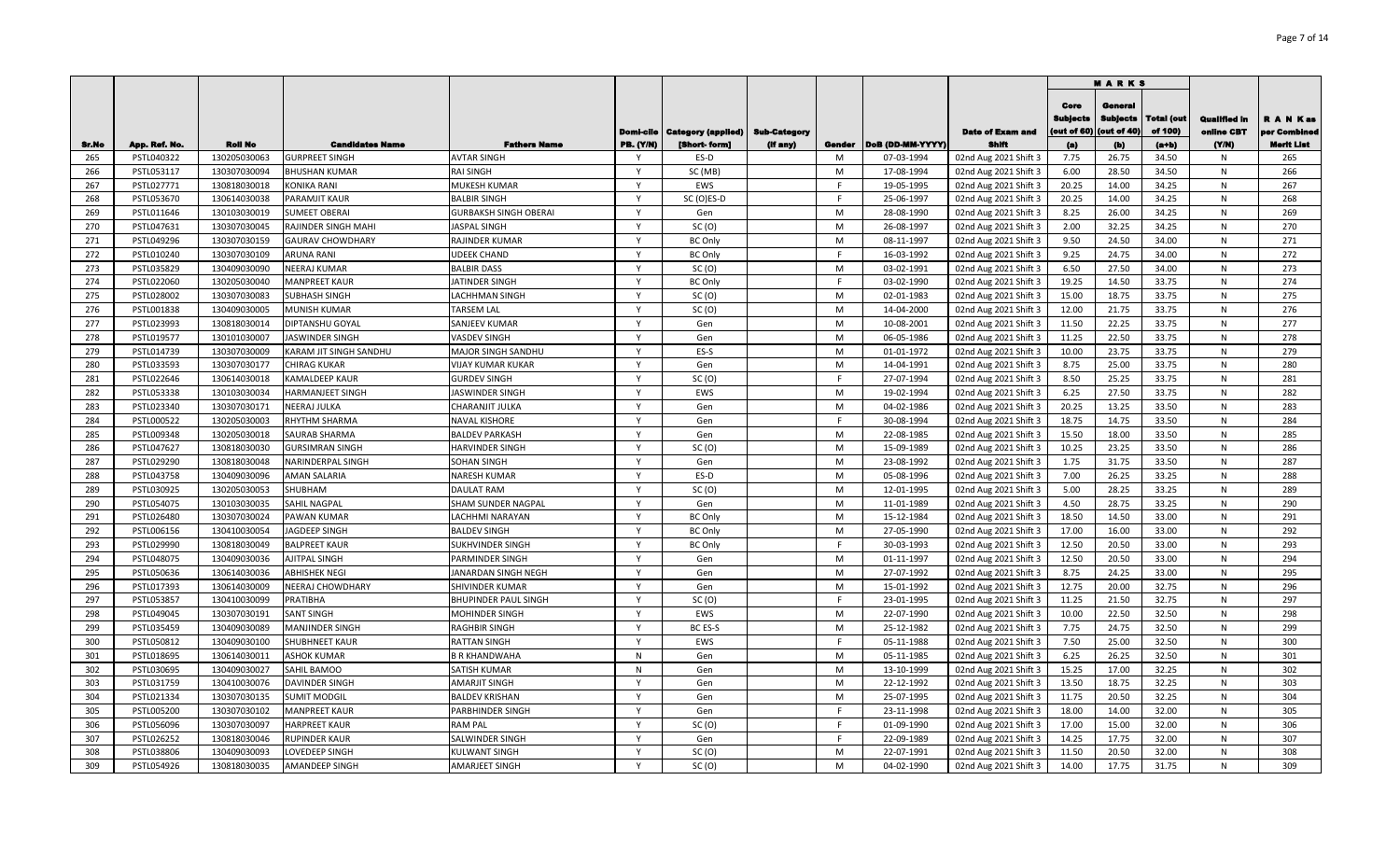|            |                          |                              |                                              |                                     |                     |                                  |                     |        |                          |                                                |                                       | <b>MARKS</b>                              |                              |                                   |                               |
|------------|--------------------------|------------------------------|----------------------------------------------|-------------------------------------|---------------------|----------------------------------|---------------------|--------|--------------------------|------------------------------------------------|---------------------------------------|-------------------------------------------|------------------------------|-----------------------------------|-------------------------------|
|            |                          |                              |                                              |                                     |                     | Domi-cile   Category (applied)   | <b>Sub-Category</b> |        |                          | <b>Date of Exam and</b>                        | Core<br><b>Subjects</b><br>out of 60) | General<br><b>Subjects</b><br>(out of 40) | <b>Total (out</b><br>of 100) | <b>Qualified In</b><br>online CBT | <b>RANKas</b><br>per Combined |
| Sr.No      | App. Ref. No.            | <b>Roll No</b>               | <b>Candidates Name</b>                       | <b>Fathers Name</b>                 | <b>PB.</b> (Y/N)    | [Short-form]                     | (If any)            | Gender | DoB (DD-MM-YYYY)         | Shifi                                          | (a)                                   | (b)                                       | $(a+b)$                      | (YM)                              | <b>Merit List</b>             |
| 265        | PSTL040322               | 130205030063                 | <b>GURPREET SINGH</b>                        | <b>AVTAR SINGH</b>                  | - Y<br>$\mathsf{v}$ | ES-D                             |                     | M      | 07-03-1994               | 02nd Aug 2021 Shift 3                          | 7.75                                  | 26.75                                     | 34.50                        | N                                 | 265                           |
| 266<br>267 | PSTL053117               | 130307030094                 | <b>BHUSHAN KUMAR</b>                         | RAI SINGH                           |                     | SC (MB)<br>EWS                   |                     | M<br>E | 17-08-1994               | 02nd Aug 2021 Shift 3                          | 6.00<br>20.25                         | 28.50                                     | 34.50<br>34.25               | N                                 | 266<br>267                    |
| 268        | PSTL027771               | 130818030018                 | KONIKA RANI                                  | MUKESH KUMAR<br><b>BALBIR SINGH</b> | Y                   |                                  |                     | F      | 19-05-1995<br>25-06-1997 | 02nd Aug 2021 Shift 3                          | 20.25                                 | 14.00<br>14.00                            | 34.25                        | N                                 | 268                           |
| 269        | PSTL053670<br>PSTL011646 | 130614030038<br>130103030019 | PARAMJIT KAUR<br>SUMEET OBERAI               | GURBAKSH SINGH OBERAI               | $\mathsf{v}$        | SC(O)ES-D<br>Gen                 |                     | M      | 28-08-1990               | 02nd Aug 2021 Shift 3                          | 8.25                                  | 26.00                                     | 34.25                        | N<br>$\mathsf{N}$                 | 269                           |
| 270        |                          | 130307030045                 |                                              | JASPAL SINGH                        | $\mathsf{Y}$        | SC(0)                            |                     | M      | 26-08-1997               | 02nd Aug 2021 Shift 3                          | 2.00                                  | 32.25                                     | 34.25                        | $\mathsf{N}$                      | 270                           |
| 271        | PSTL047631               | 130307030159                 | RAJINDER SINGH MAHI                          |                                     | $\mathsf{Y}$        |                                  |                     | M      |                          | 02nd Aug 2021 Shift 3                          | 9.50                                  | 24.50                                     | 34.00                        | $\mathsf{N}$                      | 271                           |
| 272        | PSTL049296<br>PSTL010240 | 130307030109                 | <b>GAURAV CHOWDHARY</b><br><b>ARUNA RANI</b> | RAJINDER KUMAR<br>UDEEK CHAND       | $\mathsf{Y}$        | <b>BC Only</b><br><b>BC Only</b> |                     | E      | 08-11-1997<br>16-03-1992 | 02nd Aug 2021 Shift 3<br>02nd Aug 2021 Shift 3 | 9.25                                  | 24.75                                     | 34.00                        | ${\sf N}$                         | 272                           |
| 273        | PSTL035829               | 130409030090                 | <b>NEERAJ KUMAR</b>                          | <b>BALBIR DASS</b>                  | Y                   | SC(0)                            |                     | M      | 03-02-1991               |                                                | 6.50                                  | 27.50                                     | 34.00                        | ${\sf N}$                         | 273                           |
| 274        | PSTL022060               | 130205030040                 | <b>MANPREET KAUR</b>                         | JATINDER SINGH                      | Y                   | <b>BC Only</b>                   |                     | F      | 03-02-1990               | 02nd Aug 2021 Shift 3<br>02nd Aug 2021 Shift 3 | 19.25                                 | 14.50                                     | 33.75                        | $\mathsf{N}$                      | 274                           |
| 275        | PSTL028002               | 130307030083                 | <b>SUBHASH SINGH</b>                         | LACHHMAN SINGH                      | Y                   | SC(0)                            |                     | M      | 02-01-1983               |                                                | 15.00                                 | 18.75                                     | 33.75                        | ${\sf N}$                         | 275                           |
| 276        | PSTL001838               | 130409030005                 | MUNISH KUMAR                                 | TARSEM LAL                          | Y                   | SC(0)                            |                     | M      | 14-04-2000               | 02nd Aug 2021 Shift 3<br>02nd Aug 2021 Shift 3 | 12.00                                 | 21.75                                     | 33.75                        | $\mathsf{N}$                      | 276                           |
| 277        | PSTL023993               | 130818030014                 | DIPTANSHU GOYAL                              | SANJEEV KUMAR                       | Y                   | Gen                              |                     | M      | 10-08-2001               | 02nd Aug 2021 Shift 3                          | 11.50                                 | 22.25                                     | 33.75                        | N                                 | 277                           |
| 278        | PSTL019577               | 130101030007                 | <b>JASWINDER SINGH</b>                       | <b>VASDEV SINGH</b>                 | Y                   | Gen                              |                     | M      | 06-05-1986               | 02nd Aug 2021 Shift 3                          | 11.25                                 | 22.50                                     | 33.75                        | $\mathsf{N}$                      | 278                           |
| 279        | PSTL014739               | 130307030009                 | KARAM JIT SINGH SANDHU                       | MAJOR SINGH SANDHU                  | Y                   | ES-S                             |                     | M      | 01-01-1972               | 02nd Aug 2021 Shift 3                          | 10.00                                 | 23.75                                     | 33.75                        | $\mathsf{N}$                      | 279                           |
| 280        | PSTL033593               | 130307030177                 | CHIRAG KUKAR                                 | VIJAY KUMAR KUKAR                   | Y                   | Gen                              |                     | M      | 14-04-1991               | 02nd Aug 2021 Shift 3                          | 8.75                                  | 25.00                                     | 33.75                        | N                                 | 280                           |
| 281        | PSTL022646               | 130614030018                 | <b>KAMALDEEP KAUR</b>                        | <b>GURDEV SINGH</b>                 | Y                   | SC(0)                            |                     | F      | 27-07-1994               | 02nd Aug 2021 Shift 3                          | 8.50                                  | 25.25                                     | 33.75                        | ${\sf N}$                         | 281                           |
| 282        | PSTL053338               | 130103030034                 | HARMANJEET SINGH                             | <b>JASWINDER SINGH</b>              | $\mathsf{Y}$        | EWS                              |                     | M      | 19-02-1994               | 02nd Aug 2021 Shift 3                          | 6.25                                  | 27.50                                     | 33.75                        | $\mathsf{N}$                      | 282                           |
| 283        | PSTL023340               | 130307030171                 | NEERAJ JULKA                                 | CHARANJIT JULKA                     | $\mathsf{Y}$        | Gen                              |                     | M      | 04-02-1986               | 02nd Aug 2021 Shift 3                          | 20.25                                 | 13.25                                     | 33.50                        | ${\sf N}$                         | 283                           |
| 284        | PSTL000522               | 130205030003                 | RHYTHM SHARMA                                | NAVAL KISHORE                       |                     | Gen                              |                     | F      | 30-08-1994               | 02nd Aug 2021 Shift 3                          | 18.75                                 | 14.75                                     | 33.50                        | N                                 | 284                           |
| 285        | PSTL009348               | 130205030018                 | SAURAB SHARMA                                | <b>BALDEV PARKASH</b>               | $\mathsf{v}$        | Gen                              |                     | M      | 22-08-1985               | 02nd Aug 2021 Shift 3                          | 15.50                                 | 18.00                                     | 33.50                        | N                                 | 285                           |
| 286        | PSTL047627               | 130818030030                 | <b>GURSIMRAN SINGH</b>                       | HARVINDER SINGH                     | Y                   | SC(0)                            |                     | M      | 15-09-1989               | 02nd Aug 2021 Shift 3                          | 10.25                                 | 23.25                                     | 33.50                        | N                                 | 286                           |
| 287        | PSTL029290               | 130818030048                 | NARINDERPAL SINGH                            | <b>SOHAN SINGH</b>                  | $\mathsf{v}$        | Gen                              |                     | M      | 23-08-1992               | 02nd Aug 2021 Shift 3                          | 1.75                                  | 31.75                                     | 33.50                        | N                                 | 287                           |
| 288        | PSTL043758               | 130409030096                 | AMAN SALARIA                                 | <b>NARESH KUMAR</b>                 |                     | ES-D                             |                     | M      | 05-08-1996               | 02nd Aug 2021 Shift 3                          | 7.00                                  | 26.25                                     | 33.25                        | N                                 | 288                           |
| 289        | PSTL030925               | 130205030053                 | SHUBHAM                                      | <b>DAULAT RAM</b>                   | Y                   | SC(0)                            |                     | M      | 12-01-1995               | 02nd Aug 2021 Shift 3                          | 5.00                                  | 28.25                                     | 33.25                        | N                                 | 289                           |
| 290        | PSTL054075               | 130103030035                 | SAHIL NAGPAL                                 | SHAM SUNDER NAGPAL                  | $\mathsf{Y}$        | Gen                              |                     | M      | 11-01-1989               | 02nd Aug 2021 Shift 3                          | 4.50                                  | 28.75                                     | 33.25                        | N                                 | 290                           |
| 291        | PSTL026480               | 130307030024                 | PAWAN KUMAR                                  | LACHHMI NARAYAN                     | $\mathsf{Y}$        | <b>BC Only</b>                   |                     | M      | 15-12-1984               | 02nd Aug 2021 Shift 3                          | 18.50                                 | 14.50                                     | 33.00                        | N                                 | 291                           |
| 292        | PSTL006156               | 130410030054                 | JAGDEEP SINGH                                | <b>BALDEV SINGH</b>                 | $\mathsf{Y}$        | <b>BC Only</b>                   |                     | M      | 27-05-1990               | 02nd Aug 2021 Shift 3                          | 17.00                                 | 16.00                                     | 33.00                        | ${\sf N}$                         | 292                           |
| 293        | PSTL029990               | 130818030049                 | <b>BALPREET KAUR</b>                         | SUKHVINDER SINGH                    | $\mathsf{v}$        | <b>BC Only</b>                   |                     | E      | 30-03-1993               | 02nd Aug 2021 Shift 3                          | 12.50                                 | 20.50                                     | 33.00                        | ${\sf N}$                         | 293                           |
| 294        | PSTL048075               | 130409030036                 | AJITPAL SINGH                                | PARMINDER SINGH                     | Y                   | Gen                              |                     | M      | 01-11-1997               | 02nd Aug 2021 Shift 3                          | 12.50                                 | 20.50                                     | 33.00                        | ${\sf N}$                         | 294                           |
| 295        | PSTL050636               | 130614030036                 | ABHISHEK NEGI                                | JANARDAN SINGH NEGH                 | Y                   | Gen                              |                     | M      | 27-07-1992               | 02nd Aug 2021 Shift 3                          | 8.75                                  | 24.25                                     | 33.00                        | ${\sf N}$                         | 295                           |
| 296        | PSTL017393               | 130614030009                 | NEERAJ CHOWDHARY                             | SHIVINDER KUMAR                     | Y                   | Gen                              |                     | M      | 15-01-1992               | 02nd Aug 2021 Shift 3                          | 12.75                                 | 20.00                                     | 32.75                        | ${\sf N}$                         | 296                           |
| 297        | PSTL053857               | 130410030099                 | PRATIBHA                                     | BHUPINDER PAUL SINGH                | Y                   | SC(0)                            |                     | E      | 23-01-1995               | 02nd Aug 2021 Shift 3                          | 11.25                                 | 21.50                                     | 32.75                        | N                                 | 297                           |
| 298        | PSTL049045               | 130307030191                 | <b>SANT SINGH</b>                            | MOHINDER SINGH                      | Y                   | EWS                              |                     | M      | 22-07-1990               | 02nd Aug 2021 Shift 3                          | 10.00                                 | 22.50                                     | 32.50                        | N                                 | 298                           |
| 299        | PSTL035459               | 130409030089                 | MANJINDER SINGH                              | RAGHBIR SINGH                       | Y                   | BC ES-S                          |                     | M      | 25-12-1982               | 02nd Aug 2021 Shift 3                          | 7.75                                  | 24.75                                     | 32.50                        | N                                 | 299                           |
| 300        | PSTL050812               | 130409030100                 | <b>SHUBHNEET KAUR</b>                        | RATTAN SINGH                        | Y                   | EWS                              |                     | F      | 05-11-1988               | 02nd Aug 2021 Shift 3                          | 7.50                                  | 25.00                                     | 32.50                        | N                                 | 300                           |
| 301        | PSTL018695               | 130614030011                 | ASHOK KUMAR                                  | B R KHANDWAHA                       | $\mathsf{N}$        | Gen                              |                     | M      | 05-11-1985               | 02nd Aug 2021 Shift 3                          | 6.25                                  | 26.25                                     | 32.50                        | N                                 | 301                           |
| 302        | PSTL030695               | 130409030027                 | SAHIL BAMOO                                  | SATISH KUMAR                        | $\mathsf{N}$        | Gen                              |                     | M      | 13-10-1999               | 02nd Aug 2021 Shift 3                          | 15.25                                 | 17.00                                     | 32.25                        | ${\sf N}$                         | 302                           |
| 303        | PSTL031759               | 130410030076                 | DAVINDER SINGH                               | AMARJIT SINGH                       | Y                   | Gen                              |                     | M      | 22-12-1992               | 02nd Aug 2021 Shift 3                          | 13.50                                 | 18.75                                     | 32.25                        | N                                 | 303                           |
| 304        | PSTL021334               | 130307030135                 | <b>SUMIT MODGIL</b>                          | <b>BALDEV KRISHAN</b>               | $\mathsf{Y}$        | Gen                              |                     | M      | 25-07-1995               | 02nd Aug 2021 Shift 3                          | 11.75                                 | 20.50                                     | 32.25                        | ${\sf N}$                         | 304                           |
| 305        | PSTL005200               | 130307030102                 | <b>MANPREET KAUR</b>                         | PARBHINDER SINGH                    | $\mathsf{v}$        | Gen                              |                     | F      | 23-11-1998               | 02nd Aug 2021 Shift 3                          | 18.00                                 | 14.00                                     | 32.00                        | N                                 | 305                           |
| 306        | PSTL056096               | 130307030097                 | HARPREET KAUR                                | RAM PAL                             | $\mathsf{v}$        | SC(0)                            |                     | E      | 01-09-1990               | 02nd Aug 2021 Shift 3                          | 17.00                                 | 15.00                                     | 32.00                        | N                                 | 306                           |
| 307        | PSTL026252               | 130818030046                 | <b>RUPINDER KAUR</b>                         | SALWINDER SINGH                     | $\mathsf{v}$        | Gen                              |                     | E      | 22-09-1989               | 02nd Aug 2021 Shift 3                          | 14.25                                 | 17.75                                     | 32.00                        | N                                 | 307                           |
| 308        | PSTL038806               | 130409030093                 | LOVEDEEP SINGH                               | KULWANT SINGH                       |                     | SC(0)                            |                     | M      | 22-07-1991               | 02nd Aug 2021 Shift 3                          | 11.50                                 | 20.50                                     | 32.00                        | N                                 | 308                           |
| 309        | PSTL054926               | 130818030035                 | <b>AMANDEEP SINGH</b>                        | <b>AMARJEET SINGH</b>               | Y                   | SC(0)                            |                     | M      | 04-02-1990               | 02nd Aug 2021 Shift 3                          | 14.00                                 | 17.75                                     | 31.75                        | N                                 | 309                           |
|            |                          |                              |                                              |                                     |                     |                                  |                     |        |                          |                                                |                                       |                                           |                              |                                   |                               |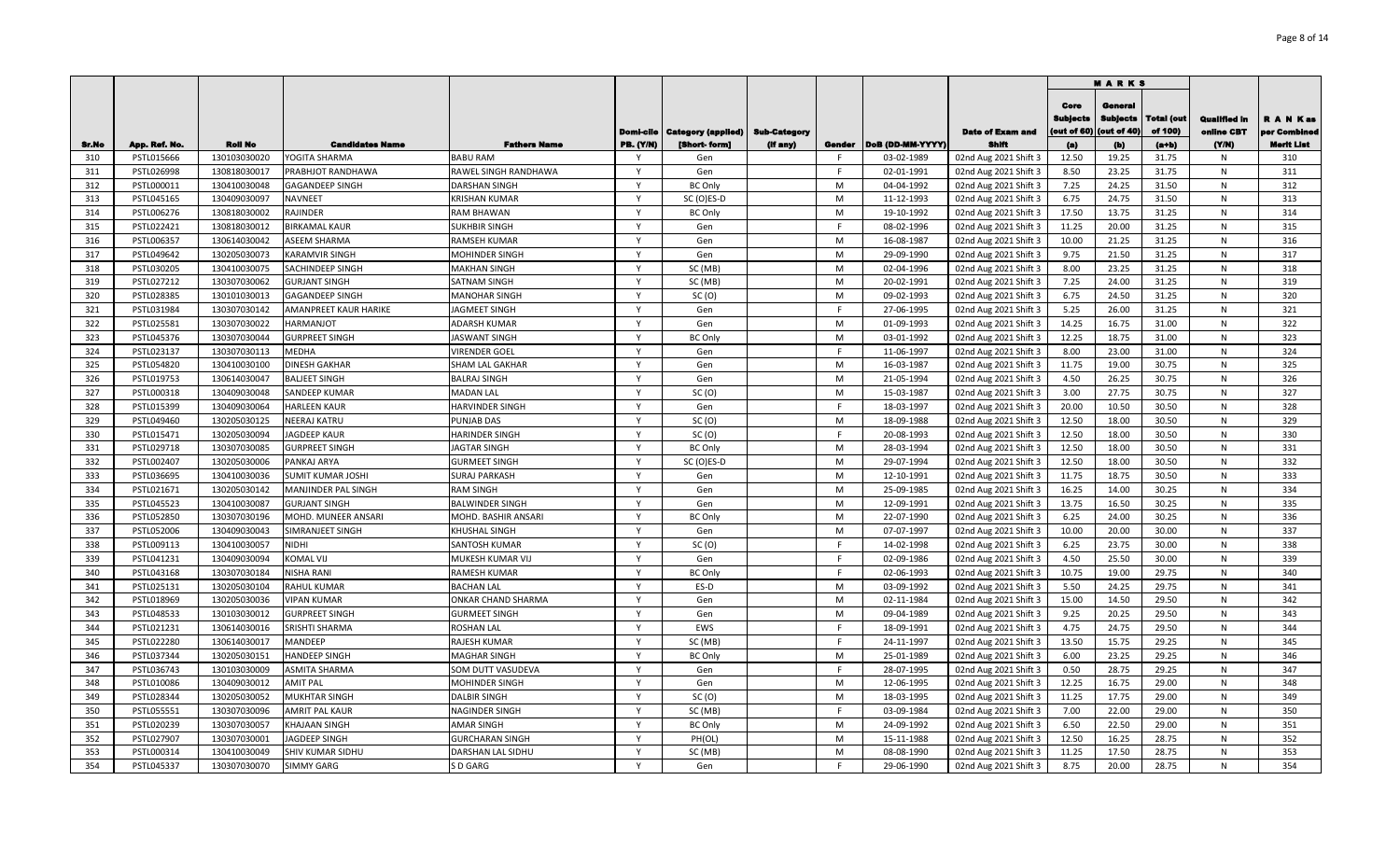|            |                          |                              |                                          |                                     |                              |                                |                     |              |                          |                                                |                                       | <b>MARKS</b>                              |                              |                                   |                           |
|------------|--------------------------|------------------------------|------------------------------------------|-------------------------------------|------------------------------|--------------------------------|---------------------|--------------|--------------------------|------------------------------------------------|---------------------------------------|-------------------------------------------|------------------------------|-----------------------------------|---------------------------|
|            |                          |                              |                                          |                                     |                              | Domi-cile   Category (applied) | <b>Sub-Category</b> |              |                          | <b>Date of Exam and</b>                        | Core<br><b>Subjects</b><br>out of 60) | General<br><b>Subjects</b><br>(out of 40) | <b>Total (out</b><br>of 100) | <b>Qualified in</b><br>online CBT | R A N Kas<br>per Combined |
| Sr.No      | App. Ref. No.            | <b>Roll No</b>               | <b>Candidates Name</b>                   | <b>Fathers Name</b>                 | <b>PB.</b> (Y/N)             | [Short-form]                   | (if any)            | Gender       | DoB (DD-MM-YYYY)         | Shif                                           | (a)                                   | (b)                                       | $(a+b)$                      | (YM)                              | Merit List                |
| 310        | PSTL015666               | 130103030020                 | YOGITA SHARMA                            | <b>BABU RAM</b>                     | - Y                          | Gen                            |                     | -F           | 03-02-1989               | 02nd Aug 2021 Shift 3                          | 12.50                                 | 19.25                                     | 31.75                        | N                                 | 310                       |
| 311        | PSTL026998               | 130818030017                 | PRABHJOT RANDHAWA                        | RAWEL SINGH RANDHAWA                | $\mathsf{v}$<br>$\mathsf{v}$ | Gen                            |                     | F.           | 02-01-1991               | 02nd Aug 2021 Shift 3                          | 8.50                                  | 23.25                                     | 31.75                        | $\mathsf{N}$                      | 311                       |
| 312        | PSTL000011               | 130410030048                 | GAGANDEEP SINGH                          | DARSHAN SINGH                       | $\mathsf{v}$                 | <b>BC Only</b>                 |                     | M            | 04-04-1992               | 02nd Aug 2021 Shift 3                          | 7.25                                  | 24.25                                     | 31.50                        | N                                 | 312                       |
| 313        | PSTL045165               | 130409030097                 | NAVNEET                                  | <b>KRISHAN KUMAR</b>                | <sup>V</sup>                 | SC (O)ES-D                     |                     | M            | 11-12-1993               | 02nd Aug 2021 Shift 3                          | 6.75<br>17.50                         | 24.75                                     | 31.50                        | N                                 | 313<br>314                |
| 314        | PSTL006276               | 130818030002                 | RAJINDER                                 | RAM BHAWAN                          | $\mathsf{v}$                 | <b>BC Only</b>                 |                     | M<br>E       | 19-10-1992               | 02nd Aug 2021 Shift 3                          |                                       | 13.75                                     | 31.25                        | N                                 | 315                       |
| 315        | PSTL022421               | 130818030012                 | <b>BIRKAMAL KAUR</b>                     | SUKHBIR SINGH                       | $\mathsf{v}$                 | Gen                            |                     | M            | 08-02-1996               | 02nd Aug 2021 Shift 3                          | 11.25                                 | 20.00<br>21.25                            | 31.25                        | $\mathsf{N}$<br>${\sf N}$         | 316                       |
| 316<br>317 | PSTL006357               | 130614030042<br>130205030073 | ASEEM SHARMA<br>KARAMVIR SINGH           | RAMSEH KUMAR                        | $\mathsf{v}$                 | Gen<br>Gen                     |                     | M            | 16-08-1987               | 02nd Aug 2021 Shift 3                          | 10.00<br>9.75                         | 21.50                                     | 31.25<br>31.25               | ${\sf N}$                         | 317                       |
|            | PSTL049642               | 130410030075                 |                                          | MOHINDER SINGH                      | $\mathsf{v}$                 |                                |                     | M            | 29-09-1990<br>02-04-1996 | 02nd Aug 2021 Shift 3                          | 8.00                                  | 23.25                                     | 31.25                        | $\mathsf{N}$                      | 318                       |
| 318<br>319 | PSTL030205<br>PSTL027212 | 130307030062                 | SACHINDEEP SINGH<br><b>GURJANT SINGH</b> | <b>MAKHAN SINGH</b><br>SATNAM SINGH | $\mathsf{v}$                 | SC (MB)<br>SC (MB)             |                     | M            | 20-02-1991               | 02nd Aug 2021 Shift 3<br>02nd Aug 2021 Shift 3 | 7.25                                  | 24.00                                     | 31.25                        | ${\sf N}$                         | 319                       |
| 320        | PSTL028385               | 130101030013                 | <b>GAGANDEEP SINGH</b>                   | <b>MANOHAR SINGH</b>                | $\mathsf{v}$                 | SC(0)                          |                     | M            | 09-02-1993               | 02nd Aug 2021 Shift 3                          | 6.75                                  | 24.50                                     | 31.25                        | ${\sf N}$                         | 320                       |
| 321        | PSTL031984               | 130307030142                 | <b>AMANPREET KAUR HARIKE</b>             | <b>IAGMEET SINGH</b>                | $\mathsf{v}$                 | Gen                            |                     | E            | 27-06-1995               | 02nd Aug 2021 Shift 3                          | 5.25                                  | 26.00                                     | 31.25                        | ${\sf N}$                         | 321                       |
| 322        | PSTL025581               | 130307030022                 | HARMANJOT                                | <b>ADARSH KUMAR</b>                 | $\mathsf{v}$                 | Gen                            |                     | M            | 01-09-1993               | 02nd Aug 2021 Shift 3                          | 14.25                                 | 16.75                                     | 31.00                        | $\mathsf{N}$                      | 322                       |
| 323        | PSTL045376               | 130307030044                 | <b>GURPREET SINGH</b>                    | <b>IASWANT SINGH</b>                | $\mathsf{v}$                 |                                |                     | M            | 03-01-1992               | 02nd Aug 2021 Shift 3                          | 12.25                                 | 18.75                                     | 31.00                        | $\mathsf{N}$                      | 323                       |
| 324        | PSTL023137               | 130307030113                 | <b>MEDHA</b>                             | VIRENDER GOEL                       | Y                            | <b>BC Only</b><br>Gen          |                     | F.           | 11-06-1997               | 02nd Aug 2021 Shift 3                          | 8.00                                  | 23.00                                     | 31.00                        | $\mathsf{N}$                      | 324                       |
| 325        | PSTL054820               | 130410030100                 | <b>DINESH GAKHAR</b>                     | SHAM LAL GAKHAR                     | $\mathsf{Y}$                 | Gen                            |                     | M            | 16-03-1987               | 02nd Aug 2021 Shift 3                          | 11.75                                 | 19.00                                     | 30.75                        | $\mathsf{N}$                      | 325                       |
| 326        | PSTL019753               | 130614030047                 | <b>BALJEET SINGH</b>                     | <b>BALRAJ SINGH</b>                 | $\mathsf{Y}$                 | Gen                            |                     | M            | 21-05-1994               | 02nd Aug 2021 Shift 3                          | 4.50                                  | 26.25                                     | 30.75                        | ${\sf N}$                         | 326                       |
| 327        | PSTL000318               | 130409030048                 | SANDEEP KUMAR                            | MADAN LAL                           | Y                            | SC(0)                          |                     | M            | 15-03-1987               | 02nd Aug 2021 Shift 3                          | 3.00                                  | 27.75                                     | 30.75                        | $\mathsf{N}$                      | 327                       |
| 328        | PSTL015399               | 130409030064                 | <b>HARLEEN KAUR</b>                      | HARVINDER SINGH                     | $\mathsf{v}$                 | Gen                            |                     | E            | 18-03-1997               | 02nd Aug 2021 Shift 3                          | 20.00                                 | 10.50                                     | 30.50                        | ${\sf N}$                         | 328                       |
| 329        | PSTL049460               | 130205030125                 | NEERAJ KATRU                             | PUNJAB DAS                          | $\mathsf{Y}$                 | SC(0)                          |                     | M            | 18-09-1988               | 02nd Aug 2021 Shift 3                          | 12.50                                 | 18.00                                     | 30.50                        | ${\sf N}$                         | 329                       |
| 330        | PSTL015471               | 130205030094                 | <b>JAGDEEP KAUR</b>                      | <b>HARINDER SINGH</b>               | <b>V</b>                     | SC(0)                          |                     | E            | 20-08-1993               | 02nd Aug 2021 Shift 3                          | 12.50                                 | 18.00                                     | 30.50                        | ${\sf N}$                         | 330                       |
| 331        | PSTL029718               | 130307030085                 | <b>GURPREET SINGH</b>                    | <b>IAGTAR SINGH</b>                 | $\mathsf{v}$                 | <b>BC Only</b>                 |                     | M            | 28-03-1994               | 02nd Aug 2021 Shift 3                          | 12.50                                 | 18.00                                     | 30.50                        | N                                 | 331                       |
| 332        | PSTL002407               | 130205030006                 | PANKAJ ARYA                              | <b>GURMEET SINGH</b>                | <b>V</b>                     | SC (O)ES-D                     |                     | M            | 29-07-1994               | 02nd Aug 2021 Shift 3                          | 12.50                                 | 18.00                                     | 30.50                        | N                                 | 332                       |
| 333        | PSTL036695               | 130410030036                 | SUMIT KUMAR JOSHI                        | <b>SURAJ PARKASH</b>                | $\mathsf{v}$                 | Gen                            |                     | M            | 12-10-1991               | 02nd Aug 2021 Shift 3                          | 11.75                                 | 18.75                                     | 30.50                        | N                                 | 333                       |
| 334        | PSTL021671               | 130205030142                 | <b>MANJINDER PAL SINGH</b>               | <b>RAM SINGH</b>                    | $\mathsf{v}$                 | Gen                            |                     | M            | 25-09-1985               | 02nd Aug 2021 Shift 3                          | 16.25                                 | 14.00                                     | 30.25                        | $\mathsf{N}$                      | 334                       |
| 335        | PSTL045523               | 130410030087                 | <b>GURJANT SINGH</b>                     | BALWINDER SINGH                     | $\mathsf{Y}$                 | Gen                            |                     | M            | 12-09-1991               | 02nd Aug 2021 Shift 3                          | 13.75                                 | 16.50                                     | 30.25                        | N                                 | 335                       |
| 336        | PSTL052850               | 130307030196                 | MOHD. MUNEER ANSARI                      | MOHD. BASHIR ANSARI                 | $\mathsf{Y}$                 | <b>BC Only</b>                 |                     | M            | 22-07-1990               | 02nd Aug 2021 Shift 3                          | 6.25                                  | 24.00                                     | 30.25                        | N                                 | 336                       |
| 337        | PSTL052006               | 130409030043                 | SIMRANJEET SINGH                         | KHUSHAL SINGH                       | $\mathsf{v}$                 | Gen                            |                     | M            | 07-07-1997               | 02nd Aug 2021 Shift 3                          | 10.00                                 | 20.00                                     | 30.00                        | $\mathsf{N}$                      | 337                       |
| 338        | PSTL009113               | 130410030057                 | <b>NIDHI</b>                             | SANTOSH KUMAR                       | Y                            | SC(0)                          |                     | F.           | 14-02-1998               | 02nd Aug 2021 Shift 3                          | 6.25                                  | 23.75                                     | 30.00                        | $\mathsf{N}$                      | 338                       |
| 339        | PSTL041231               | 130409030094                 | KOMAL VIJ                                | MUKESH KUMAR VIJ                    | $\mathsf{v}$                 | Gen                            |                     | F            | 02-09-1986               | 02nd Aug 2021 Shift 3                          | 4.50                                  | 25.50                                     | 30.00                        | ${\sf N}$                         | 339                       |
| 340        | PSTL043168               | 130307030184                 | NISHA RANI                               | RAMESH KUMAR                        | $\mathsf{v}$                 | <b>BC Only</b>                 |                     | E            | 02-06-1993               | 02nd Aug 2021 Shift 3                          | 10.75                                 | 19.00                                     | 29.75                        | N                                 | 340                       |
| 341        | PSTL025131               | 130205030104                 | <b>RAHUL KUMAR</b>                       | <b>BACHAN LAL</b>                   | Y                            | ES-D                           |                     | M            | 03-09-1992               | 02nd Aug 2021 Shift 3                          | 5.50                                  | 24.25                                     | 29.75                        | N                                 | 341                       |
| 342        | PSTL018969               | 130205030036                 | <b>VIPAN KUMAR</b>                       | ONKAR CHAND SHARMA                  | $\mathsf{Y}$                 | Gen                            |                     | M            | 02-11-1984               | 02nd Aug 2021 Shift 3                          | 15.00                                 | 14.50                                     | 29.50                        | N                                 | 342                       |
| 343        | PSTL048533               | 130103030012                 | <b>GURPREET SINGH</b>                    | <b>GURMEET SINGH</b>                | $\mathsf{Y}$                 | Gen                            |                     | M            | 09-04-1989               | 02nd Aug 2021 Shift 3                          | 9.25                                  | 20.25                                     | 29.50                        | N                                 | 343                       |
| 344        | PSTL021231               | 130614030016                 | SRISHTI SHARMA                           | ROSHAN LAL                          | Y                            | EWS                            |                     | -F           | 18-09-1991               | 02nd Aug 2021 Shift 3                          | 4.75                                  | 24.75                                     | 29.50                        | N                                 | 344                       |
| 345        | PSTL022280               | 130614030017                 | MANDEEP                                  | RAJESH KUMAR                        | Y                            | SC (MB)                        |                     | F            | 24-11-1997               | 02nd Aug 2021 Shift 3                          | 13.50                                 | 15.75                                     | 29.25                        | $\mathsf{N}$                      | 345                       |
| 346        | PSTL037344               | 130205030151                 | HANDEEP SINGH                            | MAGHAR SINGH                        | Y                            | <b>BC Only</b>                 |                     | M            | 25-01-1989               | 02nd Aug 2021 Shift 3                          | 6.00                                  | 23.25                                     | 29.25                        | N                                 | 346                       |
| 347        | PSTL036743               | 130103030009                 | <b>ASMITA SHARMA</b>                     | SOM DUTT VASUDEVA                   | Y                            | Gen                            |                     | F.           | 28-07-1995               | 02nd Aug 2021 Shift 3                          | 0.50                                  | 28.75                                     | 29.25                        | $\mathsf{N}$                      | 347                       |
| 348        | PSTL010086               | 130409030012                 | AMIT PAL                                 | MOHINDER SINGH                      | $\mathsf{v}$                 | Gen                            |                     | M            | 12-06-1995               | 02nd Aug 2021 Shift 3                          | 12.25                                 | 16.75                                     | 29.00                        | N                                 | 348                       |
| 349        | PSTL028344               | 130205030052                 | <b>MUKHTAR SINGH</b>                     | DALBIR SINGH                        | $\mathsf{Y}$                 | SC(0)                          |                     | M            | 18-03-1995               | 02nd Aug 2021 Shift 3                          | 11.25                                 | 17.75                                     | 29.00                        | $\mathsf{N}$                      | 349                       |
| 350        | PSTL055551               | 130307030096                 | <b>AMRIT PAL KAUR</b>                    | NAGINDER SINGH                      | <b>V</b>                     | SC (MB)                        |                     | E            | 03-09-1984               | 02nd Aug 2021 Shift 3                          | 7.00                                  | 22.00                                     | 29.00                        | N                                 | 350                       |
| 351        | PSTL020239               | 130307030057                 | KHAJAAN SINGH                            | AMAR SINGH                          | <b>V</b>                     | <b>BC Only</b>                 |                     | M            | 24-09-1992               | 02nd Aug 2021 Shift 3                          | 6.50                                  | 22.50                                     | 29.00                        | N                                 | 351                       |
| 352        | PSTL027907               | 130307030001                 | <b>JAGDEEP SINGH</b>                     | <b>GURCHARAN SINGH</b>              | <b>V</b>                     | PH(OL)                         |                     | M            | 15-11-1988               | 02nd Aug 2021 Shift 3                          | 12.50                                 | 16.25                                     | 28.75                        | N                                 | 352                       |
| 353        | PSTL000314               | 130410030049                 | SHIV KUMAR SIDHU                         | DARSHAN LAL SIDHU                   | Y                            | SC (MB)                        |                     | M            | 08-08-1990               | 02nd Aug 2021 Shift 3                          | 11.25                                 | 17.50                                     | 28.75                        | N                                 | 353                       |
| 354        | PSTL045337               | 130307030070                 | <b>SIMMY GARG</b>                        | <b>D</b> GARG                       | $\mathsf{Y}$                 | Gen                            |                     | $\mathsf{F}$ | 29-06-1990               | 02nd Aug 2021 Shift 3                          | 8.75                                  | 20.00                                     | 28.75                        | $\mathsf{N}$                      | 354                       |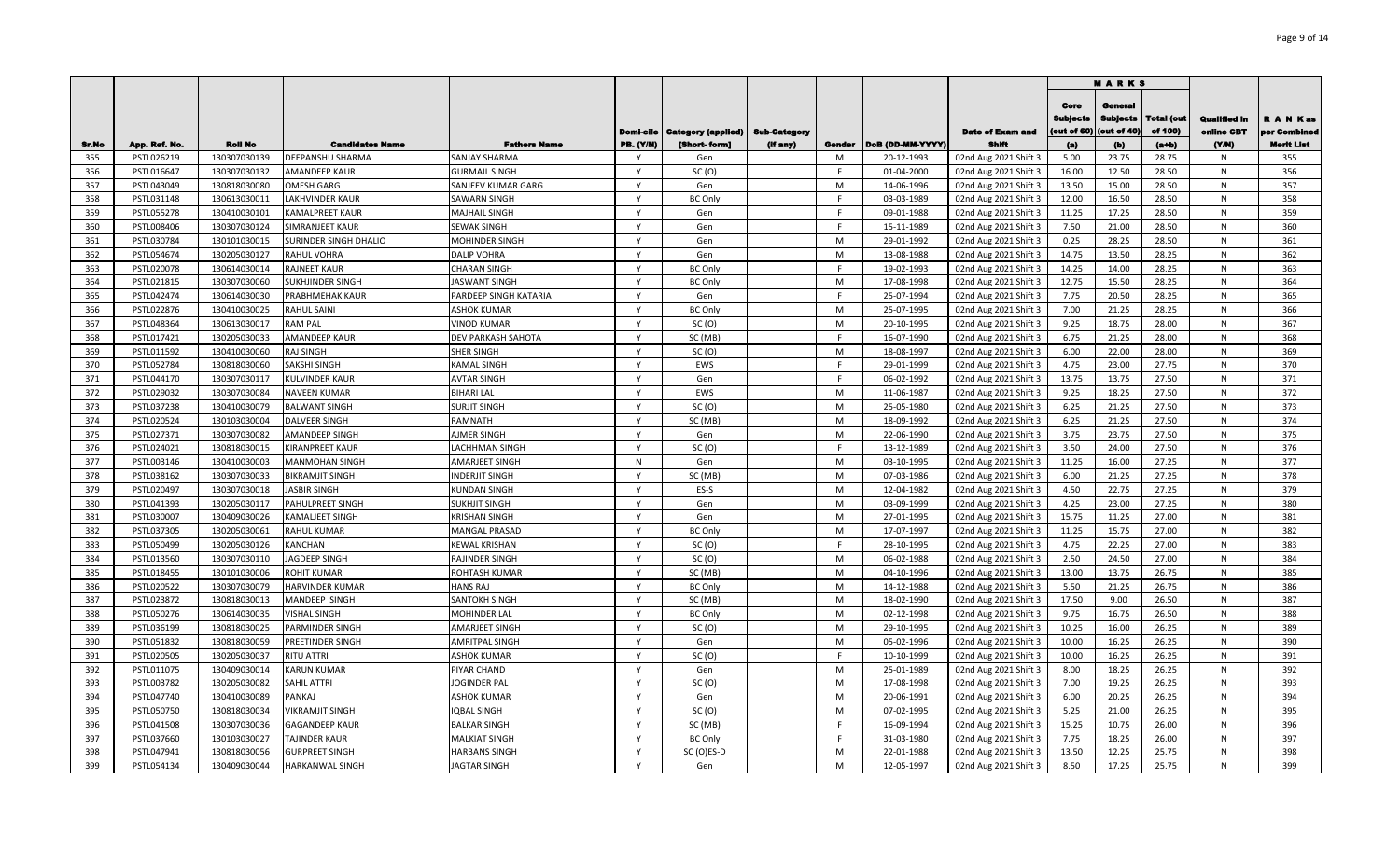|            |                          |                              |                                     |                                              |                   |                           |                     |         |                          |                                                |                                       | MARKS                                     |                       |                                   |                           |
|------------|--------------------------|------------------------------|-------------------------------------|----------------------------------------------|-------------------|---------------------------|---------------------|---------|--------------------------|------------------------------------------------|---------------------------------------|-------------------------------------------|-----------------------|-----------------------------------|---------------------------|
|            |                          |                              |                                     |                                              | Domi-cile         | <b>Category (applied)</b> | <b>Sub-Category</b> |         |                          | <b>Date of Exam and</b>                        | Core<br><b>Sublects</b><br>out of 60) | General<br><b>Subjects</b><br>(out of 40) | Total (out<br>of 100) | <b>Qualified In</b><br>oniine CBT | R A N Kas<br>per Combinee |
| Sr.No      | App. Ref. No.            | <b>Roll No</b>               | <b>Candidates Name</b>              | <b>Fathers Name</b>                          | <b>PB.</b> (Y/N)  | [Short-form]              | (If any)            | Gender  | DoB (DD-MM-YYYY)         | Shift                                          | (a)                                   | (b)                                       | $(a+b)$               | (YM)                              | <b>Merit List</b>         |
| 355        | PSTL026219               | 130307030139                 | <b>DEEPANSHU SHARMA</b>             | <b>SANJAY SHARMA</b>                         |                   | Gen                       |                     | M       | 20-12-1993               | 02nd Aug 2021 Shift 3                          | 5.00                                  | 23.75                                     | 28.75                 | N.                                | 355                       |
| 356        | PSTL016647               | 130307030132                 | <b>AMANDEEP KAUR</b>                | <b>GURMAIL SINGH</b>                         | $\mathsf{Y}$      | SC(0)                     |                     | F.      | 01-04-2000               | 02nd Aug 2021 Shift 3                          | 16.00                                 | 12.50                                     | 28.50                 | N                                 | 356                       |
| 357        | PSTL043049               | 130818030080                 | OMESH GARG                          | SANJEEV KUMAR GARG                           | Y                 | Gen                       |                     | M       | 14-06-1996               | 02nd Aug 2021 Shift 3                          | 13.50                                 | 15.00                                     | 28.50                 | N                                 | 357                       |
| 358        | PSTL031148               | 130613030011                 | LAKHVINDER KAUR                     | <b>SAWARN SINGH</b>                          | $\mathsf{Y}$      | <b>BC Only</b>            |                     |         | 03-03-1989               | 02nd Aug 2021 Shift 3                          | 12.00                                 | 16.50                                     | 28.50                 | N                                 | 358                       |
| 359        | PSTL055278               | 130410030101                 | <b>KAMALPREET KAUR</b>              | <b>MAJHAIL SINGH</b>                         | $\mathsf{Y}$      | Gen                       |                     | E       | 09-01-1988               | 02nd Aug 2021 Shift 3                          | 11.25                                 | 17.25                                     | 28.50                 | N                                 | 359                       |
| 360        | PSTL008406               | 130307030124                 | SIMRANJEET KAUR                     | <b>SEWAK SINGH</b>                           | Y                 | Gen                       |                     | F.      | 15-11-1989               | 02nd Aug 2021 Shift 3                          | 7.50                                  | 21.00                                     | 28.50                 | N                                 | 360                       |
| 361        | PSTL030784               | 130101030015                 | SURINDER SINGH DHALIO               | <b>MOHINDER SINGH</b>                        | $\mathsf{v}$      | Gen                       |                     | M       | 29-01-1992               | 02nd Aug 2021 Shift 3                          | 0.25                                  | 28.25                                     | 28.50                 | N                                 | 361                       |
| 362        | PSTL054674               | 130205030127                 | RAHUL VOHRA                         | <b>DALIP VOHRA</b>                           | Y                 | Gen                       |                     | M       | 13-08-1988               | 02nd Aug 2021 Shift 3                          | 14.75                                 | 13.50                                     | 28.25                 | N                                 | 362                       |
| 363        | PSTL020078               | 130614030014                 | RAJNEET KAUR                        | <b>CHARAN SINGH</b>                          | Y                 | <b>BC Only</b>            |                     | F.      | 19-02-1993               | 02nd Aug 2021 Shift 3                          | 14.25                                 | 14.00                                     | 28.25                 | N                                 | 363                       |
| 364        | PSTL021815               | 130307030060                 | <b>SUKHJINDER SINGH</b>             | <b>JASWANT SINGH</b>                         | Y                 | <b>BC Only</b>            |                     | M       | 17-08-1998               | 02nd Aug 2021 Shift 3                          | 12.75                                 | 15.50                                     | 28.25                 | N                                 | 364                       |
| 365        | PSTL042474               | 130614030030                 | PRABHMEHAK KAUR                     | PARDEEP SINGH KATARIA                        | Y                 | Gen                       |                     | F.      | 25-07-1994               | 02nd Aug 2021 Shift 3                          | 7.75                                  | 20.50                                     | 28.25                 | N                                 | 365                       |
| 366        | PSTL022876               | 130410030025                 | RAHUL SAINI                         | <b>ASHOK KUMAR</b>                           | Y                 | <b>BC Only</b>            |                     | M       | 25-07-1995               | 02nd Aug 2021 Shift 3                          | 7.00                                  | 21.25                                     | 28.25                 | N                                 | 366                       |
| 367        | PSTL048364               | 130613030017                 | <b>RAM PAL</b>                      | <b>VINOD KUMAR</b>                           | Y                 | SC(0)                     |                     | M       | 20-10-1995               | 02nd Aug 2021 Shift 3                          | 9.25                                  | 18.75                                     | 28.00                 | N                                 | 367                       |
| 368        | PSTL017421               | 130205030033                 | <b>AMANDEEP KAUR</b>                | DEV PARKASH SAHOTA                           | Y                 | SC (MB)                   |                     | F.      | 16-07-1990               | 02nd Aug 2021 Shift 3                          | 6.75                                  | 21.25                                     | 28.00                 | N                                 | 368                       |
| 369        | PSTL011592               | 130410030060                 | <b>RAJ SINGH</b>                    | <b>SHER SINGH</b>                            | Y                 | SC(0)                     |                     | M       | 18-08-1997               | 02nd Aug 2021 Shift 3                          | 6.00                                  | 22.00                                     | 28.00                 | N                                 | 369                       |
| 370        | PSTL052784               | 130818030060                 | SAKSHI SINGH                        | <b>KAMAL SINGH</b>                           | Y                 | EWS                       |                     | F.      | 29-01-1999               | 02nd Aug 2021 Shift 3                          | 4.75                                  | 23.00                                     | 27.75                 | N                                 | 370                       |
| 371        | PSTL044170               | 130307030117                 | KULVINDER KAUR                      | <b>AVTAR SINGH</b>                           | Y                 | Gen                       |                     |         | 06-02-1992               | 02nd Aug 2021 Shift 3                          | 13.75                                 | 13.75                                     | 27.50                 | N                                 | 371                       |
| 372        | PSTL029032               | 130307030084                 | <b>NAVEEN KUMAR</b>                 | <b>BIHARI LAL</b>                            | Y                 | EWS                       |                     | M       | 11-06-1987               | 02nd Aug 2021 Shift 3                          | 9.25                                  | 18.25                                     | 27.50                 | N                                 | 372                       |
| 373        | PSTL037238               | 130410030079                 | <b>BALWANT SINGH</b>                | <b>SURJIT SINGH</b>                          |                   | SC(0)                     |                     | M       | 25-05-1980               | 02nd Aug 2021 Shift 3                          | 6.25                                  | 21.25                                     | 27.50                 | N                                 | 373                       |
| 374        | PSTL020524               | 130103030004                 | <b>DALVEER SINGH</b>                | <b>RAMNATH</b>                               | <b>V</b>          | SC (MB)                   |                     | M       | 18-09-1992               | 02nd Aug 2021 Shift 3                          | 6.25                                  | 21.25                                     | 27.50                 | N                                 | 374                       |
| 375        | PSTL027371               | 130307030082                 | AMANDEEP SINGH                      | AJMER SINGH                                  | Y                 | Gen                       |                     | M       | 22-06-1990               | 02nd Aug 2021 Shift 3                          | 3.75                                  | 23.75                                     | 27.50                 | N                                 | 375                       |
| 376        | PSTL024021               | 130818030015                 | <b>KIRANPREET KAUR</b>              | <b>LACHHMAN SINGH</b>                        | $\mathsf{v}$      | SC(0)                     |                     |         | 13-12-1989               | 02nd Aug 2021 Shift 3                          | 3.50                                  | 24.00                                     | 27.50                 | N                                 | 376                       |
| 377        | PSTL003146               | 130410030003                 | <b>MANMOHAN SINGH</b>               | <b>AMARJEET SINGH</b>                        | $\mathsf{N}$      | Gen                       |                     | M       | 03-10-1995               | 02nd Aug 2021 Shift 3                          | 11.25                                 | 16.00                                     | 27.25                 | N                                 | 377                       |
| 378        | PSTL038162               | 130307030033                 | <b>BIKRAMJIT SINGH</b>              | <b>INDERJIT SINGH</b>                        | $\mathsf{Y}$      | SC (MB)                   |                     | M       | 07-03-1986               | 02nd Aug 2021 Shift 3                          | 6.00                                  | 21.25                                     | 27.25                 | N                                 | 378                       |
| 379        | PSTL020497               | 130307030018                 | <b>JASBIR SINGH</b>                 | <b>KUNDAN SINGH</b>                          | $\mathsf{v}$      | ES-S                      |                     | M       | 12-04-1982               | 02nd Aug 2021 Shift 3                          | 4.50                                  | 22.75                                     | 27.25                 | N                                 | 379                       |
| 380        | PSTL041393               | 130205030117                 | PAHULPREET SINGH                    | <b>SUKHJIT SINGH</b>                         | $\mathsf{v}$      | Gen                       |                     | M       | 03-09-1999               | 02nd Aug 2021 Shift 3                          | 4.25                                  | 23.00                                     | 27.25                 | N                                 | 380                       |
| 381        | PSTL030007               | 130409030026                 | KAMALJEET SINGH                     | <b>KRISHAN SINGH</b>                         | $\mathsf{v}$      | Gen                       |                     | M       | 27-01-1995               | 02nd Aug 2021 Shift 3                          | 15.75                                 | 11.25                                     | 27.00                 | N                                 | 381                       |
| 382        | PSTL037305               | 130205030061                 | <b>RAHUL KUMAR</b>                  | <b>MANGAL PRASAD</b>                         | Y<br>$\mathsf{v}$ | <b>BC Only</b>            |                     | M<br>F. | 17-07-1997               | 02nd Aug 2021 Shift 3                          | 11.25                                 | 15.75                                     | 27.00                 | N                                 | 382                       |
| 383        | PSTL050499               | 130205030126                 | KANCHAN                             | <b>KEWAL KRISHAN</b>                         |                   | SC(0)                     |                     |         | 28-10-1995               | 02nd Aug 2021 Shift 3                          | 4.75                                  | 22.25                                     | 27.00                 | N                                 | 383                       |
| 384        | PSTL013560               | 130307030110                 | JAGDEEP SINGH                       | <b>RAJINDER SINGH</b>                        | Y                 | SC(0)                     |                     | M       | 06-02-1988               | 02nd Aug 2021 Shift 3                          | 2.50                                  | 24.50                                     | 27.00                 | N                                 | 384                       |
| 385        | PSTL018455               | 130101030006                 | <b>ROHIT KUMAR</b>                  | <b>ROHTASH KUMAR</b>                         | Y<br>$\mathsf{Y}$ | SC (MB)                   |                     | M       | 04-10-1996               | 02nd Aug 2021 Shift 3                          | 13.00                                 | 13.75                                     | 26.75                 | N                                 | 385                       |
| 386        | PSTL020522               | 130307030079                 | HARVINDER KUMAR                     | <b>HANS RAJ</b>                              | Y                 | <b>BC Only</b>            |                     | M<br>M  | 14-12-1988               | 02nd Aug 2021 Shift 3                          | 5.50                                  | 21.25                                     | 26.75                 | N                                 | 386                       |
| 387        | PSTL023872               | 130818030013                 | MANDEEP SINGH                       | SANTOKH SINGH                                | Y                 | SC (MB)                   |                     | M       | 18-02-1990               | 02nd Aug 2021 Shift 3                          | 17.50                                 | 9.00                                      | 26.50                 | N<br>N                            | 387<br>388                |
| 388<br>389 | PSTL050276<br>PSTL036199 | 130614030035<br>130818030025 | <b>VISHAL SINGH</b>                 | <b>MOHINDER LAL</b><br><b>AMARJEET SINGH</b> | Y                 | <b>BC Only</b><br>SC(0)   |                     | M       | 02-12-1998               | 02nd Aug 2021 Shift 3                          | 9.75<br>10.25                         | 16.75<br>16.00                            | 26.50<br>26.25        |                                   | 389                       |
| 390        | PSTL051832               | 130818030059                 | PARMINDER SINGH<br>PREETINDER SINGH | <b>AMRITPAL SINGH</b>                        | Y                 |                           |                     | M       | 29-10-1995<br>05-02-1996 | 02nd Aug 2021 Shift 3<br>02nd Aug 2021 Shift 3 | 10.00                                 | 16.25                                     | 26.25                 | N<br>N                            | 390                       |
| 391        | PSTL020505               | 130205030037                 | RITU ATTRI                          |                                              |                   | Gen<br>SC(0)              |                     |         | 10-10-1999               |                                                | 10.00                                 | 16.25                                     | 26.25                 |                                   | 391                       |
| 392        | PSTL011075               | 130409030014                 | <b>KARUN KUMAR</b>                  | <b>ASHOK KUMAR</b><br>PIYAR CHAND            | $\mathsf{v}$      | Gen                       |                     | M       | 25-01-1989               | 02nd Aug 2021 Shift 3                          | 8.00                                  | 18.25                                     | 26.25                 | N<br>N                            | 392                       |
| 393        | PSTL003782               | 130205030082                 | <b>SAHIL ATTRI</b>                  | <b>JOGINDER PAL</b>                          | Y                 | SC (O)                    |                     | M       | 17-08-1998               | 02nd Aug 2021 Shift 3<br>02nd Aug 2021 Shift 3 | 7.00                                  | 19.25                                     | 26.25                 | N                                 | 393                       |
| 394        | PSTL047740               | 130410030089                 | PANKAJ                              | <b>ASHOK KUMAR</b>                           | <b>Y</b>          | Gen                       |                     | M       | 20-06-1991               | 02nd Aug 2021 Shift 3                          | 6.00                                  | 20.25                                     | 26.25                 | N                                 | 394                       |
| 395        | PSTL050750               | 130818030034                 | VIKRAMJIT SINGH                     | IQBAL SINGH                                  | Y                 | SC(0)                     |                     | M       | 07-02-1995               | 02nd Aug 2021 Shift 3                          | 5.25                                  | 21.00                                     | 26.25                 | N                                 | 395                       |
| 396        | PSTL041508               | 130307030036                 | <b>GAGANDEEP KAUR</b>               | <b>BALKAR SINGH</b>                          | $\mathsf{Y}$      | SC (MB)                   |                     |         | 16-09-1994               | 02nd Aug 2021 Shift 3                          | 15.25                                 | 10.75                                     | 26.00                 | N                                 | 396                       |
| 397        | PSTL037660               | 130103030027                 | TAJINDER KAUR                       | <b>MALKIAT SINGH</b>                         | $\mathsf{Y}$      | <b>BC Only</b>            |                     | F       | 31-03-1980               | 02nd Aug 2021 Shift 3                          | 7.75                                  | 18.25                                     | 26.00                 | N                                 | 397                       |
| 398        | PSTL047941               | 130818030056                 | <b>GURPREET SINGH</b>               | <b>HARBANS SINGH</b>                         | Y                 | SC (O)ES-D                |                     | M       | 22-01-1988               | 02nd Aug 2021 Shift 3                          | 13.50                                 | 12.25                                     | 25.75                 | N                                 | 398                       |
| 399        | PSTL054134               | 130409030044                 | <b>HARKANWAL SINGH</b>              | <b>JAGTAR SINGH</b>                          | Y                 | Gen                       |                     | M       | 12-05-1997               | 02nd Aug 2021 Shift 3                          | 8.50                                  | 17.25                                     | 25.75                 | N                                 | 399                       |
|            |                          |                              |                                     |                                              |                   |                           |                     |         |                          |                                                |                                       |                                           |                       |                                   |                           |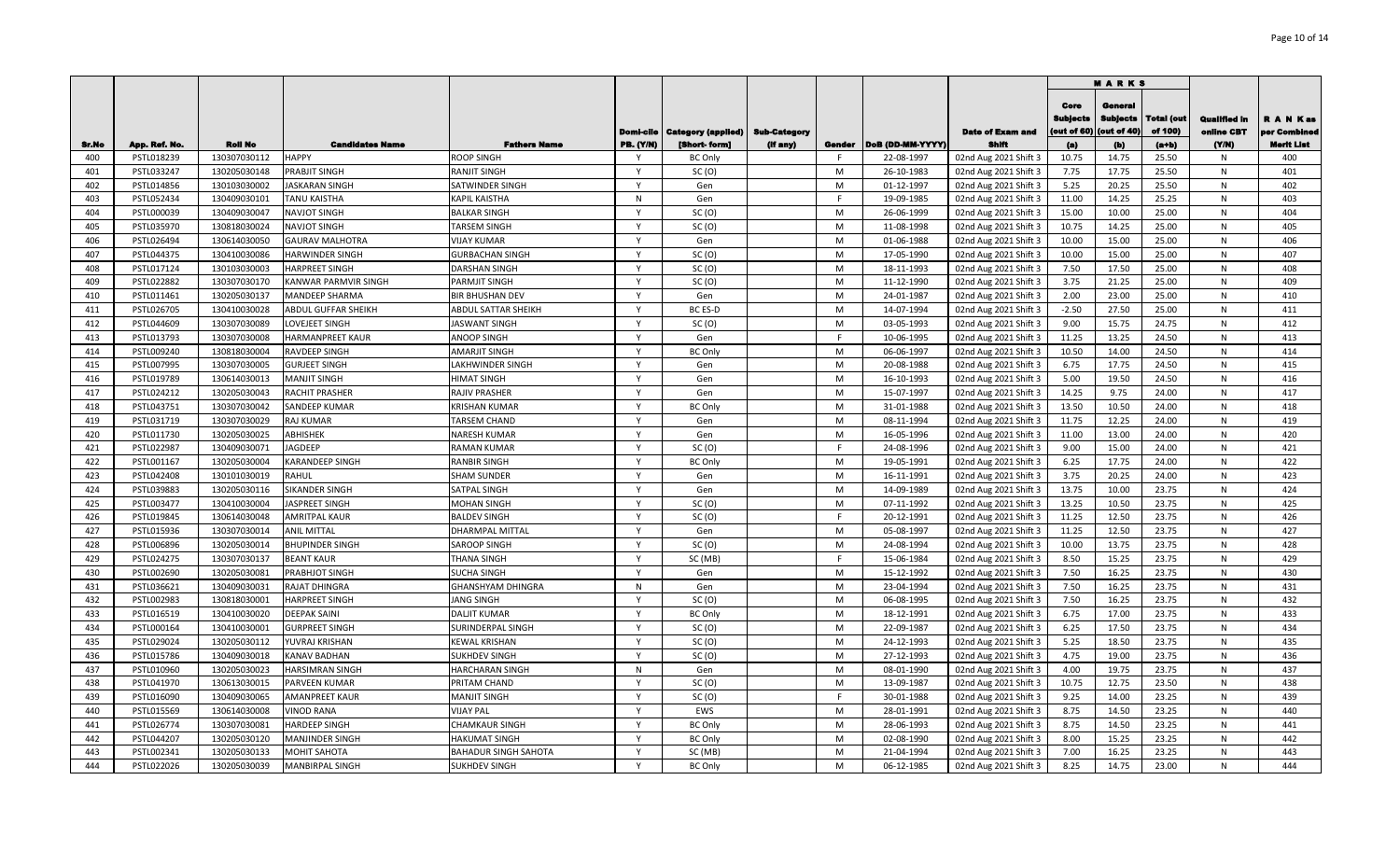|              |                          |                                |                                        |                                   |                  |                                   |          |              |                          |                                                |                                        | <b>MARKS</b>                             |                       |                                   |                           |
|--------------|--------------------------|--------------------------------|----------------------------------------|-----------------------------------|------------------|-----------------------------------|----------|--------------|--------------------------|------------------------------------------------|----------------------------------------|------------------------------------------|-----------------------|-----------------------------------|---------------------------|
|              |                          |                                |                                        |                                   | Domi-cile        | Category (applied)   Sub-Category |          |              |                          | <b>Date of Exam and</b>                        | Core<br><b>Subjects</b><br>(out of 60) | Genera<br><b>Subjects</b><br>(out of 40) | Total (out<br>of 100) | <b>Qualified in</b><br>online CBT | R A N Kas<br>per Combinee |
| Sr.No<br>400 | App. Ref. No.            | <b>Roll No</b><br>130307030112 | <b>Candidates Name</b><br><b>HAPPY</b> | <b>Fathers Name</b><br>ROOP SINGH | <b>PB. (Y/N)</b> | [Short-form]                      | (If any) | Gender<br>F. | DoB (DD-MM-YYYY)         | Shift                                          | (a)<br>10.75                           | (b)<br>14.75                             | $(a+b)$<br>25.50      | (YM)<br>N                         | <b>Merit List</b><br>400  |
| 401          | PSTL018239<br>PSTL033247 | 130205030148                   | PRABJIT SINGH                          | RANJIT SINGH                      | <b>V</b>         | <b>BC Only</b><br>SC(0)           |          | M            | 22-08-1997<br>26-10-1983 | 02nd Aug 2021 Shift 3<br>02nd Aug 2021 Shift 3 | 7.75                                   | 17.75                                    | 25.50                 | N                                 | 401                       |
| 402          | PSTL014856               | 130103030002                   | <b>JASKARAN SINGH</b>                  | SATWINDER SINGH                   | $\mathbf{v}$     | Gen                               |          | M            | 01-12-1997               | 02nd Aug 2021 Shift 3                          | 5.25                                   | 20.25                                    | 25.50                 | N                                 | 402                       |
| 403          | PSTL052434               | 130409030101                   | TANU KAISTHA                           | KAPIL KAISTHA                     | N                | Gen                               |          | F            | 19-09-1985               | 02nd Aug 2021 Shift 3                          | 11.00                                  | 14.25                                    | 25.25                 | N                                 | 403                       |
| 404          | PSTL000039               | 130409030047                   | <b>NAVJOT SINGH</b>                    | <b>BALKAR SINGH</b>               | $\mathsf{Y}$     | SC(0)                             |          | M            | 26-06-1999               | 02nd Aug 2021 Shift 3                          | 15.00                                  | 10.00                                    | 25.00                 | N                                 | 404                       |
| 405          | PSTL035970               | 130818030024                   | NAVJOT SINGH                           | <b>TARSEM SINGH</b>               | $\mathsf{Y}$     | SC(0)                             |          | M            | 11-08-1998               | 02nd Aug 2021 Shift 3                          | 10.75                                  | 14.25                                    | 25.00                 | N                                 | 405                       |
| 406          | PSTL026494               | 130614030050                   | <b>GAURAV MALHOTRA</b>                 | <b>VIJAY KUMAR</b>                | $\mathsf{Y}$     | Gen                               |          | M            | 01-06-1988               | 02nd Aug 2021 Shift 3                          | 10.00                                  | 15.00                                    | 25.00                 | N                                 | 406                       |
| 407          | PSTL044375               | 130410030086                   | HARWINDER SINGH                        | <b>GURBACHAN SINGH</b>            | $\mathsf{Y}$     | SC(0)                             |          | M            | 17-05-1990               | 02nd Aug 2021 Shift 3                          | 10.00                                  | 15.00                                    | 25.00                 | N                                 | 407                       |
| 408          | PSTL017124               | 130103030003                   | HARPREET SINGH                         | DARSHAN SINGH                     | $\mathsf{Y}$     | SC(0)                             |          | M            | 18-11-1993               | 02nd Aug 2021 Shift 3                          | 7.50                                   | 17.50                                    | 25.00                 | N                                 | 408                       |
| 409          | PSTL022882               | 130307030170                   | KANWAR PARMVIR SINGH                   | PARMJIT SINGH                     | $\mathsf{v}$     | SC(0)                             |          | M            | 11-12-1990               | 02nd Aug 2021 Shift 3                          | 3.75                                   | 21.25                                    | 25.00                 | N                                 | 409                       |
| 410          | PSTL011461               | 130205030137                   | MANDEEP SHARMA                         | <b>BIR BHUSHAN DEV</b>            | Y                | Gen                               |          | M            | 24-01-1987               | 02nd Aug 2021 Shift 3                          | 2.00                                   | 23.00                                    | 25.00                 | N                                 | 410                       |
| 411          | PSTL026705               | 130410030028                   | ABDUL GUFFAR SHEIKH                    | ABDUL SATTAR SHEIKH               | Y                | BC ES-D                           |          | M            | 14-07-1994               | 02nd Aug 2021 Shift 3                          | $-2.50$                                | 27.50                                    | 25.00                 | N                                 | 411                       |
| 412          | PSTL044609               | 130307030089                   | LOVEJEET SINGH                         | IASWANT SINGH                     | Y                | SC(0)                             |          | M            | 03-05-1993               | 02nd Aug 2021 Shift 3                          | 9.00                                   | 15.75                                    | 24.75                 | N                                 | 412                       |
| 413          | PSTL013793               | 130307030008                   | HARMANPREET KAUR                       | ANOOP SINGH                       | $\mathsf{Y}$     | Gen                               |          | F.           | 10-06-1995               | 02nd Aug 2021 Shift 3                          | 11.25                                  | 13.25                                    | 24.50                 | N                                 | 413                       |
| 414          | PSTL009240               | 130818030004                   | RAVDEEP SINGH                          | AMARJIT SINGH                     | Y                | <b>BC Only</b>                    |          | M            | 06-06-1997               | 02nd Aug 2021 Shift 3                          | 10.50                                  | 14.00                                    | 24.50                 | N                                 | 414                       |
| 415          | PSTL007995               | 130307030005                   | <b>GURJEET SINGH</b>                   | LAKHWINDER SINGH                  | Y                | Gen                               |          | M            | 20-08-1988               | 02nd Aug 2021 Shift 3                          | 6.75                                   | 17.75                                    | 24.50                 | N                                 | 415                       |
| 416          | PSTL019789               | 130614030013                   | MANJIT SINGH                           | HIMAT SINGH                       | Y                | Gen                               |          | M            | 16-10-1993               | 02nd Aug 2021 Shift 3                          | 5.00                                   | 19.50                                    | 24.50                 | N                                 | 416                       |
| 417          | PSTL024212               | 130205030043                   | RACHIT PRASHER                         | RAJIV PRASHER                     | <b>V</b>         | Gen                               |          | M            | 15-07-1997               | 02nd Aug 2021 Shift 3                          | 14.25                                  | 9.75                                     | 24.00                 | N                                 | 417                       |
| 418          | PSTL043751               | 130307030042                   | SANDEEP KUMAR                          | <b>KRISHAN KUMAR</b>              | <b>V</b>         | <b>BC Only</b>                    |          | M            | 31-01-1988               | 02nd Aug 2021 Shift 3                          | 13.50                                  | 10.50                                    | 24.00                 | N                                 | 418                       |
| 419          | PSTL031719               | 130307030029                   | RAJ KUMAR                              | <b>TARSEM CHAND</b>               | <b>V</b>         | Gen                               |          | M            | 08-11-1994               | 02nd Aug 2021 Shift 3                          | 11.75                                  | 12.25                                    | 24.00                 | N                                 | 419                       |
| 420          | PSTL011730               | 130205030025                   | ABHISHEK                               | NARESH KUMAR                      | <b>V</b>         | Gen                               |          | M            | 16-05-1996               | 02nd Aug 2021 Shift 3                          | 11.00                                  | 13.00                                    | 24.00                 | N                                 | 420                       |
| 421          | PSTL022987               | 130409030071                   | AGDEEP                                 | RAMAN KUMAR                       | <b>V</b>         | SC(0)                             |          | F            | 24-08-1996               | 02nd Aug 2021 Shift 3                          | 9.00                                   | 15.00                                    | 24.00                 | N                                 | 421                       |
| 422          | PSTL001167               | 130205030004                   | KARANDEEP SINGH                        | <b>RANBIR SINGH</b>               | Y                | <b>BC Only</b>                    |          | M            | 19-05-1991               | 02nd Aug 2021 Shift 3                          | 6.25                                   | 17.75                                    | 24.00                 | N                                 | 422                       |
| 423          | PSTL042408               | 130101030019                   | RAHUL                                  | <b>SHAM SUNDER</b>                | Y                | Gen                               |          | M            | 16-11-1991               | 02nd Aug 2021 Shift 3                          | 3.75                                   | 20.25                                    | 24.00                 | N                                 | 423                       |
| 424          | PSTL039883               | 130205030116                   | SIKANDER SINGH                         | SATPAL SINGH                      | $\mathsf{Y}$     | Gen                               |          | M            | 14-09-1989               | 02nd Aug 2021 Shift 3                          | 13.75                                  | 10.00                                    | 23.75                 | N                                 | 424                       |
| 425          | PSTL003477               | 130410030004                   | <b>IASPREET SINGH</b>                  | <b>MOHAN SINGH</b>                | $\mathsf{Y}$     | SC(0)                             |          | M            | 07-11-1992               | 02nd Aug 2021 Shift 3                          | 13.25                                  | 10.50                                    | 23.75                 | N                                 | 425                       |
| 426          | PSTL019845               | 130614030048                   | AMRITPAL KAUR                          | <b>BALDEV SINGH</b>               | $\mathsf{Y}$     | SC(0)                             |          | F.           | 20-12-1991               | 02nd Aug 2021 Shift 3                          | 11.25                                  | 12.50                                    | 23.75                 | N                                 | 426                       |
| 427          | PSTL015936               | 130307030014                   | <b>ANIL MITTAL</b>                     | DHARMPAL MITTAL                   | $\mathsf{Y}$     | Gen                               |          | M            | 05-08-1997               | 02nd Aug 2021 Shift 3                          | 11.25                                  | 12.50                                    | 23.75                 | N                                 | 427                       |
| 428          | PSTL006896               | 130205030014                   | BHUPINDER SINGH                        | SAROOP SINGH                      | Y                | SC(0)                             |          | M            | 24-08-1994               | 02nd Aug 2021 Shift 3                          | 10.00                                  | 13.75                                    | 23.75                 | N                                 | 428                       |
| 429          | PSTL024275               | 130307030137                   | <b>BEANT KAUR</b>                      | THANA SINGH                       | $\mathsf{Y}$     | SC (MB)                           |          | F.           | 15-06-1984               | 02nd Aug 2021 Shift 3                          | 8.50                                   | 15.25                                    | 23.75                 | N                                 | 429                       |
| 430          | PSTL002690               | 130205030081                   | PRABHJOT SINGH                         | SUCHA SINGH                       | Y                | Gen                               |          | M            | 15-12-1992               | 02nd Aug 2021 Shift 3                          | 7.50                                   | 16.25                                    | 23.75                 | N                                 | 430                       |
| 431          | PSTL036621               | 130409030031                   | RAJAT DHINGRA                          | GHANSHYAM DHINGRA                 | N                | Gen                               |          | M            | 23-04-1994               | 02nd Aug 2021 Shift 3                          | 7.50                                   | 16.25                                    | 23.75                 | N                                 | 431                       |
| 432          | PSTL002983               | 130818030001                   | HARPREET SINGH                         | JANG SINGH                        | Y                | SC (O)                            |          | M            | 06-08-1995               | 02nd Aug 2021 Shift 3                          | 7.50                                   | 16.25                                    | 23.75                 | N                                 | 432                       |
| 433          | PSTL016519               | 130410030020                   | <b>DEEPAK SAINI</b>                    | <b>DALJIT KUMAR</b>               | $\mathsf{Y}$     | <b>BC Only</b>                    |          | M            | 18-12-1991               | 02nd Aug 2021 Shift 3                          | 6.75                                   | 17.00                                    | 23.75                 | N                                 | 433                       |
| 434          | PSTL000164               | 130410030001                   | <b>GURPREET SINGH</b>                  | SURINDERPAL SINGH                 | Y                | SC(0)                             |          | M            | 22-09-1987               | 02nd Aug 2021 Shift 3                          | 6.25                                   | 17.50                                    | 23.75                 | N                                 | 434                       |
| 435          | PSTL029024               | 130205030112                   | YUVRAJ KRISHAN                         | KEWAL KRISHAN                     | $\mathsf{Y}$     | SC(0)                             |          | M            | 24-12-1993               | 02nd Aug 2021 Shift 3                          | 5.25                                   | 18.50                                    | 23.75                 | N                                 | 435                       |
| 436          | PSTL015786               | 130409030018                   | KANAV BADHAN                           | SUKHDEV SINGH                     | <b>V</b>         | SC(0)                             |          | M            | 27-12-1993               | 02nd Aug 2021 Shift 3                          | 4.75                                   | 19.00                                    | 23.75                 | N                                 | 436                       |
| 437          | PSTL010960               | 130205030023                   | HARSIMRAN SINGH                        | HARCHARAN SINGH                   | N                | Gen                               |          | M            | 08-01-1990               | 02nd Aug 2021 Shift 3                          | 4.00                                   | 19.75                                    | 23.75                 | N                                 | 437                       |
| 438          | PSTL041970               | 130613030015                   | PARVEEN KUMAR                          | PRITAM CHAND                      | <b>V</b>         | SC(0)                             |          | M            | 13-09-1987               | 02nd Aug 2021 Shift 3                          | 10.75                                  | 12.75                                    | 23.50                 | N                                 | 438                       |
| 439          | PSTL016090               | 130409030065                   | AMANPREET KAUR                         | <b>MANJIT SINGH</b>               | <b>V</b>         | SC(0)                             |          | F            | 30-01-1988               | 02nd Aug 2021 Shift 3                          | 9.25                                   | 14.00                                    | 23.25                 | N                                 | 439                       |
| 440          | PSTL015569               | 130614030008                   | <b>VINOD RANA</b>                      | <b>VIJAY PAL</b>                  | $\mathbf{v}$     | EWS                               |          | M            | 28-01-1991               | 02nd Aug 2021 Shift 3                          | 8.75                                   | 14.50                                    | 23.25                 | N                                 | 440                       |
| 441          | PSTL026774               | 130307030081                   | <b>HARDEEP SINGH</b>                   | CHAMKAUR SINGH                    | $\mathsf{Y}$     | <b>BC Only</b>                    |          | M            | 28-06-1993               | 02nd Aug 2021 Shift 3                          | 8.75                                   | 14.50                                    | 23.25                 | N                                 | 441                       |
| 442          | PSTL044207               | 130205030120                   | MANJINDER SINGH                        | <b>HAKUMAT SINGH</b>              | Y                | <b>BC Only</b>                    |          | M            | 02-08-1990               | 02nd Aug 2021 Shift 3                          | 8.00                                   | 15.25                                    | 23.25                 | N                                 | 442                       |
| 443          | PSTL002341               | 130205030133                   | <b>MOHIT SAHOTA</b>                    | <b>BAHADUR SINGH SAHOTA</b>       | Y                | SC (MB)                           |          | M            | 21-04-1994               | 02nd Aug 2021 Shift 3                          | 7.00                                   | 16.25                                    | 23.25                 | N                                 | 443                       |
| 444          | PSTL022026               | 130205030039                   | <b>MANBIRPAL SINGH</b>                 | <b>SUKHDEV SINGH</b>              | Y                | <b>BC Only</b>                    |          | M            | 06-12-1985               | 02nd Aug 2021 Shift 3                          | 8.25                                   | 14.75                                    | 23.00                 | N                                 | 444                       |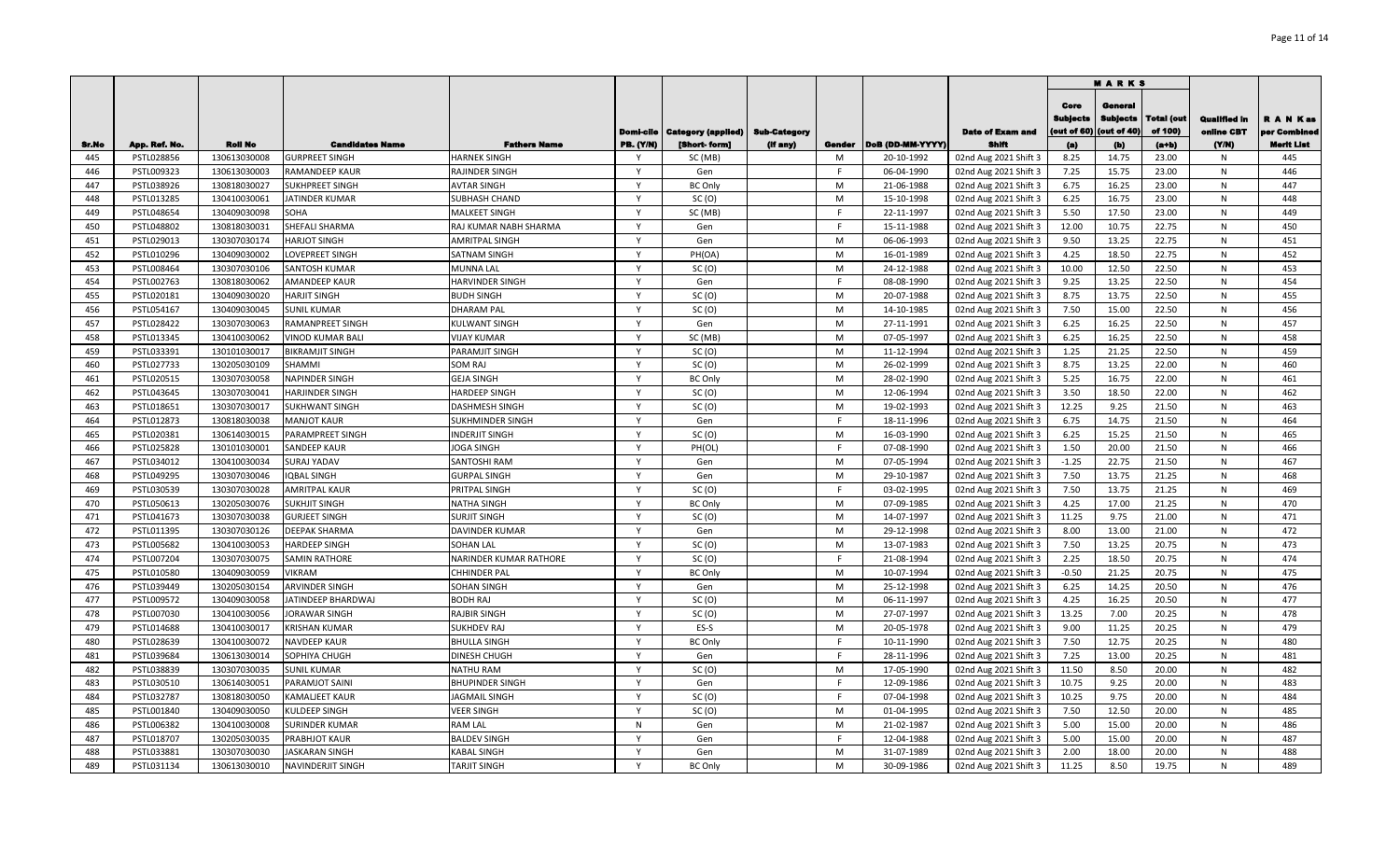|              |                             |                |                        |                                            |                              |                                   |          |             |                  |                                |                                 | <b>MARKS</b>                              |                       |                                   |                                                |
|--------------|-----------------------------|----------------|------------------------|--------------------------------------------|------------------------------|-----------------------------------|----------|-------------|------------------|--------------------------------|---------------------------------|-------------------------------------------|-----------------------|-----------------------------------|------------------------------------------------|
|              |                             | <b>Roll No</b> | <b>Candidates Name</b> |                                            | Domi-cile                    | Category (appiled)   Sub-Category |          |             | DoB (DD-MM-YYYY) | <b>Date of Exam and</b>        | Core<br>Subjects<br>(out of 60) | General<br><b>Subjects</b><br>(out of 40) | Total (out<br>of 100) | <b>Qualified in</b><br>online CBT | R A N Kas<br>per Combinee<br><b>Merit List</b> |
| Sr.No<br>445 | App. Ref. No.<br>PSTL028856 | 130613030008   | <b>GURPREET SINGH</b>  | <b>Fathers Name</b><br><b>HARNEK SINGH</b> | <b>PB. (Y/N)</b><br><b>V</b> | [Short- form]<br>SC (MB)          | (if any) | Gender<br>M | 20-10-1992       | Shift<br>02nd Aug 2021 Shift 3 | (a)<br>8.25                     | (b)<br>14.75                              | (a+b)<br>23.00        | (Y/N)<br>N.                       | 445                                            |
| 446          | PSTL009323                  | 130613030003   | RAMANDEEP KAUR         | RAJINDER SINGH                             | Y                            | Gen                               |          | F           | 06-04-1990       | 02nd Aug 2021 Shift 3          | 7.25                            | 15.75                                     | 23.00                 | N                                 | 446                                            |
| 447          | PSTL038926                  | 130818030027   | SUKHPREET SINGH        | <b>AVTAR SINGH</b>                         |                              | <b>BC Only</b>                    |          | M           | 21-06-1988       | 02nd Aug 2021 Shift 3          | 6.75                            | 16.25                                     | 23.00                 | N                                 | 447                                            |
| 448          | PSTL013285                  | 130410030061   | <b>IATINDER KUMAR</b>  | SUBHASH CHAND                              | γ                            | SC(0)                             |          | M           | 15-10-1998       | 02nd Aug 2021 Shift 3          | 6.25                            | 16.75                                     | 23.00                 | N                                 | 448                                            |
| 449          | PSTL048654                  | 130409030098   | SOHA                   | MALKEET SINGH                              | $\mathbf{v}$                 | SC (MB)                           |          | E           | 22-11-1997       | 02nd Aug 2021 Shift 3          | 5.50                            | 17.50                                     | 23.00                 | N                                 | 449                                            |
| 450          | PSTL048802                  | 130818030031   | SHEFALI SHARMA         | RAJ KUMAR NABH SHARMA                      | $\mathsf{Y}$                 | Gen                               |          | E           | 15-11-1988       | 02nd Aug 2021 Shift 3          | 12.00                           | 10.75                                     | 22.75                 | N                                 | 450                                            |
| 451          | PSTL029013                  | 130307030174   | <b>HARJOT SINGH</b>    | <b>AMRITPAL SINGH</b>                      | Y                            | Gen                               |          | M           | 06-06-1993       | 02nd Aug 2021 Shift 3          | 9.50                            | 13.25                                     | 22.75                 | N                                 | 451                                            |
| 452          | PSTL010296                  | 130409030002   | LOVEPREET SINGH        | SATNAM SINGH                               | Y                            | PH(OA)                            |          | M           | 16-01-1989       | 02nd Aug 2021 Shift 3          | 4.25                            | 18.50                                     | 22.75                 | $\mathsf{N}$                      | 452                                            |
| 453          | PSTL008464                  | 130307030106   | SANTOSH KUMAR          | MUNNA LAL                                  | $\mathsf{Y}$                 | SC(0)                             |          | M           | 24-12-1988       | 02nd Aug 2021 Shift 3          | 10.00                           | 12.50                                     | 22.50                 | N                                 | 453                                            |
| 454          | PSTL002763                  | 130818030062   | AMANDEEP KAUR          | HARVINDER SINGH                            | $\mathsf{Y}$                 | Gen                               |          | F.          | 08-08-1990       | 02nd Aug 2021 Shift 3          | 9.25                            | 13.25                                     | 22.50                 | N                                 | 454                                            |
| 455          | PSTL020181                  | 130409030020   | HARJIT SINGH           | <b>BUDH SINGH</b>                          | $\mathsf{Y}$                 | SC(0)                             |          | M           | 20-07-1988       | 02nd Aug 2021 Shift 3          | 8.75                            | 13.75                                     | 22.50                 | N                                 | 455                                            |
| 456          | PSTL054167                  | 130409030045   | <b>SUNIL KUMAR</b>     | <b>DHARAM PAL</b>                          | $\mathsf{Y}$                 | SC(0)                             |          | M           | 14-10-1985       | 02nd Aug 2021 Shift 3          | 7.50                            | 15.00                                     | 22.50                 | N                                 | 456                                            |
| 457          | PSTL028422                  | 130307030063   | RAMANPREET SINGH       | KULWANT SINGH                              | Y                            | Gen                               |          | M           | 27-11-1991       | 02nd Aug 2021 Shift 3          | 6.25                            | 16.25                                     | 22.50                 | N                                 | 457                                            |
| 458          | PSTL013345                  | 130410030062   | VINOD KUMAR BALI       | <b>VIJAY KUMAR</b>                         | Y                            | SC (MB)                           |          | M           | 07-05-1997       | 02nd Aug 2021 Shift 3          | 6.25                            | 16.25                                     | 22.50                 | N                                 | 458                                            |
| 459          | PSTL033391                  | 130101030017   | <b>BIKRAMJIT SINGH</b> | PARAMJIT SINGH                             | Y                            | SC(0)                             |          | M           | 11-12-1994       | 02nd Aug 2021 Shift 3          | 1.25                            | 21.25                                     | 22.50                 | N                                 | 459                                            |
| 460          | PSTL027733                  | 130205030109   | SHAMMI                 | SOM RAJ                                    | Y                            | SC(0)                             |          | M           | 26-02-1999       | 02nd Aug 2021 Shift 3          | 8.75                            | 13.25                                     | 22.00                 | N                                 | 460                                            |
| 461          | PSTL020515                  | 130307030058   | <b>NAPINDER SINGH</b>  | <b>GEJA SINGH</b>                          | Y                            | <b>BC Only</b>                    |          | M           | 28-02-1990       | 02nd Aug 2021 Shift 3          | 5.25                            | 16.75                                     | 22.00                 | N                                 | 461                                            |
| 462          | PSTL043645                  | 130307030041   | HARJINDER SINGH        | HARDEEP SINGH                              | Y                            | SC(0)                             |          | M           | 12-06-1994       | 02nd Aug 2021 Shift 3          | 3.50                            | 18.50                                     | 22.00                 | N                                 | 462                                            |
| 463          | PSTL018651                  | 130307030017   | <b>SUKHWANT SINGH</b>  | DASHMESH SINGH                             | Y                            | SC(0)                             |          | M           | 19-02-1993       | 02nd Aug 2021 Shift 3          | 12.25                           | 9.25                                      | 21.50                 | N                                 | 463                                            |
| 464          | PSTL012873                  | 130818030038   | <b>MANJOT KAUR</b>     | SUKHMINDER SINGH                           | Y                            | Gen                               |          | F.          | 18-11-1996       | 02nd Aug 2021 Shift 3          | 6.75                            | 14.75                                     | 21.50                 | N                                 | 464                                            |
| 465          | PSTL020381                  | 130614030015   | PARAMPREET SINGH       | <b>INDERJIT SINGH</b>                      |                              | SC(0)                             |          | M           | 16-03-1990       | 02nd Aug 2021 Shift 3          | 6.25                            | 15.25                                     | 21.50                 | N                                 | 465                                            |
| 466          | PSTL025828                  | 130101030001   | SANDEEP KAUR           | <b>JOGA SINGH</b>                          | Y                            | PH(OL)                            |          | E           | 07-08-1990       | 02nd Aug 2021 Shift 3          | 1.50                            | 20.00                                     | 21.50                 | N                                 | 466                                            |
| 467          | PSTL034012                  | 130410030034   | SURAJ YADAV            | SANTOSHI RAM                               | Y                            | Gen                               |          | M           | 07-05-1994       | 02nd Aug 2021 Shift 3          | $-1.25$                         | 22.75                                     | 21.50                 | N                                 | 467                                            |
| 468          | PSTL049295                  | 130307030046   | <b>QBAL SINGH</b>      | <b>GURPAL SINGH</b>                        | Y                            | Gen                               |          | M           | 29-10-1987       | 02nd Aug 2021 Shift 3          | 7.50                            | 13.75                                     | 21.25                 | N                                 | 468                                            |
| 469          | PSTL030539                  | 130307030028   | <b>AMRITPAL KAUR</b>   | PRITPAL SINGH                              | $\mathsf{Y}$                 | SC(0)                             |          | E           | 03-02-1995       | 02nd Aug 2021 Shift 3          | 7.50                            | 13.75                                     | 21.25                 | $\mathsf{N}$                      | 469                                            |
| 470          | PSTL050613                  | 130205030076   | <b>SUKHJIT SINGH</b>   | NATHA SINGH                                | Y                            | <b>BC Only</b>                    |          | M           | 07-09-1985       | 02nd Aug 2021 Shift 3          | 4.25                            | 17.00                                     | 21.25                 | N                                 | 470                                            |
| 471          | PSTL041673                  | 130307030038   | <b>GURJEET SINGH</b>   | <b>SURJIT SINGH</b>                        | $\mathsf{Y}$                 | SC(0)                             |          | M           | 14-07-1997       | 02nd Aug 2021 Shift 3          | 11.25                           | 9.75                                      | 21.00                 | $\mathsf{N}$                      | 471                                            |
| 472          | PSTL011395                  | 130307030126   | DEEPAK SHARMA          | DAVINDER KUMAR                             | $\mathsf{Y}$                 | Gen                               |          | M           | 29-12-1998       | 02nd Aug 2021 Shift 3          | 8.00                            | 13.00                                     | 21.00                 | N                                 | 472                                            |
| 473          | PSTL005682                  | 130410030053   | HARDEEP SINGH          | <b>SOHAN LAL</b>                           | $\mathsf{Y}$                 | SC(0)                             |          | M           | 13-07-1983       | 02nd Aug 2021 Shift 3          | 7.50                            | 13.25                                     | 20.75                 | N                                 | 473                                            |
| 474          | PSTL007204                  | 130307030075   | <b>SAMIN RATHORE</b>   | NARINDER KUMAR RATHORE                     | $\mathsf{Y}$                 | SC(0)                             |          | F.          | 21-08-1994       | 02nd Aug 2021 Shift 3          | 2.25                            | 18.50                                     | 20.75                 | N                                 | 474                                            |
| 475          | PSTL010580                  | 130409030059   | VIKRAM                 | CHHINDER PAL                               | Y                            | <b>BC Only</b>                    |          | M           | 10-07-1994       | 02nd Aug 2021 Shift 3          | $-0.50$                         | 21.25                                     | 20.75                 | N                                 | 475                                            |
| 476          | PSTL039449                  | 130205030154   | ARVINDER SINGH         | SOHAN SINGH                                | Y                            | Gen                               |          | M           | 25-12-1998       | 02nd Aug 2021 Shift 3          | 6.25                            | 14.25                                     | 20.50                 | N                                 | 476                                            |
| 477          | PSTL009572                  | 130409030058   | JATINDEEP BHARDWAJ     | <b>BODH RAJ</b>                            | Y                            | SC(0)                             |          | M           | 06-11-1997       | 02nd Aug 2021 Shift 3          | 4.25                            | 16.25                                     | 20.50                 | N                                 | 477                                            |
| 478          | PSTL007030                  | 130410030056   | <b>JORAWAR SINGH</b>   | RAJBIR SINGH                               | $\mathsf{Y}$                 | SC(0)                             |          | M           | 27-07-1997       | 02nd Aug 2021 Shift 3          | 13.25                           | 7.00                                      | 20.25                 | N                                 | 478                                            |
| 479          | PSTL014688                  | 130410030017   | <b>KRISHAN KUMAR</b>   | <b>SUKHDEV RAJ</b>                         | Y                            | ES-S                              |          | M           | 20-05-1978       | 02nd Aug 2021 Shift 3          | 9.00                            | 11.25                                     | 20.25                 | N                                 | 479                                            |
| 480          | PSTL028639                  | 130410030072   | NAVDEEP KAUR           | <b>BHULLA SINGH</b>                        | Y                            | <b>BC Only</b>                    |          | F           | 10-11-1990       | 02nd Aug 2021 Shift 3          | 7.50                            | 12.75                                     | 20.25                 | N                                 | 480                                            |
| 481          | PSTL039684                  | 130613030014   | SOPHIYA CHUGH          | DINESH CHUGH                               | Y                            | Gen                               |          | F.          | 28-11-1996       | 02nd Aug 2021 Shift 3          | 7.25                            | 13.00                                     | 20.25                 | N                                 | 481                                            |
| 482          | PSTL038839                  | 130307030035   | <b>SUNIL KUMAR</b>     | NATHU RAM                                  | Y                            | SC(0)                             |          | M           | 17-05-1990       | 02nd Aug 2021 Shift 3          | 11.50                           | 8.50                                      | 20.00                 | N                                 | 482                                            |
| 483          | PSTL030510                  | 130614030051   | PARAMJOT SAINI         | BHUPINDER SINGH                            | <b>V</b>                     | Gen                               |          | F           | 12-09-1986       | 02nd Aug 2021 Shift 3          | 10.75                           | 9.25                                      | 20.00                 | N                                 | 483                                            |
| 484          | PSTL032787                  | 130818030050   | KAMALJEET KAUR         | <b>JAGMAIL SINGH</b>                       | <b>V</b>                     | SC(0)                             |          | F           | 07-04-1998       | 02nd Aug 2021 Shift 3          | 10.25                           | 9.75                                      | 20.00                 | N                                 | 484                                            |
| 485          | PSTL001840                  | 130409030050   | KULDEEP SINGH          | <b>VEER SINGH</b>                          | Y                            | SC(0)                             |          | M           | 01-04-1995       | 02nd Aug 2021 Shift 3          | 7.50                            | 12.50                                     | 20.00                 | N                                 | 485                                            |
| 486          | PSTL006382                  | 130410030008   | SURINDER KUMAR         | <b>RAM LAL</b>                             | N                            | Gen                               |          | M           | 21-02-1987       | 02nd Aug 2021 Shift 3          | 5.00                            | 15.00                                     | 20.00                 | $\mathsf{N}$                      | 486                                            |
| 487          | PSTL018707                  | 130205030035   | PRABHJOT KAUR          | <b>BALDEV SINGH</b>                        | $\mathsf{Y}$                 | Gen                               |          | E           | 12-04-1988       | 02nd Aug 2021 Shift 3          | 5.00                            | 15.00                                     | 20.00                 | N                                 | 487                                            |
| 488          | PSTL033881                  | 130307030030   | <b>IASKARAN SINGH</b>  | <b>KABAL SINGH</b>                         | Y                            | Gen                               |          | M           | 31-07-1989       | 02nd Aug 2021 Shift 3          | 2.00                            | 18.00                                     | 20.00                 | N                                 | 488                                            |
| 489          | PSTL031134                  | 130613030010   | NAVINDERJIT SINGH      | <b>TARJIT SINGH</b>                        | Y                            | <b>BC Only</b>                    |          | M           | 30-09-1986       | 02nd Aug 2021 Shift 3          | 11.25                           | 8.50                                      | 19.75                 | N                                 | 489                                            |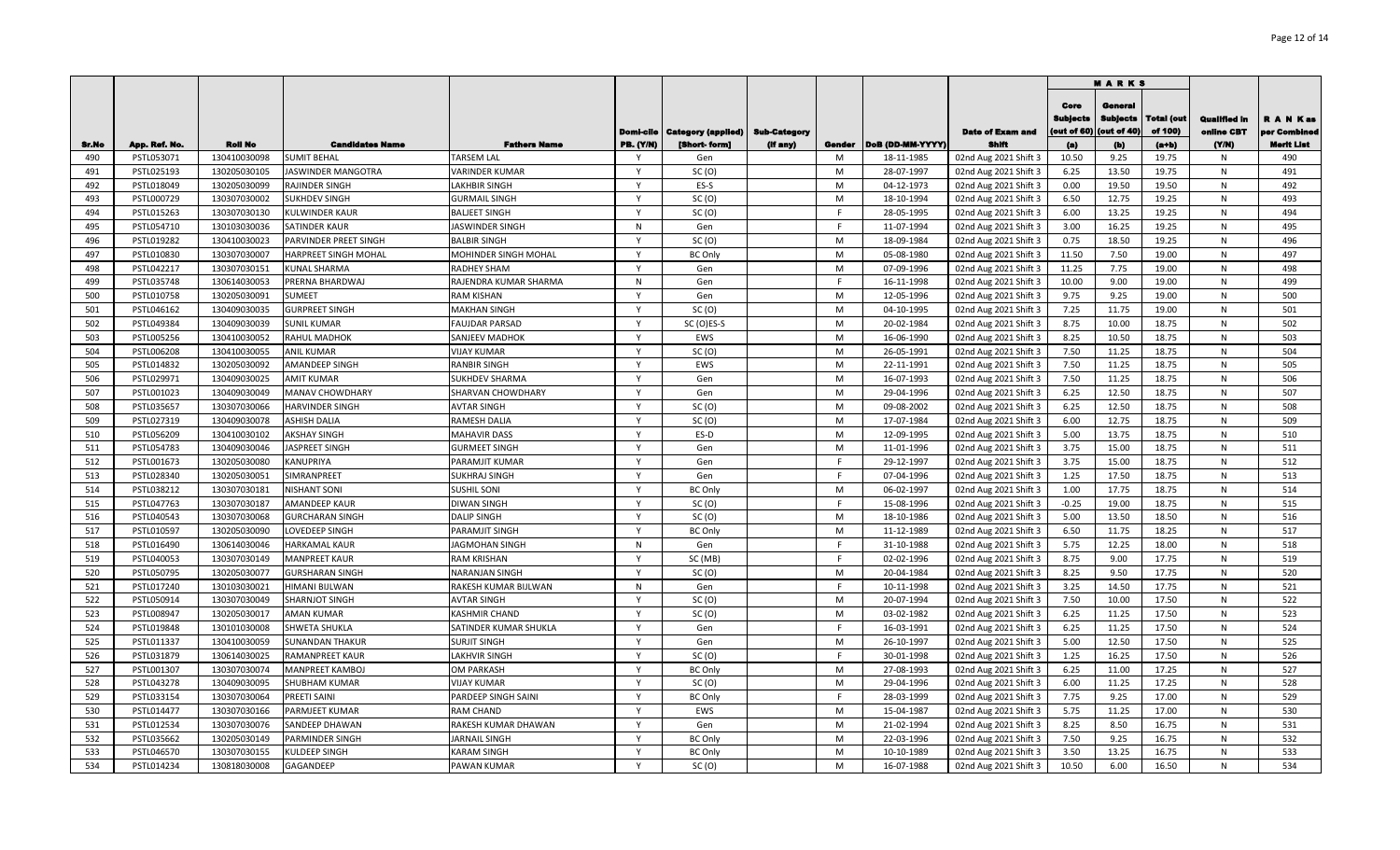|              |                             |                                |                                              |                                   |                   |                                          |          |             |                                |                                |                                        | <b>MARKS</b>                              |                              |                            |                           |
|--------------|-----------------------------|--------------------------------|----------------------------------------------|-----------------------------------|-------------------|------------------------------------------|----------|-------------|--------------------------------|--------------------------------|----------------------------------------|-------------------------------------------|------------------------------|----------------------------|---------------------------|
|              |                             |                                |                                              |                                   | Domi-cile         | <b>Category (applied)   Sub-Category</b> |          |             |                                | <b>Date of Exam and</b>        | Core<br><b>Subjects</b><br>(out of 60) | General<br><b>Subjects</b><br>(out of 40) | <b>Total (out</b><br>of 100) | Qualified in<br>online CBT | R A N Kas<br>per Combined |
| Sr.No<br>490 | App. Ref. No.<br>PSTL053071 | <b>Roll No</b><br>130410030098 | <b>Candidates Name</b><br><b>SUMIT BEHAL</b> | <b>Fathers Name</b><br>TARSEM LAL | <b>PB.</b> (Y/N)  | [Short- form]<br>Gen                     | (if any) | Gender<br>M | DoB (DD-MM-YYYY)<br>18-11-1985 | Shift<br>02nd Aug 2021 Shift 3 | (a)<br>10.50                           | (b)<br>9.25                               | $(a+b)$<br>19.75             | (YM)<br>N                  | <b>Merit List</b><br>490  |
| 491          | PSTL025193                  | 130205030105                   | <b>JASWINDER MANGOTRA</b>                    | <b>VARINDER KUMAR</b>             | Y                 | SC(0)                                    |          | M           | 28-07-1997                     | 02nd Aug 2021 Shift 3          | 6.25                                   | 13.50                                     | 19.75                        | N                          | 491                       |
| 492          | PSTL018049                  | 130205030099                   | <b>RAJINDER SINGH</b>                        | <b>LAKHBIR SINGH</b>              | Y                 | ES-S                                     |          | M           | 04-12-1973                     | 02nd Aug 2021 Shift 3          | 0.00                                   | 19.50                                     | 19.50                        | N                          | 492                       |
| 493          | PSTL000729                  | 130307030002                   | SUKHDEV SINGH                                | <b>GURMAIL SINGH</b>              | <b>V</b>          | SC(0)                                    |          | M           | 18-10-1994                     | 02nd Aug 2021 Shift 3          | 6.50                                   | 12.75                                     | 19.25                        | N                          | 493                       |
| 494          | PSTL015263                  | 130307030130                   | <b>KULWINDER KAUR</b>                        | <b>BALJEET SINGH</b>              | $\mathbf{v}$      | SC(0)                                    |          |             | 28-05-1995                     | 02nd Aug 2021 Shift 3          | 6.00                                   | 13.25                                     | 19.25                        | N                          | 494                       |
| 495          | PSTL054710                  | 130103030036                   | <b>SATINDER KAUR</b>                         | JASWINDER SINGH                   | $\mathsf{N}$      | Gen                                      |          | E           | 11-07-1994                     | 02nd Aug 2021 Shift 3          | 3.00                                   | 16.25                                     | 19.25                        | N                          | 495                       |
| 496          | PSTL019282                  | 130410030023                   | PARVINDER PREET SINGH                        | <b>BALBIR SINGH</b>               | $\mathsf{Y}$      | SC(0)                                    |          | M           | 18-09-1984                     | 02nd Aug 2021 Shift 3          | 0.75                                   | 18.50                                     | 19.25                        | N                          | 496                       |
| 497          | PSTL010830                  | 130307030007                   | HARPREET SINGH MOHAL                         | MOHINDER SINGH MOHAL              | $\mathsf{Y}$      | <b>BC Only</b>                           |          | M           | 05-08-1980                     | 02nd Aug 2021 Shift 3          | 11.50                                  | 7.50                                      | 19.00                        | N                          | 497                       |
| 498          | PSTL042217                  | 130307030151                   | <b>KUNAL SHARMA</b>                          | RADHEY SHAM                       | $\mathsf{Y}$      | Gen                                      |          | M           | 07-09-1996                     | 02nd Aug 2021 Shift 3          | 11.25                                  | 7.75                                      | 19.00                        | N                          | 498                       |
| 499          | PSTL035748                  | 130614030053                   | PRERNA BHARDWAJ                              | RAJENDRA KUMAR SHARMA             | N                 | Gen                                      |          | F.          | 16-11-1998                     | 02nd Aug 2021 Shift 3          | 10.00                                  | 9.00                                      | 19.00                        | N                          | 499                       |
| 500          | PSTL010758                  | 130205030091                   | <b>SUMEET</b>                                | <b>RAM KISHAN</b>                 | $\mathsf{Y}$      | Gen                                      |          | M           | 12-05-1996                     | 02nd Aug 2021 Shift 3          | 9.75                                   | 9.25                                      | 19.00                        | N                          | 500                       |
| 501          | PSTL046162                  | 130409030035                   | <b>GURPREET SINGH</b>                        | <b>MAKHAN SINGH</b>               | Y                 | SC(0)                                    |          | M           | 04-10-1995                     | 02nd Aug 2021 Shift 3          | 7.25                                   | 11.75                                     | 19.00                        | N                          | 501                       |
| 502          | PSTL049384                  | 130409030039                   | <b>SUNIL KUMAR</b>                           | <b>FAUJDAR PARSAD</b>             | Y                 | SC (O)ES-S                               |          | M           | 20-02-1984                     | 02nd Aug 2021 Shift 3          | 8.75                                   | 10.00                                     | 18.75                        | N                          | 502                       |
| 503          | PSTL005256                  | 130410030052                   | <b>RAHUL MADHOK</b>                          | SANJEEV MADHOK                    | Y                 | EWS                                      |          | M           | 16-06-1990                     | 02nd Aug 2021 Shift 3          | 8.25                                   | 10.50                                     | 18.75                        | N                          | 503                       |
| 504          | PSTL006208                  | 130410030055                   | <b>ANIL KUMAR</b>                            | <b>VIJAY KUMAR</b>                | Y                 | SC(0)                                    |          | M           | 26-05-1991                     | 02nd Aug 2021 Shift 3          | 7.50                                   | 11.25                                     | 18.75                        | N                          | 504                       |
| 505          | PSTL014832                  | 130205030092                   | AMANDEEP SINGH                               | RANBIR SINGH                      | Y                 | EWS                                      |          | M           | 22-11-1991                     | 02nd Aug 2021 Shift 3          | 7.50                                   | 11.25                                     | 18.75                        | N                          | 505                       |
| 506          | PSTL029971                  | 130409030025                   | <b>AMIT KUMAR</b>                            | SUKHDEV SHARMA                    | Y                 | Gen                                      |          | M           | 16-07-1993                     | 02nd Aug 2021 Shift 3          | 7.50                                   | 11.25                                     | 18.75                        | N                          | 506                       |
| 507          | PSTL001023                  | 130409030049                   | <b>MANAV CHOWDHARY</b>                       | SHARVAN CHOWDHARY                 | <b>V</b>          | Gen                                      |          | M           | 29-04-1996                     | 02nd Aug 2021 Shift 3          | 6.25                                   | 12.50                                     | 18.75                        | N                          | 507                       |
| 508          | PSTL035657                  | 130307030066                   | <b>HARVINDER SINGH</b>                       | AVTAR SINGH                       | <b>V</b>          | SC (O)                                   |          | M           | 09-08-2002                     | 02nd Aug 2021 Shift 3          | 6.25                                   | 12.50                                     | 18.75                        | N                          | 508                       |
| 509          | PSTL027319                  | 130409030078                   | ASHISH DALIA                                 | RAMESH DALIA                      |                   | SC(0)                                    |          | M           | 17-07-1984                     | 02nd Aug 2021 Shift 3          | 6.00                                   | 12.75                                     | 18.75                        | N                          | 509                       |
| 510          | PSTL056209                  | 130410030102                   | AKSHAY SINGH                                 | <b>MAHAVIR DASS</b>               | <b>V</b>          | ES-D                                     |          | M           | 12-09-1995                     | 02nd Aug 2021 Shift 3          | 5.00                                   | 13.75                                     | 18.75                        | N                          | 510                       |
| 511          | PSTL054783                  | 130409030046                   | JASPREET SINGH                               | <b>GURMEET SINGH</b>              | Y                 | Gen                                      |          | M           | 11-01-1996                     | 02nd Aug 2021 Shift 3          | 3.75                                   | 15.00                                     | 18.75                        | N                          | 511                       |
| 512          | PSTL001673                  | 130205030080                   | KANUPRIYA                                    | PARAMJIT KUMAR                    | $\mathsf{v}$      | Gen                                      |          | E           | 29-12-1997                     | 02nd Aug 2021 Shift 3          | 3.75                                   | 15.00                                     | 18.75                        | N                          | 512                       |
| 513          | PSTL028340                  | 130205030051                   | SIMRANPREET                                  | SUKHRAJ SINGH                     | $\mathsf{Y}$      | Gen                                      |          | E           | 07-04-1996                     | 02nd Aug 2021 Shift 3          | 1.25                                   | 17.50                                     | 18.75                        | N                          | 513                       |
| 514          | PSTL038212                  | 130307030181                   | <b>NISHANT SONI</b>                          | SUSHIL SONI                       | Y                 | <b>BC Only</b>                           |          | M           | 06-02-1997                     | 02nd Aug 2021 Shift 3          | 1.00                                   | 17.75                                     | 18.75                        | N                          | 514                       |
| 515          | PSTL047763                  | 130307030187                   | AMANDEEP KAUR                                | <b>DIWAN SINGH</b>                | Y                 | SC(0)                                    |          | F.          | 15-08-1996                     | 02nd Aug 2021 Shift 3          | $-0.25$                                | 19.00                                     | 18.75                        | N                          | 515                       |
| 516          | PSTL040543                  | 130307030068                   | <b>GURCHARAN SINGH</b>                       | <b>DALIP SINGH</b>                | $\mathsf{v}$      | SC(0)                                    |          | M           | 18-10-1986                     | 02nd Aug 2021 Shift 3          | 5.00                                   | 13.50                                     | 18.50                        | N                          | 516                       |
| 517          | PSTL010597                  | 130205030090                   | LOVEDEEP SINGH                               | PARAMJIT SINGH                    | $\mathsf{v}$      | <b>BC Only</b>                           |          | M           | 11-12-1989                     | 02nd Aug 2021 Shift 3          | 6.50                                   | 11.75                                     | 18.25                        | N                          | 517                       |
| 518          | PSTL016490                  | 130614030046                   | <b>HARKAMAL KAUR</b>                         | <b>JAGMOHAN SINGH</b>             | N                 | Gen                                      |          | F.          | 31-10-1988                     | 02nd Aug 2021 Shift 3          | 5.75                                   | 12.25                                     | 18.00                        | N                          | 518                       |
| 519          | PSTL040053                  | 130307030149                   | <b>MANPREET KAUR</b>                         | <b>RAM KRISHAN</b>                | $\mathsf{Y}$      | SC (MB)                                  |          | F.          | 02-02-1996                     | 02nd Aug 2021 Shift 3          | 8.75                                   | 9.00                                      | 17.75                        | N                          | 519                       |
| 520          | PSTL050795                  | 130205030077                   | <b>GURSHARAN SINGH</b>                       | NARANJAN SINGH                    | $\mathsf{Y}$      | SC(0)                                    |          | M           | 20-04-1984                     | 02nd Aug 2021 Shift 3          | 8.25                                   | 9.50                                      | 17.75                        | N                          | 520                       |
| 521          | PSTL017240                  | 130103030021                   | HIMANI BIJLWAN                               | RAKESH KUMAR BIJLWAN              | $\mathsf{N}$      | Gen                                      |          | F.          | 10-11-1998                     | 02nd Aug 2021 Shift 3          | 3.25                                   | 14.50                                     | 17.75                        | N                          | 521                       |
| 522          | PSTL050914                  | 130307030049                   | <b>SHARNJOT SINGH</b>                        | AVTAR SINGH                       | Y                 | SC(0)                                    |          | M           | 20-07-1994                     | 02nd Aug 2021 Shift 3          | 7.50                                   | 10.00                                     | 17.50                        | N                          | 522                       |
| 523          | PSTL008947                  | 130205030017                   | <b>AMAN KUMAR</b>                            | <b>KASHMIR CHAND</b>              | Y                 | SC(0)                                    |          | M           | 03-02-1982                     | 02nd Aug 2021 Shift 3          | 6.25                                   | 11.25                                     | 17.50                        | N                          | 523                       |
| 524          | PSTL019848                  | 130101030008                   | SHWETA SHUKLA                                | SATINDER KUMAR SHUKLA             | <b>V</b>          | Gen                                      |          | F           | 16-03-1991                     | 02nd Aug 2021 Shift 3          | 6.25                                   | 11.25                                     | 17.50                        | N                          | 524                       |
| 525          | PSTL011337                  | 130410030059                   | <b>SUNANDAN THAKUR</b>                       | SURJIT SINGH                      | <b>V</b>          | Gen                                      |          | M           | 26-10-1997                     | 02nd Aug 2021 Shift 3          | 5.00                                   | 12.50                                     | 17.50                        | N                          | 525                       |
| 526          | PSTL031879                  | 130614030025                   | <b>RAMANPREET KAUR</b>                       | LAKHVIR SINGH                     | <b>V</b>          | SC(0)                                    |          | F           | 30-01-1998                     | 02nd Aug 2021 Shift 3          | 1.25                                   | 16.25                                     | 17.50                        | N                          | 526                       |
| 527          | PSTL001307                  | 130307030074                   | <b>MANPREET KAMBOJ</b>                       | OM PARKASH                        | Y                 | <b>BC Only</b>                           |          | M           | 27-08-1993                     | 02nd Aug 2021 Shift 3          | 6.25                                   | 11.00                                     | 17.25                        | N                          | 527                       |
| 528          | PSTL043278                  | 130409030095                   | SHUBHAM KUMAR                                | <b>VIJAY KUMAR</b>                | <b>V</b>          | SC(0)                                    |          | M           | 29-04-1996                     | 02nd Aug 2021 Shift 3          | 6.00                                   | 11.25                                     | 17.25                        | N                          | 528                       |
| 529          | PSTL033154                  | 130307030064                   | <b>PREETI SAINI</b>                          | PARDEEP SINGH SAINI               | $\mathsf{v}$      | <b>BC Only</b>                           |          |             | 28-03-1999                     | 02nd Aug 2021 Shift 3          | 7.75                                   | 9.25                                      | 17.00                        | N                          | 529                       |
| 530          | PSTL014477                  | 130307030166                   | PARMJEET KUMAR                               | RAM CHAND                         | Y                 | EWS                                      |          | M           | 15-04-1987                     | 02nd Aug 2021 Shift 3          | 5.75                                   | 11.25                                     | 17.00                        | N                          | 530                       |
| 531          | PSTL012534                  | 130307030076                   | SANDEEP DHAWAN                               | RAKESH KUMAR DHAWAN               | $\mathsf{Y}$      | Gen                                      |          | M           | 21-02-1994                     | 02nd Aug 2021 Shift 3          | 8.25                                   | 8.50                                      | 16.75                        | N                          | 531                       |
| 532          | PSTL035662                  | 130205030149                   | <b>PARMINDER SINGH</b>                       | <b>JARNAIL SINGH</b>              | Y<br>$\mathsf{v}$ | <b>BC Only</b>                           |          | M           | 22-03-1996                     | 02nd Aug 2021 Shift 3          | 7.50                                   | 9.25                                      | 16.75                        | N                          | 532                       |
| 533          | PSTL046570                  | 130307030155                   | KULDEEP SINGH                                | <b>KARAM SINGH</b>                | $\mathsf{Y}$      | <b>BC Only</b>                           |          | M           | 10-10-1989                     | 02nd Aug 2021 Shift 3          | 3.50                                   | 13.25                                     | 16.75                        | N                          | 533<br>534                |
| 534          | PSTL014234                  | 130818030008                   | GAGANDEEP                                    | PAWAN KUMAR                       |                   | SC(0)                                    |          | M           | 16-07-1988                     | 02nd Aug 2021 Shift 3          | 10.50                                  | 6.00                                      | 16.50                        | N                          |                           |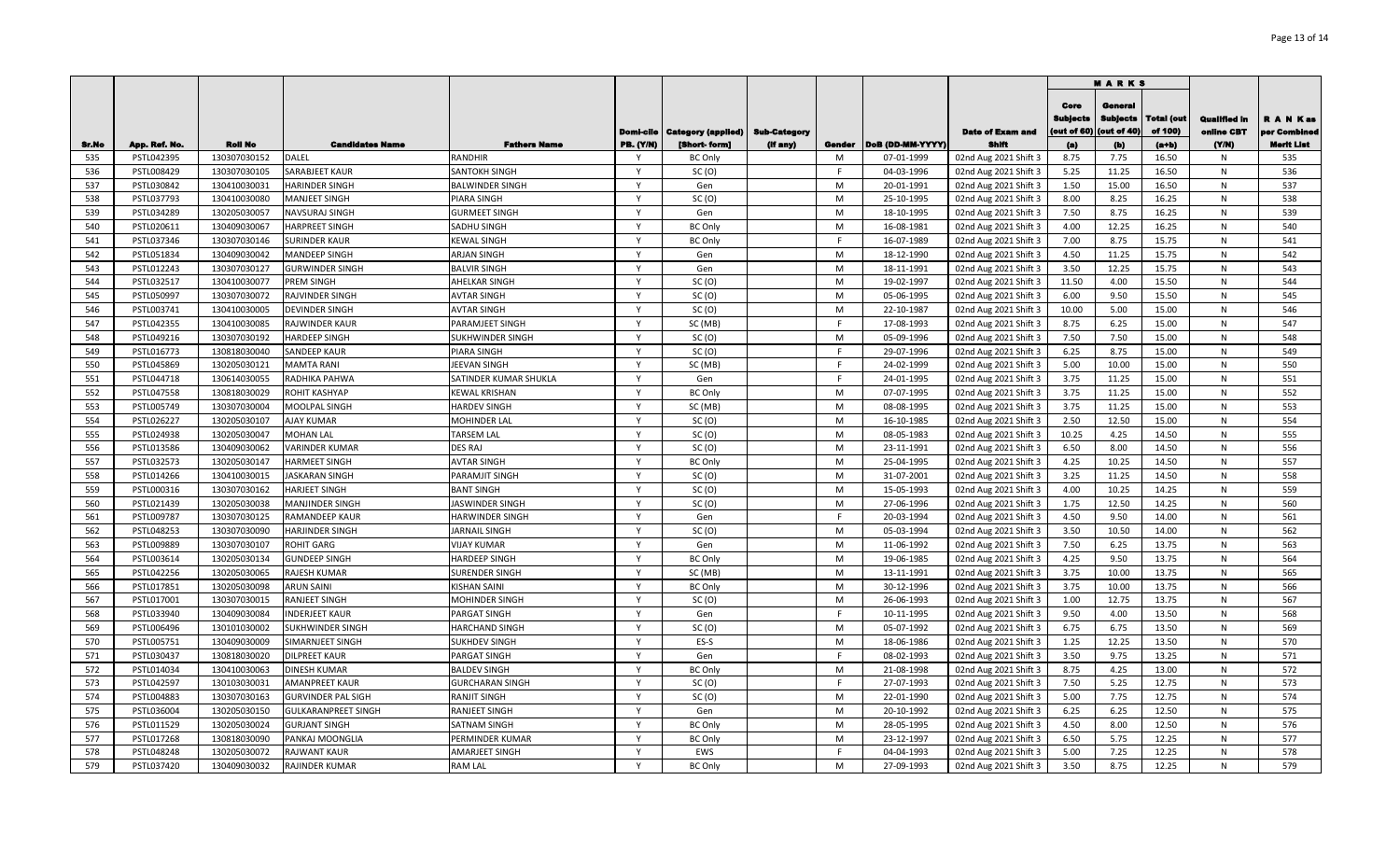|              |                             |                |                                 |                                       |                  |                                          |          |             |                  |                                | <b>MARKS</b>                           |                                           |                              |                            |                                                |
|--------------|-----------------------------|----------------|---------------------------------|---------------------------------------|------------------|------------------------------------------|----------|-------------|------------------|--------------------------------|----------------------------------------|-------------------------------------------|------------------------------|----------------------------|------------------------------------------------|
|              |                             | <b>Roll No</b> |                                 |                                       | Domi-cile        | <b>Category (applied)   Sub-Category</b> |          |             | DoB (DD-MM-YYYY) | <b>Date of Exam and</b>        | Core<br><b>Subjects</b><br>(out of 60) | General<br><b>Subjects</b><br>(out of 40) | <b>Total (out</b><br>of 100) | Qualified in<br>online CBT | R A N Kas<br>per Combined<br><b>Merit List</b> |
| Sr.No<br>535 | App. Ref. No.<br>PSTL042395 | 130307030152   | <b>Candidates Name</b><br>DALEL | <b>Fathers Name</b><br><b>RANDHIR</b> | <b>PB. (Y/N)</b> | [Short- form]<br><b>BC Only</b>          | (if any) | Gender<br>M | 07-01-1999       | Shift<br>02nd Aug 2021 Shift 3 | (a)<br>8.75                            | (b)<br>7.75                               | $(a+b)$<br>16.50             | (Y/N)<br>N                 | 535                                            |
| 536          | PSTL008429                  | 130307030105   | SARABJEET KAUR                  | SANTOKH SINGH                         | Y                | SC(0)                                    |          | F           | 04-03-1996       | 02nd Aug 2021 Shift 3          | 5.25                                   | 11.25                                     | 16.50                        | N                          | 536                                            |
| 537          | PSTL030842                  | 130410030031   | <b>HARINDER SINGH</b>           | <b>BALWINDER SINGH</b>                | <b>V</b>         | Gen                                      |          | M           | 20-01-1991       | 02nd Aug 2021 Shift 3          | 1.50                                   | 15.00                                     | 16.50                        | N                          | 537                                            |
| 538          | PSTL037793                  | 130410030080   | <b>MANJEET SINGH</b>            | PIARA SINGH                           | Y                | SC(0)                                    |          | M           | 25-10-1995       | 02nd Aug 2021 Shift 3          | 8.00                                   | 8.25                                      | 16.25                        | N                          | 538                                            |
| 539          | PSTL034289                  | 130205030057   | NAVSURAJ SINGH                  | <b>GURMEET SINGH</b>                  | <sup>Y</sup>     | Gen                                      |          | M           | 18-10-1995       | 02nd Aug 2021 Shift 3          | 7.50                                   | 8.75                                      | 16.25                        | N                          | 539                                            |
| 540          | PSTL020611                  | 130409030067   | <b>HARPREET SINGH</b>           | SADHU SINGH                           | $\mathsf{Y}$     | <b>BC Only</b>                           |          | M           | 16-08-1981       | 02nd Aug 2021 Shift 3          | 4.00                                   | 12.25                                     | 16.25                        | N                          | 540                                            |
| 541          | PSTL037346                  | 130307030146   | <b>SURINDER KAUR</b>            | <b>KEWAL SINGH</b>                    | $\mathsf{Y}$     | <b>BC Only</b>                           |          | E           | 16-07-1989       | 02nd Aug 2021 Shift 3          | 7.00                                   | 8.75                                      | 15.75                        | N                          | 541                                            |
| 542          | PSTL051834                  | 130409030042   | <b>MANDEEP SINGH</b>            | <b>ARJAN SINGH</b>                    | Y                | Gen                                      |          | M           | 18-12-1990       | 02nd Aug 2021 Shift 3          | 4.50                                   | 11.25                                     | 15.75                        | N                          | 542                                            |
| 543          | PSTL012243                  | 130307030127   | <b>GURWINDER SINGH</b>          | <b>BALVIR SINGH</b>                   | $\mathsf{Y}$     | Gen                                      |          | M           | 18-11-1991       | 02nd Aug 2021 Shift 3          | 3.50                                   | 12.25                                     | 15.75                        | N                          | 543                                            |
| 544          | PSTL032517                  | 130410030077   | PREM SINGH                      | AHELKAR SINGH                         | Y                | SC(0)                                    |          | M           | 19-02-1997       | 02nd Aug 2021 Shift 3          | 11.50                                  | 4.00                                      | 15.50                        | N                          | 544                                            |
| 545          | PSTL050997                  | 130307030072   | RAJVINDER SINGH                 | <b>AVTAR SINGH</b>                    | $\mathsf{Y}$     | SC(0)                                    |          | M           | 05-06-1995       | 02nd Aug 2021 Shift 3          | 6.00                                   | 9.50                                      | 15.50                        | N                          | 545                                            |
| 546          | PSTL003741                  | 130410030005   | <b>DEVINDER SINGH</b>           | <b>AVTAR SINGH</b>                    | Y                | SC(0)                                    |          | M           | 22-10-1987       | 02nd Aug 2021 Shift 3          | 10.00                                  | 5.00                                      | 15.00                        | N                          | 546                                            |
| 547          | PSTL042355                  | 130410030085   | RAJWINDER KAUR                  | PARAMJEET SINGH                       | $\mathsf{Y}$     | SC (MB)                                  |          | E           | 17-08-1993       | 02nd Aug 2021 Shift 3          | 8.75                                   | 6.25                                      | 15.00                        | N                          | 547                                            |
| 548          | PSTL049216                  | 130307030192   | <b>HARDEEP SINGH</b>            | SUKHWINDER SINGH                      | $\mathsf{Y}$     | SC(0)                                    |          | M           | 05-09-1996       | 02nd Aug 2021 Shift 3          | 7.50                                   | 7.50                                      | 15.00                        | N                          | 548                                            |
| 549          | PSTL016773                  | 130818030040   | <b>SANDEEP KAUR</b>             | <b>PIARA SINGH</b>                    | $\mathsf{Y}$     | SC(0)                                    |          | F           | 29-07-1996       | 02nd Aug 2021 Shift 3          | 6.25                                   | 8.75                                      | 15.00                        | N                          | 549                                            |
| 550          | PSTL045869                  | 130205030121   | <b>MAMTA RANI</b>               | JEEVAN SINGH                          | Y                | SC (MB)                                  |          | F           | 24-02-1999       | 02nd Aug 2021 Shift 3          | 5.00                                   | 10.00                                     | 15.00                        | N                          | 550                                            |
| 551          | PSTL044718                  | 130614030055   | RADHIKA PAHWA                   | SATINDER KUMAR SHUKLA                 | $\mathsf{Y}$     | Gen                                      |          | E           | 24-01-1995       | 02nd Aug 2021 Shift 3          | 3.75                                   | 11.25                                     | 15.00                        | N                          | 551                                            |
| 552          | PSTL047558                  | 130818030029   | ROHIT KASHYAP                   | <b>KEWAL KRISHAN</b>                  | Y                | <b>BC Only</b>                           |          | M           | 07-07-1995       | 02nd Aug 2021 Shift 3          | 3.75                                   | 11.25                                     | 15.00                        | N                          | 552                                            |
| 553          | PSTL005749                  | 130307030004   | <b>MOOLPAL SINGH</b>            | <b>HARDEV SINGH</b>                   | Y                | SC (MB)                                  |          | M           | 08-08-1995       | 02nd Aug 2021 Shift 3          | 3.75                                   | 11.25                                     | 15.00                        | N                          | 553                                            |
| 554          | PSTL026227                  | 130205030107   | <b>AJAY KUMAR</b>               | MOHINDER LAL                          |                  | SC(0)                                    |          | M           | 16-10-1985       | 02nd Aug 2021 Shift 3          | 2.50                                   | 12.50                                     | 15.00                        | N                          | 554                                            |
| 555          | PSTL024938                  | 130205030047   | <b>MOHAN LAL</b>                | <b>TARSEM LAL</b>                     | Y                | SC(0)                                    |          | M           | 08-05-1983       | 02nd Aug 2021 Shift 3          | 10.25                                  | 4.25                                      | 14.50                        | N                          | 555                                            |
| 556          | PSTL013586                  | 130409030062   | <b>VARINDER KUMAR</b>           | <b>DES RAJ</b>                        |                  | SC(0)                                    |          | M           | 23-11-1991       | 02nd Aug 2021 Shift 3          | 6.50                                   | 8.00                                      | 14.50                        | N                          | 556                                            |
| 557          | PSTL032573                  | 130205030147   | <b>HARMEET SINGH</b>            | <b>AVTAR SINGH</b>                    | Y                | <b>BC Only</b>                           |          | M           | 25-04-1995       | 02nd Aug 2021 Shift 3          | 4.25                                   | 10.25                                     | 14.50                        | N                          | 557                                            |
| 558          | PSTL014266                  | 130410030015   | <b>JASKARAN SINGH</b>           | PARAMJIT SINGH                        | $\mathsf{v}$     | SC(0)                                    |          | M           | 31-07-2001       | 02nd Aug 2021 Shift 3          | 3.25                                   | 11.25                                     | 14.50                        | N                          | 558                                            |
| 559          | PSTL000316                  | 130307030162   | <b>HARJEET SINGH</b>            | <b>BANT SINGH</b>                     | $\mathsf{Y}$     | SC(0)                                    |          | M           | 15-05-1993       | 02nd Aug 2021 Shift 3          | 4.00                                   | 10.25                                     | 14.25                        | N                          | 559                                            |
| 560          | PSTL021439                  | 130205030038   | <b>MANJINDER SINGH</b>          | JASWINDER SINGH                       | Y                | SC(0)                                    |          | M           | 27-06-1996       | 02nd Aug 2021 Shift 3          | 1.75                                   | 12.50                                     | 14.25                        | N                          | 560                                            |
| 561          | PSTL009787                  | 130307030125   | <b>RAMANDEEP KAUR</b>           | HARWINDER SINGH                       | Y                | Gen                                      |          | E           | 20-03-1994       | 02nd Aug 2021 Shift 3          | 4.50                                   | 9.50                                      | 14.00                        | N                          | 561                                            |
| 562          | PSTL048253                  | 130307030090   | <b>HARJINDER SINGH</b>          | <b>JARNAIL SINGH</b>                  | $\mathsf{Y}$     | SC(0)                                    |          | M           | 05-03-1994       | 02nd Aug 2021 Shift 3          | 3.50                                   | 10.50                                     | 14.00                        | N                          | 562                                            |
| 563          | PSTL009889                  | 130307030107   | <b>ROHIT GARG</b>               | <b>VIJAY KUMAR</b>                    | $\mathsf{Y}$     | Gen                                      |          | M           | 11-06-1992       | 02nd Aug 2021 Shift 3          | 7.50                                   | 6.25                                      | 13.75                        | N                          | 563                                            |
| 564          | PSTL003614                  | 130205030134   | <b>GUNDEEP SINGH</b>            | <b>HARDEEP SINGH</b>                  | $\mathsf{Y}$     | <b>BC Only</b>                           |          | M           | 19-06-1985       | 02nd Aug 2021 Shift 3          | 4.25                                   | 9.50                                      | 13.75                        | N                          | 564                                            |
| 565          | PSTL042256                  | 130205030065   | <b>RAJESH KUMAR</b>             | SURENDER SINGH                        | Y                | SC (MB)                                  |          | M           | 13-11-1991       | 02nd Aug 2021 Shift 3          | 3.75                                   | 10.00                                     | 13.75                        | N                          | 565                                            |
| 566          | PSTL017851                  | 130205030098   | <b>ARUN SAINI</b>               | <b>KISHAN SAINI</b>                   | Y                | <b>BC Only</b>                           |          | M           | 30-12-1996       | 02nd Aug 2021 Shift 3          | 3.75                                   | 10.00                                     | 13.75                        | N                          | 566                                            |
| 567          | PSTL017001                  | 130307030015   | <b>RANJEET SINGH</b>            | MOHINDER SINGH                        | Y                | SC(0)                                    |          | M           | 26-06-1993       | 02nd Aug 2021 Shift 3          | 1.00                                   | 12.75                                     | 13.75                        | N                          | 567                                            |
| 568          | PSTL033940                  | 130409030084   | <b>INDERJEET KAUR</b>           | PARGAT SINGH                          | $\mathsf{Y}$     | Gen                                      |          | E           | 10-11-1995       | 02nd Aug 2021 Shift 3          | 9.50                                   | 4.00                                      | 13.50                        | N                          | 568                                            |
| 569          | PSTL006496                  | 130101030002   | SUKHWINDER SINGH                | <b>HARCHAND SINGH</b>                 | Y                | SC(0)                                    |          | M           | 05-07-1992       | 02nd Aug 2021 Shift 3          | 6.75                                   | 6.75                                      | 13.50                        | N                          | 569                                            |
| 570          | PSTL005751                  | 130409030009   | SIMARNJEET SINGH                | <b>SUKHDEV SINGH</b>                  | $\mathsf{Y}$     | ES-S                                     |          | M           | 18-06-1986       | 02nd Aug 2021 Shift 3          | 1.25                                   | 12.25                                     | 13.50                        | N                          | 570                                            |
| 571          | PSTL030437                  | 130818030020   | <b>DILPREET KAUR</b>            | PARGAT SINGH                          | Y                | Gen                                      |          | F           | 08-02-1993       | 02nd Aug 2021 Shift 3          | 3.50                                   | 9.75                                      | 13.25                        | N                          | 571                                            |
| 572          | PSTL014034                  | 130410030063   | <b>DINESH KUMAR</b>             | <b>BALDEV SINGH</b>                   | Y                | <b>BC Only</b>                           |          | M           | 21-08-1998       | 02nd Aug 2021 Shift 3          | 8.75                                   | 4.25                                      | 13.00                        | N                          | 572                                            |
| 573          | PSTL042597                  | 130103030031   | <b>AMANPREET KAUR</b>           | <b>GURCHARAN SINGH</b>                | <b>V</b>         | SC(0)                                    |          | E           | 27-07-1993       | 02nd Aug 2021 Shift 3          | 7.50                                   | 5.25                                      | 12.75                        | N                          | 573                                            |
| 574          | PSTL004883                  | 130307030163   | <b>GURVINDER PAL SIGH</b>       | <b>RANJIT SINGH</b>                   | Y                | SC(0)                                    |          | M           | 22-01-1990       | 02nd Aug 2021 Shift 3          | 5.00                                   | 7.75                                      | 12.75                        | N                          | 574                                            |
| 575          | PSTL036004                  | 130205030150   | <b>GULKARANPREET SINGH</b>      | <b>RANJEET SINGH</b>                  | Y                | Gen                                      |          | M           | 20-10-1992       | 02nd Aug 2021 Shift 3          | 6.25                                   | 6.25                                      | 12.50                        | N                          | 575                                            |
| 576          | PSTL011529                  | 130205030024   | <b>GURJANT SINGH</b>            | SATNAM SINGH                          | $\mathsf{Y}$     | <b>BC Only</b>                           |          | M           | 28-05-1995       | 02nd Aug 2021 Shift 3          | 4.50                                   | 8.00                                      | 12.50                        | N                          | 576                                            |
| 577          | PSTL017268                  | 130818030090   | PANKAJ MOONGLIA                 | PERMINDER KUMAR                       | $\mathsf{Y}$     | <b>BC Only</b>                           |          | M           | 23-12-1997       | 02nd Aug 2021 Shift 3          | 6.50                                   | 5.75                                      | 12.25                        | N                          | 577                                            |
| 578          | PSTL048248                  | 130205030072   | <b>RAJWANT KAUR</b>             | <b>AMARJEET SINGH</b>                 | Y                | EWS                                      |          | F           | 04-04-1993       | 02nd Aug 2021 Shift 3          | 5.00                                   | 7.25                                      | 12.25                        | N                          | 578                                            |
| 579          | PSTL037420                  | 130409030032   | <b>RAJINDER KUMAR</b>           | <b>RAM LAL</b>                        | Y                | <b>BC Only</b>                           |          | M           | 27-09-1993       | 02nd Aug 2021 Shift 3          | 3.50                                   | 8.75                                      | 12.25                        | N                          | 579                                            |